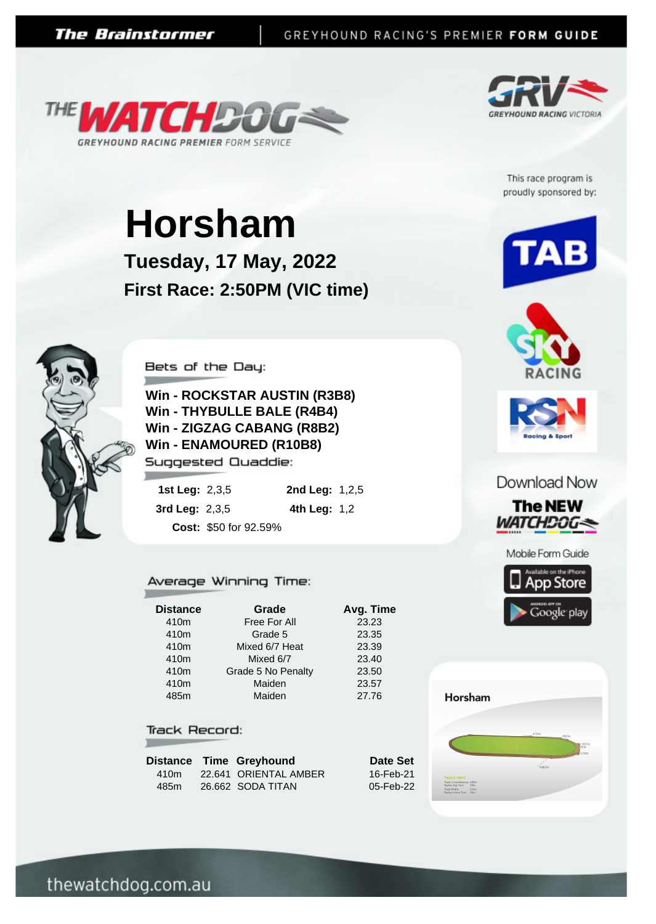



This race program is proudly sponsored by:

# **Horsham**

**Tuesday, 17 May, 2022 First Race: 2:50PM (VIC time)**



Bets of the Day:

**Win - ROCKSTAR AUSTIN (R3B8) Win - THYBULLE BALE (R4B4) Win - ZIGZAG CABANG (R8B2) Win - ENAMOURED (R10B8)** Suggested Quaddie:

| 1st Leg: $2,3,5$ |                       | <b>2nd Leg: 1,2,5</b> |  |
|------------------|-----------------------|-----------------------|--|
| 3rd Leg: $2,3,5$ |                       | <b>4th Leg:</b> $1,2$ |  |
|                  | Cost: \$50 for 92.59% |                       |  |

#### Average Winning Time:

| Grade              | Avg. Time |
|--------------------|-----------|
| Free For All       | 23.23     |
| Grade 5            | 23.35     |
| Mixed 6/7 Heat     | 23.39     |
| Mixed 6/7          | 23.40     |
| Grade 5 No Penalty | 23.50     |
| Maiden             | 23.57     |
| Maiden             | 27.76     |
|                    |           |

#### Track Record:

|      | Distance Time Greyhound |
|------|-------------------------|
| 410m | 22.641 ORIENTAL AMBER   |
| 485m | 26.662 SODA TITAN       |







### Download Now









**Date Set** 16-Feb-21 05-Feb-22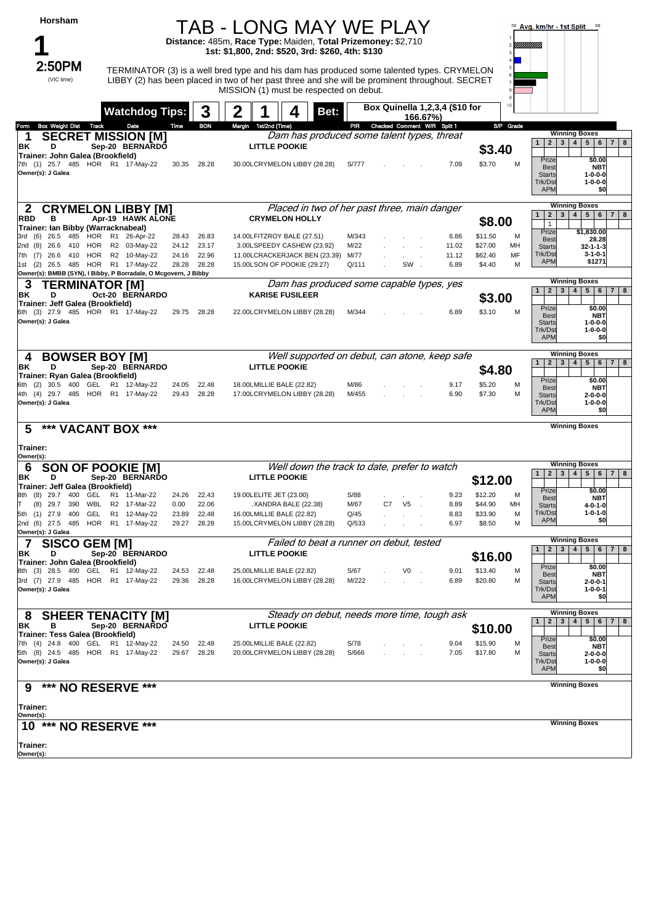| Horsham                                                                                              |                                   |                |                | TAB - LONG MAY WE PLAY                                                                                                                                                                       |               |                                 |                |                                |                    |           | $58$ Avg. km/hr - 1st Split $58$                                                                                                    |
|------------------------------------------------------------------------------------------------------|-----------------------------------|----------------|----------------|----------------------------------------------------------------------------------------------------------------------------------------------------------------------------------------------|---------------|---------------------------------|----------------|--------------------------------|--------------------|-----------|-------------------------------------------------------------------------------------------------------------------------------------|
|                                                                                                      |                                   |                |                | Distance: 485m, Race Type: Maiden, Total Prizemoney: \$2,710<br>1st: \$1,800, 2nd: \$520, 3rd: \$260, 4th: \$130                                                                             |               |                                 |                |                                |                    |           | !!!!!!!!!!!!!                                                                                                                       |
| 2:50PM                                                                                               |                                   |                |                |                                                                                                                                                                                              |               |                                 |                |                                |                    |           |                                                                                                                                     |
| (VIC time)                                                                                           |                                   |                |                | TERMINATOR (3) is a well bred type and his dam has produced some talented types. CRYMELON<br>LIBBY (2) has been placed in two of her past three and she will be prominent throughout. SECRET |               |                                 |                |                                |                    |           |                                                                                                                                     |
|                                                                                                      |                                   |                |                | MISSION (1) must be respected on debut.                                                                                                                                                      |               |                                 |                |                                |                    |           |                                                                                                                                     |
|                                                                                                      | <b>Watchdog Tips:</b>             |                | 3              | Bet:                                                                                                                                                                                         |               |                                 | 166.67%)       | Box Quinella 1,2,3,4 (\$10 for |                    | 10        |                                                                                                                                     |
| <b>Box Weight Dist Track</b><br>Form<br>1                                                            | Date<br><b>SECRET MISSION [M]</b> | Time           | <b>BON</b>     | Margin 1st/2nd (Time)<br>Dam has produced some talent types, threat                                                                                                                          |               | PIR Checked Comment W/R Split 1 |                |                                |                    | S/P Grade | <b>Winning Boxes</b>                                                                                                                |
| ΒK<br>D                                                                                              | Sep-20 BERNARDO                   |                |                | <b>LITTLE POOKIE</b>                                                                                                                                                                         |               |                                 |                |                                | \$3.40             |           | 4   5   6   7   8<br>$2 \mid 3$<br>$\mathbf{1}$                                                                                     |
| Trainer: John Galea (Brookfield)<br>7th (1) 25.7 485 HOR R1 17-May-22                                |                                   | 30.35 28.28    |                | 30.00LCRYMELON LIBBY (28.28)                                                                                                                                                                 | S/777         |                                 |                | 7.09                           | \$3.70             | M         | Prize<br>\$0.00<br><b>Best</b><br><b>NBT</b>                                                                                        |
| Owner(s): J Galea                                                                                    |                                   |                |                |                                                                                                                                                                                              |               |                                 |                |                                |                    |           | <b>Starts</b><br>$1 - 0 - 0 - 0$<br>Trk/Dst<br>$1 - 0 - 0 - 0$<br><b>APM</b><br>\$0                                                 |
| $\mathbf{z}$                                                                                         | <b>CRYMELON LIBBY [M]</b>         |                |                | Placed in two of her past three, main danger                                                                                                                                                 |               |                                 |                |                                |                    |           | <b>Winning Boxes</b>                                                                                                                |
| <b>RBD</b><br>в<br>Trainer: Ian Bibby (Warracknabeal)                                                | Apr-19 HAWK ALONE                 |                |                | <b>CRYMELON HOLLY</b>                                                                                                                                                                        |               |                                 |                |                                | \$8.00             |           | 4   5   6  <br>$\mathbf{2}$<br>3 <br>7 <sup>1</sup><br>$\mathbf{1}$<br>8<br>$\mathbf{1}$                                            |
| 3rd (6) 26.5 485 HOR R1 26-Apr-22                                                                    |                                   | 28.43          | 26.83          | 14.00LFITZROY BALE (27.51)                                                                                                                                                                   | M/343         |                                 |                | 6.86                           | \$11.50            | M         | \$1,830.00<br>Prize<br>28.28<br><b>Best</b>                                                                                         |
| 2nd (8) 26.6 410 HOR R2 03-May-22<br>7th (7) 26.6 410 HOR R2 10-May-22                               |                                   | 24.12<br>24.16 | 23.17<br>22.96 | 3.00LSPEEDY CASHEW (23.92)<br>11.00LCRACKERJACK BEN (23.39)                                                                                                                                  | M/22<br>M/77  |                                 | $\mathcal{L}$  | 11.02<br>11.12                 | \$27.00<br>\$62.40 | MH<br>MF  | <b>Starts</b><br>$32 - 1 - 1 - 3$<br>Trk/Dst<br>$3 - 1 - 0 - 1$                                                                     |
| 1st (2) 26.5 485 HOR R1 17-May-22<br>Owner(s): BMBB (SYN), I Bibby, P Borradale, O Mcgovern, J Bibby |                                   | 28.28          | 28.28          | 15.00LSON OF POOKIE (29.27)                                                                                                                                                                  | Q/111         |                                 | SW.            | 6.89                           | \$4.40             | M         | <b>APM</b><br>\$1271                                                                                                                |
| 3<br>TERMINATOR [M]                                                                                  |                                   |                |                | Dam has produced some capable types, yes                                                                                                                                                     |               |                                 |                |                                |                    |           | <b>Winning Boxes</b><br>5 6 <br>2 <sup>1</sup><br>3 <sup>1</sup><br>$\overline{4}$<br>$\mathbf{1}$<br>78                            |
| ΒK<br>D<br>Trainer: Jeff Galea (Brookfield)                                                          | Oct-20 BERNARDO                   |                |                | <b>KARISE FUSILEER</b>                                                                                                                                                                       |               |                                 |                |                                | \$3.00             |           | Prize<br>\$0.00                                                                                                                     |
| 6th (3) 27.9 485 HOR R1 17-May-22<br>Owner(s): J Galea                                               |                                   | 29.75 28.28    |                | 22.00LCRYMELON LIBBY (28.28)                                                                                                                                                                 | M/344         |                                 |                | 6.89                           | \$3.10             | M         | <b>Best</b><br><b>NBT</b><br><b>Starts</b><br>1-0-0-0<br>Trk/Dst<br>$1 - 0 - 0 - 0$<br><b>APM</b><br>\$0                            |
| <b>BOWSER BOY [M]</b><br>4                                                                           |                                   |                |                | Well supported on debut, can atone, keep safe                                                                                                                                                |               |                                 |                |                                |                    |           | <b>Winning Boxes</b>                                                                                                                |
| D<br>BK<br>Trainer: Ryan Galea (Brookfield)                                                          | Sep-20 BERNARDO                   |                |                | <b>LITTLE POOKIE</b>                                                                                                                                                                         |               |                                 |                |                                | \$4.80             |           | 2 3 4 5 6 7 8<br>1                                                                                                                  |
| 6th (2) 30.5 400 GEL R1 12-May-22<br>4th (4) 29.7 485 HOR R1 17-May-22<br>Owner(s): J Galea          |                                   | 24.05<br>29.43 | 22.48<br>28.28 | 18.00LMILLIE BALE (22.82)<br>17.00LCRYMELON LIBBY (28.28)                                                                                                                                    | M/86<br>M/455 |                                 |                | 9.17<br>6.90                   | \$5.20<br>\$7.30   | M<br>M    | Prize<br>\$0.00<br><b>Best</b><br><b>NBT</b><br>$2 - 0 - 0 - 0$<br><b>Starts</b><br>Trk/Dst<br>$1 - 0 - 0 - 0$<br><b>APM</b><br>\$0 |
| 5<br>*** VACANT BOX ***                                                                              |                                   |                |                |                                                                                                                                                                                              |               |                                 |                |                                |                    |           | <b>Winning Boxes</b>                                                                                                                |
| Trainer:<br>Owner(s):                                                                                |                                   |                |                |                                                                                                                                                                                              |               |                                 |                |                                |                    |           |                                                                                                                                     |
| 6                                                                                                    | <b>SON OF POOKIE [M]</b>          |                |                | Well down the track to date, prefer to watch                                                                                                                                                 |               |                                 |                |                                |                    |           | <b>Winning Boxes</b><br>4   5   6  <br>7 8<br>$\mathbf{1}$<br>$2 \mid 3 \mid$                                                       |
| ΒK<br>D<br>Trainer: Jeff Galea (Brookfield)                                                          | Sep-20 BERNARDO                   |                |                | <b>LITTLE POOKIE</b>                                                                                                                                                                         |               |                                 |                |                                | \$12.00            |           |                                                                                                                                     |
| 8th (8) 29.7 400 GEL R1 11-Mar-22                                                                    |                                   | 24.26          | 22.43          | 19.00LELITE JET (23.00)                                                                                                                                                                      | S/88          |                                 |                | 9.23                           | \$12.20            | М         | \$0.00<br>Prize<br><b>Best</b><br><b>NBT</b>                                                                                        |
| (8)<br>29.7 390<br>WBL<br>5th (1) 27.9 400<br>GEL                                                    | R2 17-Mar-22<br>R1 12-May-22      | 0.00<br>23.89  | 22.06<br>22.48 | .XANDRA BALE (22.38)<br>16.00LMILLIE BALE (22.82)                                                                                                                                            | M/67<br>Q/45  | C7                              | V <sub>5</sub> | 8.89<br>8.83                   | \$44.90<br>\$33.90 | MН<br>M   | $4 - 0 - 1 - 0$<br><b>Starts</b><br>Trk/Dst<br>$1 - 0 - 1 - 0$                                                                      |
| 2nd (6) 27.5 485 HOR R1 17-May-22<br>Owner(s): J Galea                                               |                                   | 29.27          | 28.28          | 15.00LCRYMELON LIBBY (28.28)                                                                                                                                                                 | Q/533         |                                 |                | 6.97                           | \$8.50             | M         | <b>APM</b><br>\$0                                                                                                                   |
| SISCO GEM [M]<br>7                                                                                   |                                   |                |                | Failed to beat a runner on debut, tested                                                                                                                                                     |               |                                 |                |                                |                    |           | <b>Winning Boxes</b><br>4<br>5 <sup>1</sup><br>$\overline{2}$<br>3 <sup>1</sup><br>$6 \mid 7 \mid 8$<br>$\mathbf{1}$                |
| ΒK<br>D<br>Trainer: John Galea (Brookfield)                                                          | Sep-20 BERNARDO                   |                |                | <b>LITTLE POOKIE</b>                                                                                                                                                                         |               |                                 |                |                                | \$16.00            |           |                                                                                                                                     |
| 8th (3) 28.5 400 GEL R1 12-May-22                                                                    |                                   | 24.53          | 22.48          | 25.00LMILLIE BALE (22.82)                                                                                                                                                                    | S/67          |                                 | V0             | 9.01                           | \$13.40            | M         | Prize<br>\$0.00<br><b>NBT</b><br>Best                                                                                               |
| 3rd (7) 27.9 485 HOR R1 17-May-22<br>Owner(s): J Galea                                               |                                   | 29.36          | 28.28          | 16.00LCRYMELON LIBBY (28.28)                                                                                                                                                                 | M/222         |                                 |                | 6.89                           | \$20.80            | M         | $2 - 0 - 0 - 1$<br><b>Starts</b><br>Trk/Dst<br>$1 - 0 - 0 - 1$<br><b>APM</b><br>\$0                                                 |
| ୪                                                                                                    | <b>SHEER TENACITY [M]</b>         |                |                | Steady on debut, needs more time, tough ask                                                                                                                                                  |               |                                 |                |                                |                    |           | <b>Winning Boxes</b><br>$\mathbf{3}$<br>4<br>5   6   7  <br>$\overline{2}$<br>1<br>8                                                |
| ΒK<br>в<br>Trainer: Tess Galea (Brookfield)                                                          | Sep-20 BERNARDO                   |                |                | <b>LITTLE POOKIE</b>                                                                                                                                                                         |               |                                 |                |                                | \$10.00            |           |                                                                                                                                     |
| 7th (4) 24.8 400 GEL R1 12-May-22                                                                    |                                   | 24.50          | 22.48          | 25.00LMILLIE BALE (22.82)                                                                                                                                                                    | S/78          |                                 |                | 9.04                           | \$15.90            | M         | Prize<br>\$0.00<br><b>NBT</b><br><b>Best</b>                                                                                        |
| 5th (8) 24.5 485 HOR R1 17-May-22<br>Owner(s): J Galea                                               |                                   | 29.67          | 28.28          | 20.00LCRYMELON LIBBY (28.28)                                                                                                                                                                 | S/666         |                                 |                | 7.05                           | \$17.80            | M         | <b>Starts</b><br>$2 - 0 - 0 - 0$<br>$1 - 0 - 0 - 0$<br>Trk/Dst<br><b>APM</b><br>\$0                                                 |
| ***<br>9                                                                                             | <b>NO RESERVE ***</b>             |                |                |                                                                                                                                                                                              |               |                                 |                |                                |                    |           | <b>Winning Boxes</b>                                                                                                                |
| Trainer:<br>Owner(s):                                                                                |                                   |                |                |                                                                                                                                                                                              |               |                                 |                |                                |                    |           |                                                                                                                                     |
| 10<br>***                                                                                            | <b>NO RESERVE ***</b>             |                |                |                                                                                                                                                                                              |               |                                 |                |                                |                    |           | <b>Winning Boxes</b>                                                                                                                |
| Trainer:                                                                                             |                                   |                |                |                                                                                                                                                                                              |               |                                 |                |                                |                    |           |                                                                                                                                     |

**Owner(s): Trainer:**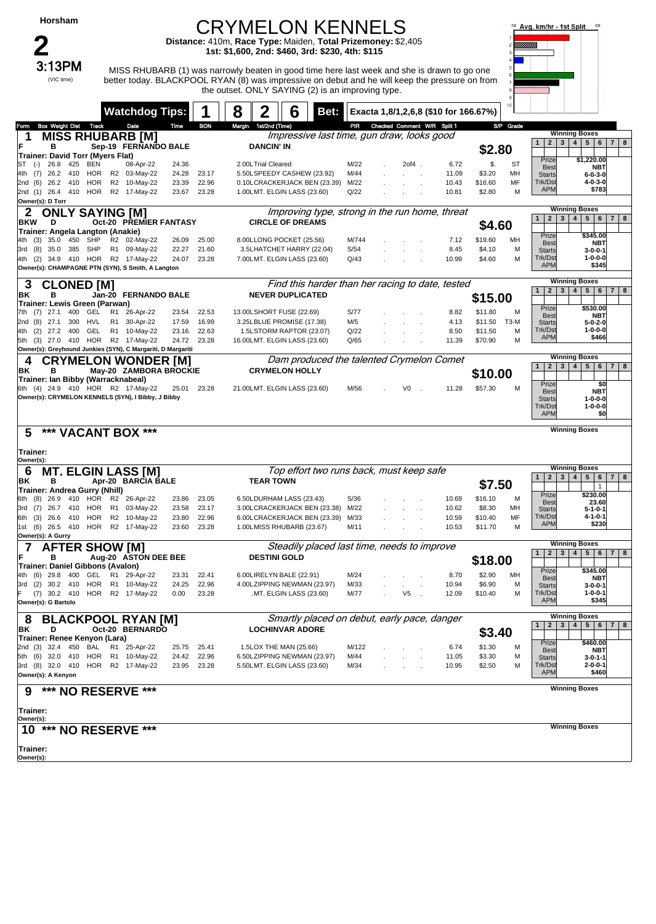| Horsham |
|---------|
|---------|

### CRYMELON KENNELS

**Distance:** 410m, **Race Type:** Maiden, **Total Prizemoney:** \$2,405 **1st: \$1,600, 2nd: \$460, 3rd: \$230, 4th: \$115**

 $3:13PM$  MISS RHUBARB (1) was narrowly beaten in good time here last week and she is drawn to go one better today. BLACKPOOL RYAN (8) was impressive on debut and he will keep the pressure on from the outset. ONLY SAYING (2) is an improving type.



|                                                             |                | <b>Watchdog Tips:</b>         |                |                | 8 | $\mathbf 2$<br>6                                      | Bet:                                             |                                 |       |               | Exacta 1,8/1,2,6,8 (\$10 for 166.67%) | 10 <sub>10</sub> |                                              |                                                       |
|-------------------------------------------------------------|----------------|-------------------------------|----------------|----------------|---|-------------------------------------------------------|--------------------------------------------------|---------------------------------|-------|---------------|---------------------------------------|------------------|----------------------------------------------|-------------------------------------------------------|
| Box Weight Dist Track                                       |                | Date                          | Time           | <b>BON</b>     |   | Margin 1st/2nd (Time)                                 |                                                  | PIR Checked Comment W/R Split 1 |       |               |                                       | S/P Grade        |                                              |                                                       |
| Form<br><b>MISS RHUBARB [M]</b>                             |                |                               |                |                |   |                                                       | Impressive last time, gun draw, looks good       |                                 |       |               |                                       |                  |                                              | <b>Winning Boxes</b>                                  |
| в                                                           |                | Sep-19 FERNANDO BALE          |                |                |   | <b>DANCIN' IN</b>                                     |                                                  |                                 |       |               |                                       |                  | $\mathbf{1}$                                 | 2 3 4 5 6 7 8                                         |
| Trainer: David Torr (Myers Flat)                            |                |                               |                |                |   |                                                       |                                                  |                                 |       |               | \$2.80                                |                  |                                              |                                                       |
| 26.8<br>425<br>BEN<br>$(-)$<br>ST                           |                | 08-Apr-22                     | 24.36          |                |   | 2.00LTrial Cleared                                    | M/22                                             |                                 | 2of4. | 6.72          | \$.                                   | ST               | Prize<br><b>Best</b>                         | \$1,220.00<br><b>NBT</b>                              |
| 4th (7)<br>26.2<br>410<br>HOR                               |                | R2 03-May-22                  | 24.28          | 23.17          |   | 5.50LSPEEDY CASHEW (23.92)                            | M/44                                             |                                 |       | 11.09         | \$3.20                                | MН               | <b>Starts</b>                                | $6 - 0 - 3 - 0$                                       |
| 26.2 410 HOR<br>2nd (6)                                     |                | R2 10-May-22                  | 23.39          | 22.96          |   | 0.10LCRACKERJACK BEN (23.39)                          | M/22                                             |                                 |       | 10.43         | \$16.60                               | MF               | Trk/Dst<br><b>APM</b>                        | 4-0-3-0<br>\$783                                      |
| 2nd (1) 26.4 410 HOR R2 17-May-22<br>Owner(s): D Torr       |                |                               | 23.67          | 23.28          |   | 1.00LMT. ELGIN LASS (23.60)                           | Q/22                                             |                                 |       | 10.81         | \$2.80                                | M                |                                              |                                                       |
| <b>ONLY SAYING [M]</b><br>2                                 |                |                               |                |                |   |                                                       | Improving type, strong in the run home, threat   |                                 |       |               |                                       |                  |                                              | <b>Winning Boxes</b>                                  |
| <b>BKW</b><br>D                                             |                | <b>Oct-20 PREMIER FANTASY</b> |                |                |   | <b>CIRCLE OF DREAMS</b>                               |                                                  |                                 |       |               |                                       |                  | $\mathbf{1}$                                 | 2   3   4   5   6   7   8                             |
| Trainer: Angela Langton (Anakie)                            |                |                               |                |                |   |                                                       |                                                  |                                 |       |               | \$4.60                                |                  |                                              |                                                       |
| 35.0 450 SHP<br>4th (3)                                     |                | R2 02-May-22                  | 26.09          | 25.00          |   | 8.00LLONG POCKET (25.56)                              | M/744                                            |                                 |       | 7.12          | \$19.60                               | MН               | Prize<br><b>Best</b>                         | \$345.00<br><b>NBT</b>                                |
| 3rd (8)<br>35.0<br>385<br>SHP                               |                | R1 09-May-22                  | 22.27          | 21.60          |   | 3.5LHATCHET HARRY (22.04)                             | S/54                                             |                                 |       | 8.45          | \$4.10                                | M                | <b>Starts</b>                                | $3 - 0 - 0 - 1$                                       |
| 4th (2) 34.9 410 HOR R2 17-May-22                           |                |                               | 24.07          | 23.28          |   | 7.00LMT. ELGIN LASS (23.60)                           | Q/43                                             |                                 |       | 10.99         | \$4.60                                | M                | Trk/Dst<br><b>APM</b>                        | $1 - 0 - 0 - 0$<br>\$345                              |
| Owner(s): CHAMPAGNE PTN (SYN), S Smith, A Langton           |                |                               |                |                |   |                                                       |                                                  |                                 |       |               |                                       |                  |                                              |                                                       |
| <b>CLONED [M]</b><br>З                                      |                |                               |                |                |   |                                                       | Find this harder than her racing to date, tested |                                 |       |               |                                       |                  |                                              | <b>Winning Boxes</b>                                  |
| в<br>ΒK                                                     |                | Jan-20 FERNANDO BALE          |                |                |   | <b>NEVER DUPLICATED</b>                               |                                                  |                                 |       |               | \$15.00                               |                  | 1                                            | 2   3   4   5   6<br>7 <br>8                          |
| Trainer: Lewis Green (Parwan)                               |                |                               |                |                |   |                                                       |                                                  |                                 |       |               |                                       |                  | Prize                                        | \$530.00                                              |
| 7th (7) 27.1<br>400 GEL                                     | R <sub>1</sub> | 26-Apr-22                     | 23.54          | 22.53          |   | 13.00LSHORT FUSE (22.69)                              | S/77                                             |                                 |       | 8.82          | \$11.80                               | M                | <b>Best</b>                                  | <b>NBT</b>                                            |
| (8)<br>27.1<br>300<br>HVL<br>2nd<br>400 GEL                 |                | R1 30-Apr-22<br>R1 10-May-22  | 17.59          | 16.99          |   | 3.25LBLUE PROMISE (17.38)<br>1.5LSTORM RAPTOR (23.07) | M/5                                              |                                 |       | 4.13          | \$11.50                               | T3-M             | <b>Starts</b><br>Trk/Dst                     | $5 - 0 - 2 - 0$<br>1-0-0-0                            |
| (2)<br>27.2<br>4th<br>5th (3) 27.0 410 HOR R2 17-May-22     |                |                               | 23.16<br>24.72 | 22.63<br>23.28 |   | 16.00LMT. ELGIN LASS (23.60)                          | Q/22<br>Q/65                                     |                                 |       | 8.50<br>11.39 | \$11.50<br>\$70.90                    | M<br>M           | <b>APM</b>                                   | \$466                                                 |
| Owner(s): Greyhound Junkies (SYN), C Margariti, D Margariti |                |                               |                |                |   |                                                       |                                                  |                                 |       |               |                                       |                  |                                              |                                                       |
| <b>CRYMELON WONDER [M]</b>                                  |                |                               |                |                |   |                                                       | Dam produced the talented Crymelon Comet         |                                 |       |               |                                       |                  |                                              | <b>Winning Boxes</b>                                  |
| ΒK<br>в                                                     |                | May-20 ZAMBORA BROCKIE        |                |                |   | <b>CRYMELON HOLLY</b>                                 |                                                  |                                 |       |               |                                       |                  | $\mathbf{1}$                                 | 2   3   4   5   6   7   8                             |
| Trainer: Ian Bibby (Warracknabeal)                          |                |                               |                |                |   |                                                       |                                                  |                                 |       |               | \$10.00                               |                  | Prize                                        | \$0                                                   |
| 6th (4) 24.9 410 HOR R2 17-May-22                           |                |                               | 25.01 23.28    |                |   | 21.00LMT. ELGIN LASS (23.60)                          | M/56                                             |                                 | V0    | 11.28         | \$57.30                               | м                | <b>Best</b>                                  | <b>NBT</b>                                            |
| Owner(s): CRYMELON KENNELS (SYN), I Bibby, J Bibby          |                |                               |                |                |   |                                                       |                                                  |                                 |       |               |                                       |                  | <b>Starts</b>                                | $1 - 0 - 0 - 0$                                       |
|                                                             |                |                               |                |                |   |                                                       |                                                  |                                 |       |               |                                       |                  | Trk/Dst<br><b>APM</b>                        | $1 - 0 - 0 - 0$<br>\$0                                |
|                                                             |                |                               |                |                |   |                                                       |                                                  |                                 |       |               |                                       |                  |                                              |                                                       |
| *** VACANT BOX ***<br>5                                     |                |                               |                |                |   |                                                       |                                                  |                                 |       |               |                                       |                  |                                              | <b>Winning Boxes</b>                                  |
|                                                             |                |                               |                |                |   |                                                       |                                                  |                                 |       |               |                                       |                  |                                              |                                                       |
|                                                             |                |                               |                |                |   |                                                       |                                                  |                                 |       |               |                                       |                  |                                              |                                                       |
| Trainer:                                                    |                |                               |                |                |   |                                                       |                                                  |                                 |       |               |                                       |                  |                                              |                                                       |
| Owner(s):                                                   |                |                               |                |                |   |                                                       |                                                  |                                 |       |               |                                       |                  |                                              | <b>Winning Boxes</b>                                  |
| <b>MT. ELGIN LASS [M]</b><br>6                              |                |                               |                |                |   |                                                       | Top effort two runs back, must keep safe         |                                 |       |               |                                       |                  | $\mathbf{3}$<br>$\mathbf{1}$<br>$\mathbf{2}$ | $5\phantom{.0}$<br> 6<br>$7 \mid 8$<br>4 <sup>1</sup> |
| в<br>ΒK<br>Trainer: Andrea Gurry (Nhill)                    |                | Apr-20 BARCIA BALE            |                |                |   | <b>TEAR TOWN</b>                                      |                                                  |                                 |       |               | \$7.50                                |                  |                                              | $\mathbf{1}$                                          |
| 26.9<br>410 HOR<br>(8)<br>6th                               |                | R2 26-Apr-22                  | 23.86          | 23.05          |   | 6.50LDURHAM LASS (23.43)                              | S/36                                             |                                 |       | 10.69         | \$16.10                               | м                | Prize<br><b>Best</b>                         | \$230.00<br>23.60                                     |
| 26.7<br>410 HOR<br>(7)<br>3rd                               |                | R1 03-May-22                  | 23.58          | 23.17          |   | 3.00LCRACKERJACK BEN (23.38)                          | M/22                                             |                                 |       | 10.62         | \$8.30                                | MН               | <b>Starts</b>                                | $5 - 1 - 0 - 1$                                       |
| 6th (3)<br>26.6 410<br>HOR                                  |                | R2 10-May-22                  | 23.80          | 22.96          |   | 6.00LCRACKERJACK BEN (23.39)                          | M/33                                             |                                 |       | 10.59         | \$10.40                               | MF               | Trk/Dst                                      | 4-1-0-1<br>\$230                                      |
| 1st (6) 26.5 410 HOR                                        |                | R2 17-May-22                  | 23.60          | 23.28          |   | 1.00LMISS RHUBARB (23.67)                             | M/11                                             |                                 |       | 10.53         | \$11.70                               | M                | <b>APM</b>                                   |                                                       |
| Owner(s): A Gurry                                           |                |                               |                |                |   |                                                       |                                                  |                                 |       |               |                                       |                  |                                              | <b>Winning Boxes</b>                                  |
| <b>AFTER SHOW IMI</b>                                       |                |                               |                |                |   |                                                       | Steadily placed last time, needs to improve      |                                 |       |               |                                       |                  | $\overline{2}$<br>3<br>$\mathbf{1}$          | 4<br>$5\phantom{.0}$<br> 6<br>7   8                   |
| в<br><b>Trainer: Daniel Gibbons (Avalon)</b>                |                | Aug-20 ASTON DEE BEE          |                |                |   | <b>DESTINI GOLD</b>                                   |                                                  |                                 |       |               | \$18.00                               |                  |                                              |                                                       |
| 4th<br>$(6)$ 29.8<br>400<br>GEL                             |                | R1 29-Apr-22                  | 23.31          | 22.41          |   | 6.00LIRELYN BALE (22.91)                              | M/24                                             |                                 |       | 8.70          | \$2.90                                | MН               | Prize<br><b>Best</b>                         | \$345.00<br>NBT                                       |
| 3rd (2) 30.2 410 HOR R1 10-May-22                           |                |                               | 24.25          | 22.96          |   | 4.00LZIPPING NEWMAN (23.97)                           | M/33                                             |                                 |       | 10.94         | \$6.90                                | M                | <b>Starts</b>                                | $3 - 0 - 0 - 1$                                       |
| (7) 30.2 410 HOR R2 17-May-22                               |                |                               | 0.00           | 23.28          |   | .MT. ELGIN LASS (23.60)                               | M/77                                             |                                 | V5    | 12.09         | \$10.40                               | M                | Trk/Dst<br><b>APM</b>                        | $1 - 0 - 0 - 1$                                       |
| Owner(s): G Bartolo                                         |                |                               |                |                |   |                                                       |                                                  |                                 |       |               |                                       |                  |                                              | \$345                                                 |
| 8                                                           |                |                               |                |                |   |                                                       | Smartly placed on debut, early pace, danger      |                                 |       |               |                                       |                  |                                              | <b>Winning Boxes</b>                                  |
| <b>BLACKPOOL RYAN [M]</b><br>BK<br>D                        |                | Oct-20 BERNARDO               |                |                |   | <b>LOCHINVAR ADORE</b>                                |                                                  |                                 |       |               |                                       |                  | $\mathbf{3}$<br>$\mathbf{2}$<br>$\mathbf{1}$ | 4<br>$5 \mid 6$<br>7 <br>8                            |
| Trainer: Renee Kenyon (Lara)                                |                |                               |                |                |   |                                                       |                                                  |                                 |       |               | \$3.40                                |                  |                                              |                                                       |
| 2nd (3) 32.4 450 BAL R1 25-Apr-22                           |                |                               | 25.75          | 25.41          |   | 1.5LOX THE MAN (25.66)                                | M/122                                            |                                 |       | 6.74          | \$1.30                                | M                | Prize<br><b>Best</b>                         | \$460.00<br><b>NBT</b>                                |
| 5th (6) 32.0 410 HOR R1 10-May-22                           |                |                               | 24.42          | 22.96          |   | 6.50LZIPPING NEWMAN (23.97)                           | M/44                                             |                                 |       | 11.05         | \$3.30                                | M                | <b>Starts</b>                                | 3-0-1-1                                               |
| 3rd (8) 32.0 410 HOR R2 17-May-22                           |                |                               | 23.95          | 23.28          |   | 5.50LMT. ELGIN LASS (23.60)                           | M/34                                             |                                 |       | 10.95         | \$2.50                                | М                | Trk/Dst<br><b>APM</b>                        | $2 - 0 - 0 - 1$<br>\$460                              |
| Owner(s): A Kenyon                                          |                |                               |                |                |   |                                                       |                                                  |                                 |       |               |                                       |                  |                                              |                                                       |
| *** NO RESERVE ***                                          |                |                               |                |                |   |                                                       |                                                  |                                 |       |               |                                       |                  |                                              | <b>Winning Boxes</b>                                  |
|                                                             |                |                               |                |                |   |                                                       |                                                  |                                 |       |               |                                       |                  |                                              |                                                       |
| Trainer:                                                    |                |                               |                |                |   |                                                       |                                                  |                                 |       |               |                                       |                  |                                              |                                                       |
| Owner(s):                                                   |                |                               |                |                |   |                                                       |                                                  |                                 |       |               |                                       |                  |                                              | <b>Winning Boxes</b>                                  |
| 10 *** NO RESERVE ***                                       |                |                               |                |                |   |                                                       |                                                  |                                 |       |               |                                       |                  |                                              |                                                       |
| Trainer:                                                    |                |                               |                |                |   |                                                       |                                                  |                                 |       |               |                                       |                  |                                              |                                                       |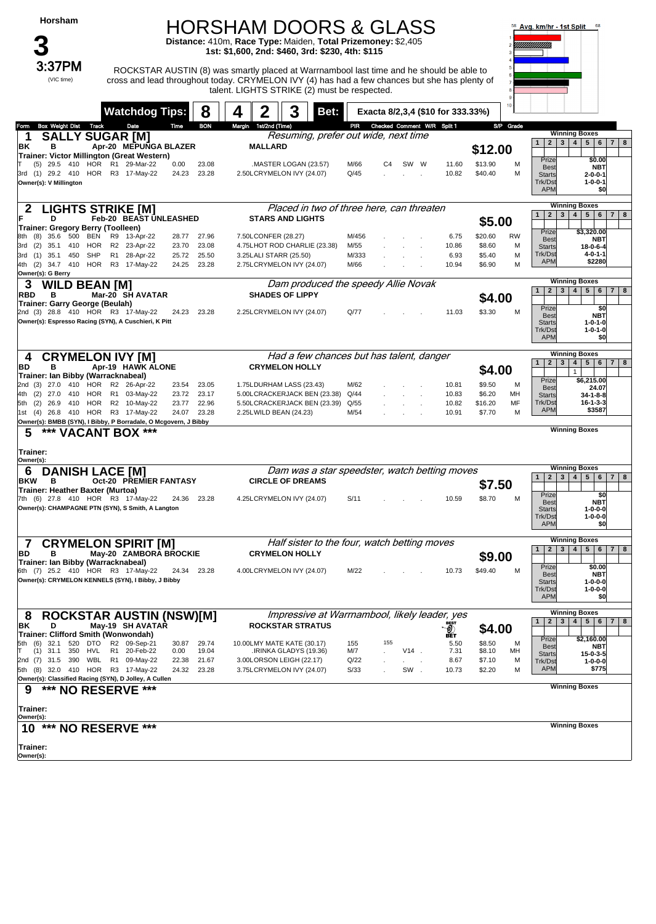### HORSHAM DOORS & GLASS

**Distance:** 410m, **Race Type:** Maiden, **Total Prizemoney:** \$2,405 **1st: \$1,600, 2nd: \$460, 3rd: \$230, 4th: \$115**



 $3:37\textsf{PM}$  ROCKSTAR AUSTIN (8) was smartly placed at Warrnambool last time and he should be able to cross and lead throughout today. CRYMELON IVY (4) has had a few chances but she has plenty of talent. LIGHTS STRIKE (2) must be respected.



| 8<br><b>Watchdog Tips:</b>                                                                                                      | 3<br>Bet:<br>4                                           | Exacta 8/2,3,4 (\$10 for 333.33%)             |                | $10 -$                       |                                                                                                 |
|---------------------------------------------------------------------------------------------------------------------------------|----------------------------------------------------------|-----------------------------------------------|----------------|------------------------------|-------------------------------------------------------------------------------------------------|
| <b>BON</b><br><b>Box Weight Dist Track</b><br>Date<br>Time<br>Form                                                              | Margin 1st/2nd (Time)                                    | PIR Checked Comment W/R Split 1               |                | S/P Grade                    |                                                                                                 |
| <b>SALLY SUGAR [M]</b>                                                                                                          |                                                          | Resuming, prefer out wide, next time          |                |                              | <b>Winning Boxes</b>                                                                            |
| Apr-20 MEPUNGA BLAZER<br>BK<br>В                                                                                                | <b>MALLARD</b>                                           |                                               |                | \$12.00                      | 2 3 4 5 6 7 8<br>$\mathbf{1}$                                                                   |
| Trainer: Victor Millington (Great Western)                                                                                      |                                                          |                                               |                |                              | Prize<br>\$0.00                                                                                 |
| (5) 29.5 410 HOR R1 29-Mar-22<br>0.00<br>23.08<br>3rd (1) 29.2 410 HOR R3 17-May-22<br>24.23<br>23.28                           | .MASTER LOGAN (23.57)<br>2.50LCRYMELON IVY (24.07)       | M/66<br>SW W<br>C4<br>Q/45                    | 11.60<br>10.82 | \$13.90<br>M<br>\$40.40<br>м | <b>NBT</b><br><b>Best</b><br><b>Starts</b><br>$2 - 0 - 0 - 1$                                   |
| Owner(s): V Millington                                                                                                          |                                                          |                                               |                |                              | Trk/Dst<br>$1 - 0 - 0 - 1$                                                                      |
|                                                                                                                                 |                                                          |                                               |                |                              | <b>APM</b><br>\$O                                                                               |
| <b>LIGHTS STRIKE [M]</b>                                                                                                        |                                                          | Placed in two of three here, can threaten     |                |                              | <b>Winning Boxes</b>                                                                            |
| D<br>Feb-20 BEAST UNLEASHED                                                                                                     | <b>STARS AND LIGHTS</b>                                  |                                               |                |                              | $2 \mid 3 \mid$<br>4 <sup>1</sup><br>5 <sup>1</sup><br>$6 \mid 7 \mid 8$<br>$\mathbf{1}$        |
| <b>Trainer: Gregory Berry (Toolleen)</b>                                                                                        |                                                          |                                               |                | \$5.00                       | Prize<br>\$3,320.00                                                                             |
| 35.6<br>500<br>BEN<br>R9 13-Apr-22<br>28.77<br>27.96<br>8th (8)                                                                 | 7.50LCONFER (28.27)                                      | M/456                                         | 6.75           | \$20.60<br><b>RW</b>         | <b>Best</b><br><b>NBT</b>                                                                       |
| R2 23-Apr-22<br>23.08<br>3rd (2)<br>35.1<br>410<br>HOR<br>23.70<br>35.1<br>450<br><b>SHP</b><br>R1 28-Apr-22<br>25.50           | 4.75LHOT ROD CHARLIE (23.38)                             | M/55                                          | 10.86          | \$8.60<br>М<br>\$5.40        | <b>Starts</b><br>18-0-6-4<br>Trk/Dst<br>$4 - 0 - 1 - 1$                                         |
| 3rd (1)<br>25.72<br>4th (2) 34.7 410 HOR R3 17-May-22<br>24.25<br>23.28                                                         | 3.25LALI STARR (25.50)<br>2.75LCRYMELON IVY (24.07)      | M/333<br>M/66                                 | 6.93<br>10.94  | М<br>\$6.90<br>м             | <b>APM</b><br>\$2280                                                                            |
| Owner(s): G Berry                                                                                                               |                                                          |                                               |                |                              |                                                                                                 |
| 3<br><b>WILD BEAN [M]</b>                                                                                                       |                                                          | Dam produced the speedy Allie Novak           |                |                              | <b>Winning Boxes</b><br>3 <sup>1</sup><br>4 <br>$5 \mid 6 \mid 7 \mid 8$<br>1<br>2 <sup>1</sup> |
| Mar-20 SH AVATAR<br><b>RBD</b><br>в                                                                                             | <b>SHADES OF LIPPY</b>                                   |                                               |                | \$4.00                       |                                                                                                 |
| Trainer: Garry George (Beulah)<br>2nd (3) 28.8 410 HOR R3 17-May-22<br>24.23 23.28                                              | 2.25LCRYMELON IVY (24.07)                                | Q/77                                          | 11.03          | \$3.30<br>м                  | Prize<br>\$0                                                                                    |
| Owner(s): Espresso Racing (SYN), A Cuschieri, K Pitt                                                                            |                                                          |                                               |                |                              | <b>NBT</b><br><b>Best</b><br>$1 - 0 - 1 - 0$<br><b>Starts</b>                                   |
|                                                                                                                                 |                                                          |                                               |                |                              | Trk/Dst<br>$1 - 0 - 1 - 0$                                                                      |
|                                                                                                                                 |                                                          |                                               |                |                              | <b>APM</b><br>\$0                                                                               |
| <b>CRYMELON IVY [M]</b><br>4                                                                                                    |                                                          | Had a few chances but has talent, danger      |                |                              | <b>Winning Boxes</b>                                                                            |
| Apr-19 HAWK ALONE<br>в<br>BD                                                                                                    | <b>CRYMELON HOLLY</b>                                    |                                               |                | \$4.00                       | $2^{\circ}$<br>$4 \mid 5 \mid$<br>1<br>3 <sup>1</sup><br>$6 \mid 7 \mid 8$<br>$\mathbf{1}$      |
| Trainer: Ian Bibby (Warracknabeal)                                                                                              |                                                          |                                               |                | м                            | Prize<br>\$6,215.00                                                                             |
| 2nd (3) 27.0<br>410 HOR<br>R2 26-Apr-22<br>23.54<br>23.05<br>R1 03-May-22<br>23.17<br>(2)<br>27.0<br>410<br>HOR<br>23.72<br>4th | 1.75LDURHAM LASS (23.43)<br>5.00LCRACKERJACK BEN (23.38) | M/62<br>Q/44                                  | 10.81<br>10.83 | \$9.50<br>\$6.20<br>MН       | <b>Best</b><br>24.07<br>$34 - 1 - 8 - 8$<br><b>Starts</b>                                       |
| 5th (2) 26.9 410 HOR<br>R2 10-May-22<br>22.96<br>23.77                                                                          | 5.50LCRACKERJACK BEN (23.39)                             | Q/55                                          | 10.82          | \$16.20<br>MF                | Trk/Dst<br>$16 - 1 - 3 - 3$                                                                     |
| 1st (4) 26.8 410 HOR<br>R3 17-May-22<br>23.28<br>24.07                                                                          | 2.25LWILD BEAN (24.23)                                   | M/54                                          | 10.91          | \$7.70<br>м                  | <b>APM</b><br>\$3587                                                                            |
| Owner(s): BMBB (SYN), I Bibby, P Borradale, O Mcgovern, J Bibby<br>***<br><b>VACANT BOX ***</b>                                 |                                                          |                                               |                |                              | <b>Winning Boxes</b>                                                                            |
|                                                                                                                                 |                                                          |                                               |                |                              |                                                                                                 |
| 5                                                                                                                               |                                                          |                                               |                |                              |                                                                                                 |
| Trainer:                                                                                                                        |                                                          |                                               |                |                              |                                                                                                 |
| Owner(s):                                                                                                                       |                                                          |                                               |                |                              | <b>Winning Boxes</b>                                                                            |
| <b>DANISH LACE [M]</b><br>6                                                                                                     |                                                          | Dam was a star speedster, watch betting moves |                |                              | $2 \mid 3 \mid$<br>4   5   6   7   8<br>$\mathbf{1}$                                            |
| <b>Oct-20 PREMIER FANTASY</b><br><b>BKW</b><br>в<br>Trainer: Heather Baxter (Murtoa)                                            | <b>CIRCLE OF DREAMS</b>                                  |                                               |                | \$7.50                       |                                                                                                 |
| 7th (6) 27.8 410 HOR R3 17-May-22<br>24.36 23.28                                                                                | 4.25LCRYMELON IVY (24.07)                                | S/11                                          | 10.59          | \$8.70<br>м                  | Prize<br>\$0<br><b>NBT</b><br><b>Best</b>                                                       |
| Owner(s): CHAMPAGNE PTN (SYN), S Smith, A Langton                                                                               |                                                          |                                               |                |                              | $1 - 0 - 0 - 0$<br><b>Starts</b>                                                                |
|                                                                                                                                 |                                                          |                                               |                |                              | $1 - 0 - 0 - 0$<br>Trk/Dst<br><b>APM</b><br>\$0                                                 |
|                                                                                                                                 |                                                          |                                               |                |                              | <b>Winning Boxes</b>                                                                            |
| <b>CRYMELON SPIRIT [M]</b><br>7<br>в                                                                                            |                                                          | Half sister to the four, watch betting moves  |                |                              | 2 <br>$3   4   5   6$<br>$\mathbf{1}$<br>$7 \mid 8$                                             |
| May-20 ZAMBORA BROCKIE<br>BD<br>Trainer: Ian Bibby (Warracknabeal)                                                              | <b>CRYMELON HOLLY</b>                                    |                                               |                | \$9.00                       |                                                                                                 |
| 6th (7) 25.2 410 HOR R3 17-May-22<br>24.34<br>23.28                                                                             | 4.00LCRYMELON IVY (24.07)                                | M/22                                          | 10.73          | \$49.40<br>M                 | Prize<br>\$0.00<br><b>Best</b><br><b>NBT</b>                                                    |
| Owner(s): CRYMELON KENNELS (SYN), I Bibby, J Bibby                                                                              |                                                          |                                               |                |                              | <b>Starts</b><br>$1 - 0 - 0 - 0$                                                                |
|                                                                                                                                 |                                                          |                                               |                |                              | Trk/Dst<br>$1 - 0 - 0 - 0$<br>APM<br>\$0                                                        |
|                                                                                                                                 |                                                          |                                               |                |                              | <b>Winning Boxes</b>                                                                            |
| <b>ROCKSTAR AUSTIN (NSW)[M]</b><br>8                                                                                            |                                                          | Impressive at Warrnambool, likely leader, yes |                |                              | $2 \mid 3 \mid$<br>4 <sup>1</sup><br>$5 \mid 6$<br>7   8<br>$\mathbf{1}$                        |
| May-19 SH AVATAR<br>ΒK<br>D<br>Trainer: Clifford Smith (Wonwondah)                                                              | <b>ROCKSTAR STRATUS</b>                                  |                                               |                | \$4.00                       |                                                                                                 |
| 32.1 520 DTO<br>R2 09-Sep-21<br>5th (6)<br>30.87<br>29.74                                                                       | 10.00LMY MATE KATE (30.17)                               | 155<br>155                                    | ิฐิ<br>5.50    | \$8.50<br>м                  | Prize<br>\$2,160.00<br><b>Best</b><br>NBT                                                       |
| $(1)$ 31.1<br>R1 20-Feb-22<br>0.00<br>19.04<br>350<br>HVL                                                                       | .IRINKA GLADYS (19.36)                                   | M/7<br>$V14$ .                                | 7.31           | \$8.10<br>MН                 | <b>Starts</b><br>15-0-3-5                                                                       |
| 2nd (7) 31.5 390<br>WBL<br>R1 09-May-22<br>22.38<br>21.67<br>5th (8) 32.0 410 HOR<br>R3 17-May-22<br>24.32<br>23.28             | 3.00LORSON LEIGH (22.17)<br>3.75LCRYMELON IVY (24.07)    | Q/22<br>S/33<br>SW.                           | 8.67<br>10.73  | \$7.10<br>м<br>\$2.20<br>м   | Trk/Dst<br>$1 - 0 - 0 - 0$<br><b>APM</b><br>\$775                                               |
| Owner(s): Classified Racing (SYN), D Jolley, A Cullen                                                                           |                                                          |                                               |                |                              |                                                                                                 |
| *** NO RESERVE ***<br>9                                                                                                         |                                                          |                                               |                |                              | <b>Winning Boxes</b>                                                                            |
|                                                                                                                                 |                                                          |                                               |                |                              |                                                                                                 |
| Trainer:<br>Owner(s):                                                                                                           |                                                          |                                               |                |                              |                                                                                                 |
| 10 *** NO RESERVE ***                                                                                                           |                                                          |                                               |                |                              | <b>Winning Boxes</b>                                                                            |
| Trainer:                                                                                                                        |                                                          |                                               |                |                              |                                                                                                 |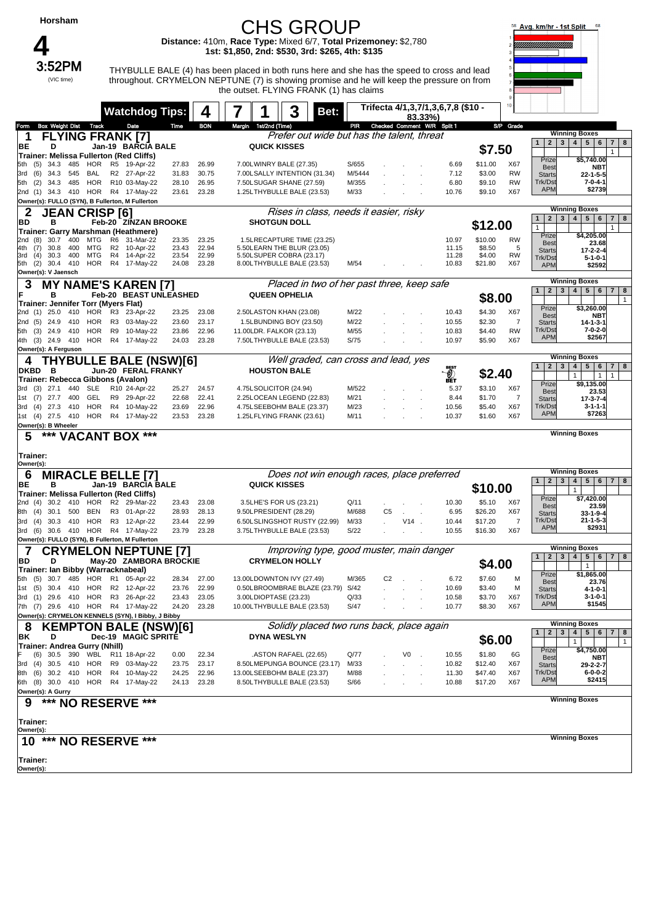#### **Horsham** CHS GROUP 58 Avg. km/hr - 1st Split **Distance:** 410m, **Race Type:** Mixed 6/7, **Total Prizemoney:** \$2,780 **4**<br>3:52PM **1st: \$1,850, 2nd: \$530, 3rd: \$265, 4th: \$135** ┑ THYBULLE BALE (4) has been placed in both runs here and she has the speed to cross and lead (VIC time)throughout. CRYMELON NEPTUNE (7) is showing promise and he will keep the pressure on from the outset. FLYING FRANK (1) has claims **Watchdog Tips: 4 7 1 3 Bet: Trifecta 4/1,3,7/1,3,6,7,8 (\$10 - 83.33%)** Form Box Weight Dist Track Date Time BON Margin 1st/2nd (Time) PIR Checked Comment W/R Split 1 S/P Grade **Winning Boxes 1 FLYING FRANK [7]** *Prefer out wide but has the talent, threat BE* **Prefer Struck KISSES Jan-19 <sup>1</sup> <sup>2</sup> <sup>3</sup> <sup>4</sup> <sup>5</sup> <sup>6</sup> <sup>7</sup> <sup>8</sup> BE <sup>D</sup> BARCIA BALE QUICK KISSES \$7.50 Trainer: Melissa Fullerton (Red Cliffs)** 1 Priz **\$5,740.00** 5th (5) 34.3 485 HOR R5 19-Apr-22 27.83 26.99 7.00LWINRY BALE (27.35) S/655 . . . 6.69 \$11.00 X67 **Be NBT** 3rd (6) 34.3 545 BAL R2 27-Apr-22 31.83 30.75 7.00LSALLY.INTENTION (31.34) M/5444 . . . . 7.12 \$3.00 RW<br>5th (2) 34.3 485 HOR R10.03-May-22 28.10 26.95 7.50LSUGAR.SHANE (27.59) M/355 . . . . 6.80 \$9.10 RW Start **22-1-5-5** ات<br>Trk/D 5th (2) 34.3 485 HOR R10 03-May-22 28.10 26.95 7.50LSUGAR SHANE (27.59) M/355 . . . . 6.80 \$9.10<br>2nd (1) 34.3 410 HOR R4 17-May-22 23.61 23.28 1.25LTHYBULLE BALE (23.53) M/33 . . . . . . . 10.76 \$9.10 **7-0-4-1 \$2739 AP** .<br>2014 11 21.3 4.3 4.10 HOR R4 1.7-May-22 2.3.61 2.3.28 1.25LTHYBULLE BALE (23.53) M/33 . . . . . . . . . . . . 10.76 \$9.10 X67 **Owner(s): FULLO (SYN), B Fullerton, M Fullerton Winning Box 2 JEAN CRISP [6]** *Rises in class, needs it easier, risky*<br>
BD B Feb-20 ZINZAN BROOKE SHOTGUN DOLL **FEB-20 12.00 12.3 4 5 6 7**<br> **Feb-20 ZINZAN BROOKE** SHOTGUN DOLL SHOTGUN DOLL STORE 12.00 1 1 2 3 4 5 6 7 **BD B Feb-20 ZINZAN BROOKE SHOTGUN DOLL**<br> **Trainer: Garry Marshman (Heathmere)** 23.35 23.25 1.5LRECAPTURE TIME (23.25) 2009 RM<br>
2nd (8) 30.7 400 MTG R2 10-Apr-22 23.43 22.94 5.50LEARN THE BLUR (23.05) 10.07 \$10.00 RM 1 | | | | | 1 **\$4,205.00** Priz 2nd (8) 30.7 400 MTG R6 31-Mar-22 23.35 23.25 1.5LRECAPTURE TIME (23.25) 10.97 \$10.00 RW Be **23.68** 4th (7) 30.8 400 MTG R2 10-Apr-22 23.43 22.94 5.50LEARN THE BLUR (23.05) 11.15 \$8.50<br>3rd (4) 30.3 400 MTG R4 14-Apr-22 23.54 22.99 5.50LSUPER COBRA (23.17) 11.28 \$4.00 **17-2-2-4** Start 3rd (4) 30.3 400 MTG R4 14-Apr-22 23.54 22.99 5.50LSUPER COBRA (23.17) 11.28 \$4.00 RW  $Trk/Ds$ **5-1-0-1** 8.00LTHYBULLE BALE (23.53) API<sup></sup> **\$2592 Owner(s): V Jaensch 3 MY NAME'S KAREN [7]** Placed in two of her past three, keep safe<br>B<br>B<br>Reast UNITABLED QUEEN OPHELLA **Winning Boxes Feb-20 <sup>1</sup> <sup>2</sup> <sup>3</sup> <sup>4</sup> <sup>5</sup> <sup>6</sup> <sup>7</sup> <sup>8</sup> <sup>F</sup> <sup>B</sup> BEAST UNLEASHED QUEEN OPHELIA \$8.00 Trainer: Jennifer Torr (Myers Flat)**  $\overline{1}$ **\$3,260.00** 25.0 410 HOR R3 23-Apr-22 23.25 23.08 2.50LASTON KHAN (23.08) M/22 . . . . 10.43<br>24.9 410 HOR R3 03-May-22 23.60 23.17 1.5LBUNDING BOY (23.50) M/22 . . . . 10.55 Prize **Be NBT** 2nd (5) 24.9 410 HOR R3 03-May-22 23.60 23.17 1.5LBUNDING BOY (23.50) M/22 . . . 10.55 \$2.30 7  $S<sub>tar</sub>$ **14-1-3-1** .<br>5th (3) 24.9 410 HOR R9 10-May-22 23.86 22.96 11.00LDR. FALKOR (23.13) M/55 . . . . 10.83 \$4.40 RW<br>4th (3) 24.9 410 HOR R4 17-May-22 24.03 23.28 7.501 THYRIIII FBAI F (23.53) S/75 . . . . . . 10.97 \$5.90 X67 Trk/Ds **7-0-2-0** APM **\$2567** 4th (3) 24.9 410 HOR R4 17-May-22 24.03 23.28 7.50LTHYBULLE BALE (23.53) S/75 . . . 10.97 \$5.90 X67 **Owner(s): A Ferguson Winning Boxes 4 THYBULLE BALE (NSW)[6]** *Well graded, can cross and lead, yes DRBD* B *Jun-20* FERAL FRANKY **JUN-20 FERAL FRANKY** HOUSTON BALE **1999 HOUSTON BALE 1999 HOUSTON BALE DRBD B FERAL FRANKY HOUSTON BALE 1000 CONTRANT <b>FRANKY HOUSTON BALE <sup>nst</sup>**<br>Trainer: Rebecca Gibbons (Avalon) **B EXAL FRANKY HOUSTON BALE <sup>199</sup> EXAL EXAL PRANKY B EXAL PRANKY B EXAL PRANKY B** 1 1 1 **\$9,135.00** Prize 3rd (3) 27.1 440 SLE R10 24-Apr-22 25.27 24.57 4.75LSOLICITOR(24.94) M/522 5.37 \$3.10 X67<br>1st (7) 27.7 400 GEL R9 29-Apr-22 22.68 22.41 2.25LOCEAN.LEGEND(22.83) M/21 8.44 \$1.70 7 Be **23.53** 1st (1909) 27.7 400 GEL R9 29-Apr-22 22.68 22.41 2.25LOCEAN LEGEND (22.83) M/21 . . . . 8.44 \$1.70 7<br>27.3 410 HOR R4 10-May-22 23.69 22.96 4.75LSEEBOHM BALE (23.37) M/23 . . . . 10.56 \$5.40 X67 Start **17-3-7-4** 3rd (4) 27.3 410 HOR R4 10-May-22 23.69 22.96 4.75LSEEBOHM BALE (23.37) M/23 . . . . 10.56<br>1st (4) 27.5 410 HOR R4 17-May-22 23.53 23.28 1.25LFLYING FRANK (23.61) M/11 . . . . . 10.37 Trk/D **3-1-1-1** 1st (4) 27.5 410 HOR R4 17-May-22 23.53 23.28 1.25LFLYING FRANK (23.61) M/11 . . . 10.37 \$1.60 X67 **AP \$7263 Owner(s): B Wheeler 5 \*\*\* VACANT BOX \*\*\* Winning Boxes Trainer: Owner(s): Winning Boxes 6 MIRACLE BELLE [7]** Does not win enough races, place preferred<br>BE B Jan-19 BARCIA BALE QUICK KISSES **Jan-19 <sup>1</sup> <sup>2</sup> <sup>3</sup> <sup>4</sup> <sup>5</sup> <sup>6</sup> <sup>7</sup> <sup>8</sup> BE <sup>B</sup> BARCIA BALE QUICK KISSES \$10.00 Trainer: Melissa Fullerton (Red Cliffs)**  $\overline{1}$ Prize Best **\$7,420.00 23.59** 2nd (4) 30.2 410 HOR R2 29-Mar-22 23.43 23.08 3.5LHE'S FOR US (23.21) Q/11 . . 10.30 \$5.10<br>8th (4) 30.1 500 BEN R3 01-Apr-22 28.93 28.13 9.50LPRESIDENT (28.29) M/688 C5 . 6.95 \$26.20 .<br>8th (4) 30.1 500 BEN R3 01-Apr-22 28.93 28.13 9.50LPRESIDENT(28.29) M/688 C5 . . . 6.95 \$26.20 X67<br>3rd (4) 30.3 410 HOR R3 12-Apr-22 23.44 22.99 6.50LSLINGSHOT RUSTY(22.99) M/33 . V14 . 10.44 \$17.20 7 Start **33-1-9-4** ات<br>Trk/D 3rd (4) 30.3 410 HOR R3 12-Apr-22 23.44 22.99 6.50LSLINGSHOT RUSTY (22.99) M/33 V14 . 10.44 \$17.20<br>3rd (6) 30.6 410 HOR R4 17-May-22 23.79 23.28 3.75LTHYBULLE BALE (23.53) S/22 10.55 \$16.30 X6 **21-1-5-3**  $\Delta$ P **\$2931** 3rd (6) 30.6 410 HOR R4 17-May-22 23.79 23.28 3.75LTHYBULLE BALE (23.53) S/22 . . . 10.55 \$16.30 X67 **Owner(s): FULLO (SYN), B Fullerton, M Fullerton Winning Boxe 7 CRYMELON NEPTUNE [7]** *Improving type, good muster, main danger IBD* **IM** *May-20* ZAMBORA BROCKIE **CRYMELON HOLLY May-20 ZAMBORA BROCKIE CRYMELON HOLLY** *CONTROVERSIVE CALCULATION* **CALCULATION BD <sup>D</sup> ZAMBORA BROCKIE CRYMELON HOLLY \$4.00 Trainer: Ian Bibby (Warracknabeal)**  $\overline{1}$ **\$1,865.00 Priz** 5th (5) 30.7 485 HOR R1 05-Apr-22 28.34 27.00 13.00LDOWNTON IVY (27.49) M/365 C2 . . 6.72 \$7.60 M Be **23.76** 1st (5) 30.4 410 HOR R2 12-Apr-22 23.76 22.99 0.50LBROOMBRAE BLAZE (23.79) S/42 . . . 10.69 \$3.40 M Start **4-1-0-1** 3rd (1) 29.6 410 HOR R3 26-Apr-22 23.43 23.05 3.00LDIOPTASE (23.23) Q/33 . . . 10.58 \$3.70 X67 Trk/Dst **3-1-0-1 AP \$1545** 7th (7) 29.6 410 HOR R4 17-May-22 24.20 23.28 10.00LTHYBULLE BALE (23.53) S/47 . . . 10.77 \$8.30 X67 **Owner(s): CRYMELON KENNELS (SYN), I Bibby, J Bibby Winning Boxes 8 KEMPTON BALE (NSW)[6]** Solidly placed two runs back, place again BK B **DEC-19 MACIC SPRITE**<br>Dec-19 MAGIC SPRITE DYNA WESLYN **1999 SOCK, PRICE DYNA WESLYN BK <sup>D</sup> MAGIC SPRITE DYNA WESLYN \$6.00 Trainer: Andrea Gurry (Nhill)** 1 | | | | 1 Prize Best **\$4,750.00 ASTON RAFAEL (22.65) NBT 29-2-2-7** 3rd (4) 30.5 410 HOR R9 03-May-22 23.75 23.17 8.50LMEPUNGA BOUNCE (23.17) M/33 . . . 10.82 \$12.40 X67 Star 8th (6) 30.2 410 HOR R4 10-May-22 24.25 22.96 13.00LSEEBOHM BALE (23.37) M/88 . . . 11.30 \$47.40 X67 Trk/D **6-0-0-2** API **\$2415** 6th (8) 30.0 410 HOR R4 17-May-22 24.13 23.28 8.50LTHYBULLE BALE (23.53) S/66 . . . 10.88 \$17.20 X67 **Owner(s): A Gurry Winning Boxes 9 \*\*\* NO RESERVE \*\*\* Trainer: Owner(s): Winning Boxes 10 \*\*\* NO RESERVE \*\*\* Trainer: Owner(s):**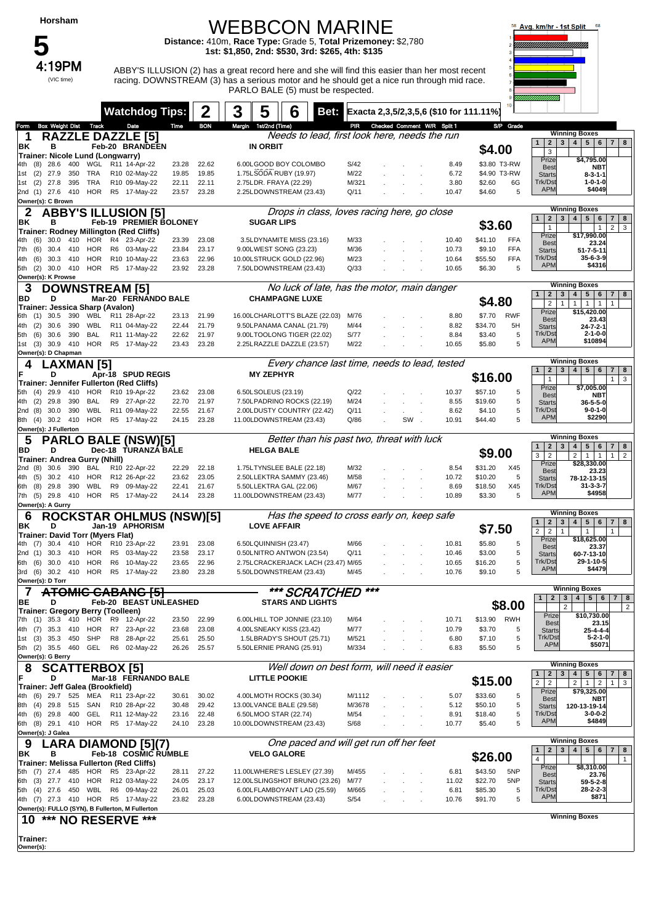## WEBBCON MARINE

**Distance:** 410m, **Race Type:** Grade 5, **Total Prizemoney:** \$2,780 **1st: \$1,850, 2nd: \$530, 3rd: \$265, 4th: \$135**



 $4:19PM$  ABBY'S ILLUSION (2) has a great record here and she will find this easier than her most recent racing. DOWNSTREAM (3) has a serious motor and he should get a nice run through mid race. PARLO BALE (5) must be respected.



|                |                                                        |                 |                   |                           | <b>Watchdog Tips:</b>                                             |                |                | 3<br>5                | 6                                                             | Bet: |                |    | Exacta 2,3,5/2,3,5,6 (\$10 for 111.11%) |                    |              |                                                         |                                                                                |
|----------------|--------------------------------------------------------|-----------------|-------------------|---------------------------|-------------------------------------------------------------------|----------------|----------------|-----------------------|---------------------------------------------------------------|------|----------------|----|-----------------------------------------|--------------------|--------------|---------------------------------------------------------|--------------------------------------------------------------------------------|
| Form           | <b>Box Weight Dist Track</b>                           |                 |                   |                           | Date                                                              | Time           | <b>BON</b>     | Margin 1st/2nd (Time) |                                                               |      |                |    | PIR Checked Comment W/R Split 1         |                    | S/P Grade    |                                                         |                                                                                |
| -1             |                                                        |                 |                   | <b>RAZZLE DAZZLE [5]</b>  |                                                                   |                |                |                       | Needs to lead, first look here, needs the run                 |      |                |    |                                         |                    |              | 2 <sub>1</sub><br>1                                     | <b>Winning Boxes</b><br>4   5   6  <br>3 <sup>1</sup><br>$7 \mid 8$            |
| ΒK             | в                                                      |                 |                   |                           | Feb-20 BRANDEEN                                                   |                |                | <b>IN ORBIT</b>       |                                                               |      |                |    |                                         | \$4.00             |              | 3                                                       |                                                                                |
|                | Trainer: Nicole Lund (Longwarry)<br>28.6<br>(8)        |                 | 400 WGL           |                           | R11 14-Apr-22                                                     | 23.28          | 22.62          |                       | 6.00LGOOD BOY COLOMBO                                         |      | S/42           |    | 8.49                                    |                    | \$3.80 T3-RW | Prize                                                   | \$4,795.00                                                                     |
| 1st            | (2)<br>27.9                                            | 350             | TRA               |                           | R10 02-May-22                                                     | 19.85          | 19.85          |                       | 1.75LSODA RUBY (19.97)                                        |      | M/22           |    | 6.72                                    |                    | \$4.90 T3-RW | <b>Best</b><br><b>Starts</b>                            | NBT<br>$8 - 3 - 1 - 1$                                                         |
| 1st            | (2)<br>27.8                                            | 395             | TRA               |                           | R10 09-May-22                                                     | 22.11          | 22.11          |                       | 2.75LDR. FRAYA (22.29)                                        |      | M/321          |    | 3.80                                    | \$2.60             | 6G           | Trk/Dst                                                 | $1 - 0 - 1 - 0$                                                                |
|                | 2nd (1) 27.6 410 HOR                                   |                 |                   |                           | R5 17-May-22                                                      | 23.57          | 23.28          |                       | 2.25LDOWNSTREAM (23.43)                                       |      | Q/11           |    | 10.47                                   | \$4.60             | 5            | <b>APM</b>                                              | \$4049                                                                         |
|                | Owner(s): C Brown                                      |                 |                   |                           |                                                                   |                |                |                       |                                                               |      |                |    |                                         |                    |              |                                                         | <b>Winning Boxes</b>                                                           |
|                |                                                        |                 |                   |                           | <b>ABBY'S ILLUSION [5]</b>                                        |                |                |                       | Drops in class, loves racing here, go close                   |      |                |    |                                         |                    |              | 2 <sub>1</sub><br>1                                     | 3 <br>4<br>5 <sup>5</sup><br>6<br>$7 \mid 8$                                   |
| ΒK             | в                                                      |                 |                   |                           | Feb-19 PREMIER BOLONEY<br>Trainer: Rodney Millington (Red Cliffs) |                |                |                       | <b>SUGAR LIPS</b>                                             |      |                |    |                                         | \$3.60             |              | $\mathbf{1}$                                            | $2 \mid 3$<br>$\mathbf{1}$                                                     |
|                | (6)<br>30.0                                            | 410             | HOR               |                           | R4 23-Apr-22                                                      | 23.39          | 23.08          |                       | 3.5LDYNAMITE MISS (23.16)                                     |      | M/33           |    | 10.40                                   | \$41.10            | <b>FFA</b>   | Prize                                                   | \$17,990.00                                                                    |
| 7th            | (6)<br>30.4                                            | 410             | HOR               |                           | R6 03-May-22                                                      | 23.84          | 23.17          |                       | 9.00LWEST SONG (23.23)                                        |      | M/36           |    | 10.73                                   | \$9.10             | <b>FFA</b>   | <b>Best</b><br><b>Starts</b>                            | 23.24<br>$51 - 7 - 5 - 11$                                                     |
| 4th            | (6)                                                    | 30.3 410        | HOR               |                           | R10 10-May-22                                                     | 23.63          | 22.96          |                       | 10.00LSTRUCK GOLD (22.96)                                     |      | M/23           |    | 10.64                                   | \$55.50            | <b>FFA</b>   | Trk/Dst                                                 | $35 - 6 - 3 - 9$                                                               |
| 5th            | (2)                                                    | 30.0 410        |                   | HOR R5 17-May-22          |                                                                   | 23.92          | 23.28          |                       | 7.50LDOWNSTREAM (23.43)                                       |      | Q/33           |    | 10.65                                   | \$6.30             | 5            | <b>APM</b>                                              | \$4316                                                                         |
|                | Owner(s): K Prowse                                     |                 |                   |                           |                                                                   |                |                |                       | No luck of late, has the motor, main danger                   |      |                |    |                                         |                    |              |                                                         | <b>Winning Boxes</b>                                                           |
| 3<br>BD        | D                                                      |                 |                   | <b>DOWNSTREAM [5]</b>     | Mar-20 FERNANDO BALE                                              |                |                |                       | <b>CHAMPAGNE LUXE</b>                                         |      |                |    |                                         |                    |              | 2 <sup>2</sup>                                          | 4<br>$5 \mid 6$<br>$7 \mid 8$<br>3 <sup>1</sup>                                |
|                | Trainer: Jessica Sharp (Avalon)                        |                 |                   |                           |                                                                   |                |                |                       |                                                               |      |                |    |                                         | \$4.80             |              | $\overline{2}$                                          | $\mathbf{1}$<br>1<br>$\overline{1}$<br>$\mathbf{1}$<br>$\mathbf{1}$            |
| 6th            | 30.5<br>(1)                                            | 390             | WBL               | R11 28-Apr-22             |                                                                   | 23.13          | 21.99          |                       | 16.00LCHARLOTT'S BLAZE (22.03)                                |      | M/76           |    | 8.80                                    | \$7.70             | <b>RWF</b>   | Prize<br><b>Best</b>                                    | \$15,420.00<br>23.43                                                           |
| 4th            | (2)                                                    | 30.6 390        | WBL               |                           | R11 04-May-22                                                     | 22.44          | 21.79          |                       | 9.50LPANAMA CANAL (21.79)                                     |      | M/44           |    | 8.82                                    | \$34.70            | 5H           | <b>Starts</b>                                           | 24-7-2-1                                                                       |
| 5th            | (6)<br>30.6                                            | 390             | <b>BAL</b>        |                           | R11 11-May-22                                                     | 22.62          | 21.97          |                       | 9.00LTOOLONG TIGER (22.02)                                    |      | S/77           |    | 8.84                                    | \$3.40             | 5            | Trk/Dst<br><b>APM</b>                                   | $2 - 1 - 0 - 0$<br>\$10894                                                     |
| 1st            | (3)<br>Owner(s): D Chapman                             | 30.9 410        |                   | HOR R5 17-May-22          |                                                                   | 23.43          | 23.28          |                       | 2.25LRAZZLE DAZZLE (23.57)                                    |      | M/22           |    | 10.65                                   | \$5.80             | 5            |                                                         |                                                                                |
| 4              |                                                        |                 | <b>LAXMAN</b> [5] |                           |                                                                   |                |                |                       | Every chance last time, needs to lead, tested                 |      |                |    |                                         |                    |              |                                                         | <b>Winning Boxes</b>                                                           |
|                | D                                                      |                 |                   |                           | Apr-18 SPUD REGIS                                                 |                |                |                       | <b>MY ZEPHYR</b>                                              |      |                |    |                                         |                    |              | 1<br>$2^{\circ}$                                        | 5 <sup>5</sup><br>3 <sup>1</sup><br>4<br>6<br>$7 \mid 8$                       |
|                |                                                        |                 |                   |                           | <b>Trainer: Jennifer Fullerton (Red Cliffs)</b>                   |                |                |                       |                                                               |      |                |    |                                         | \$16.00            |              | $\mathbf{1}$<br>Prize                                   | $\mathbf{3}$<br>1<br>\$7,005.00                                                |
| 5th            | 29.9<br>(4)                                            | 410             | HOR               | R10 19-Apr-22             |                                                                   | 23.62          | 23.08          |                       | 6.50LSOLEUS (23.19)                                           |      | Q/22           |    | 10.37                                   | \$57.10            | 5            | <b>Best</b>                                             | NBT                                                                            |
| 4th            | (2)<br>29.8                                            | 390             | BAL               |                           | R9 27-Apr-22                                                      | 22.70          | 21.97          |                       | 7.50LPADRINO ROCKS (22.19)                                    |      | M/24           |    | 8.55                                    | \$19.60            | 5            | <b>Starts</b>                                           | 36-5-5-0<br>$9 - 0 - 1 - 0$                                                    |
| 2nd<br>8th     | (8)<br>$(4)$ 30.2 410                                  | 30.0 390        | WBL<br><b>HOR</b> |                           | R11 09-May-22<br>R5 17-May-22                                     | 22.55<br>24.15 | 21.67<br>23.28 |                       | 2.00LDUSTY COUNTRY (22.42)<br>11.00LDOWNSTREAM (23.43)        |      | Q/11<br>Q/86   | SW | 8.62<br>10.91                           | \$4.10<br>\$44.40  | 5<br>5       | Trk/Dst<br><b>APM</b>                                   | \$2290                                                                         |
|                | Owner(s): J Fullerton                                  |                 |                   |                           |                                                                   |                |                |                       |                                                               |      |                |    |                                         |                    |              |                                                         |                                                                                |
| 5              |                                                        |                 |                   |                           | <b>PARLO BALE (NSW)[5]</b>                                        |                |                |                       | Better than his past two, threat with luck                    |      |                |    |                                         |                    |              |                                                         | <b>Winning Boxes</b>                                                           |
| BD             | D                                                      |                 |                   |                           | Dec-18 TURANZA BALE                                               |                |                |                       | <b>HELGA BALE</b>                                             |      |                |    |                                         | \$9.00             |              | 1<br>$\overline{2}$<br>3 <sup>1</sup><br>$\overline{2}$ | 5 <sup>1</sup><br>3<br>4 <br>6<br>$7 \mid 8$<br>$\mathbf{1}$<br>$\overline{1}$ |
|                | Trainer: Andrea Gurry (Nhill)                          |                 |                   |                           |                                                                   |                |                |                       |                                                               |      |                |    |                                         |                    |              | Prize                                                   | 2 <br>$\overline{2}$<br>1<br>\$28,330.00                                       |
| 2nd (8)<br>4th | 30.6                                                   | 390<br>30.2 410 | BAL<br><b>HOR</b> |                           | R10 22-Apr-22<br>R12 26-Apr-22                                    | 22.29<br>23.62 | 22.18<br>23.05 |                       | 1.75LTYNSLEE BALE (22.18)<br>2.50LLEKTRA SAMMY (23.46)        |      | M/32<br>M/58   |    | 8.54<br>10.72                           | \$31.20<br>\$10.20 | X45<br>5     | <b>Best</b>                                             | 23.23                                                                          |
| 6th            | (5)<br>(8)<br>29.8                                     | 390             | WBL               | R9                        | 09-May-22                                                         | 22.41          | 21.67          |                       | 5.50LLEKTRA GAL (22.06)                                       |      | M/67           |    | 8.69                                    | \$18.50            | X45          | <b>Starts</b><br>Trk/Dst                                | 78-12-13-15<br>$31 - 3 - 3 - 7$                                                |
| 7th            | (5)                                                    |                 |                   | 29.8 410 HOR R5 17-May-22 |                                                                   | 24.14          | 23.28          |                       | 11.00LDOWNSTREAM (23.43)                                      |      | M/77           |    | 10.89                                   | \$3.30             | 5            | <b>APM</b>                                              | \$4958                                                                         |
|                | Owner(s): A Gurry                                      |                 |                   |                           |                                                                   |                |                |                       |                                                               |      |                |    |                                         |                    |              |                                                         |                                                                                |
| 6              |                                                        |                 |                   |                           | <b>ROCKSTAR OHLMUS (NSW)[5]</b>                                   |                |                |                       | Has the speed to cross early on, keep safe                    |      |                |    |                                         |                    |              | $\mathbf{2}$<br>1                                       | <b>Winning Boxes</b><br>5 <sup>5</sup><br>3<br>4<br>6<br>$7 \mid 8$            |
| ΒK             | D                                                      |                 |                   |                           | Jan-19 APHORISM                                                   |                |                |                       | <b>LOVE AFFAIR</b>                                            |      |                |    |                                         | \$7.50             |              | 2 <sup>1</sup><br>$\overline{2}$                        | $\mathbf{1}$<br>$\mathbf{1}$                                                   |
|                | <b>Trainer: David Torr (Myers Flat)</b><br>(7)<br>30.4 | 410             | HOR               |                           | R10 23-Apr-22                                                     | 23.91          | 23.08          |                       | 6.50LQUINNISH (23.47)                                         |      | M/66           |    | 10.81                                   | \$5.80             | 5            | Prize                                                   | \$18,625.00                                                                    |
| 2nd (1)        | 30.3                                                   | 410             | HOR               | R <sub>5</sub>            | 03-May-22                                                         | 23.58          | 23.17          |                       | 0.50LNITRO ANTWON (23.54)                                     |      | Q/11           |    | 10.46                                   | \$3.00             | 5            | <b>Best</b><br><b>Starts</b>                            | 23.37<br>60-7-13-10                                                            |
| 6th            | 30.0<br>(6)                                            | 410             | HOR               | R <sub>6</sub>            | 10-May-22                                                         | 23.65          | 22.96          |                       | 2.75LCRACKERJACK LACH (23.47) M/65                            |      |                |    | 10.65                                   | \$16.20            | 5            | Trk/Dst                                                 | 29-1-10-5                                                                      |
| 3rd            | (6)                                                    |                 |                   | 30.2 410 HOR R5 17-May-22 |                                                                   | 23.80          | 23.28          |                       | 5.50LDOWNSTREAM (23.43)                                       |      | M/45           |    | 10.76                                   | \$9.10             | 5            | <b>APM</b>                                              | \$4479                                                                         |
|                | Owner(s): D Torr                                       |                 |                   |                           |                                                                   |                |                |                       |                                                               |      | ***            |    |                                         |                    |              |                                                         | <b>Winning Boxes</b>                                                           |
| 7              | D                                                      |                 |                   |                           | <b>ATOMIC CABANG [5]</b><br>Feb-20 BEAST UNLEASHED                |                |                |                       | *** SCRATCHED<br><b>STARS AND LIGHTS</b>                      |      |                |    |                                         |                    |              |                                                         | 123456778                                                                      |
| ВE             | Trainer: Gregory Berry (Toolleen)                      |                 |                   |                           |                                                                   |                |                |                       |                                                               |      |                |    |                                         |                    | \$8.00       |                                                         | $\overline{2}$<br>$\overline{2}$                                               |
|                | 7th (1) 35.3 410 HOR                                   |                 |                   | R9                        | 12-Apr-22                                                         | 23.50          | 22.99          |                       | 6.00LHILL TOP JONNIE (23.10)                                  |      | M/64           |    | 10.71                                   | \$13.90            | <b>RWH</b>   | Prize<br><b>Best</b>                                    | \$10,730.00<br>23.15                                                           |
| 4th            | (7)                                                    | 35.3 410        |                   | HOR R7 23-Apr-22          |                                                                   | 23.68          | 23.08          |                       | 4.00LSNEAKY KISS (23.42)                                      |      | M/77           |    | 10.79                                   | \$3.70             | 5            | <b>Starts</b>                                           | $25 - 4 - 4 - 4$                                                               |
| 1st (3)        | 35.3                                                   | 450             | SHP               | R8                        | 28-Apr-22                                                         | 25.61          | 25.50          |                       | 1.5LBRADY'S SHOUT (25.71)                                     |      | M/521          |    | 6.80                                    | \$7.10             | 5            | Trk/Dst<br><b>APM</b>                                   | $5 - 2 - 1 - 0$<br>\$5071                                                      |
|                | 5th (2) 35.5 460 GEL<br>Owner(s): G Berry              |                 |                   |                           | R6 02-May-22                                                      | 26.26          | 25.57          |                       | 5.50LERNIE PRANG (25.91)                                      |      | M/334          |    | 6.83                                    | \$5.50             | 5            |                                                         |                                                                                |
| 8              |                                                        |                 |                   | <b>SCATTERBOX [5]</b>     |                                                                   |                |                |                       | Well down on best form, will need it easier                   |      |                |    |                                         |                    |              |                                                         | <b>Winning Boxes</b>                                                           |
| F              | D                                                      |                 |                   |                           | Mar-18 FERNANDO BALE                                              |                |                |                       | <b>LITTLE POOKIE</b>                                          |      |                |    |                                         | \$15.00            |              | $2^{\circ}$<br>1                                        | 3 <sup>1</sup><br>5 <br>4<br>6<br>$7 \mid 8$                                   |
|                | Trainer: Jeff Galea (Brookfield)                       |                 |                   |                           |                                                                   |                |                |                       |                                                               |      |                |    |                                         |                    |              | 2 <sup>1</sup><br>$\overline{2}$<br>Prize               | 2 <sup>1</sup><br>$\mathbf{1}$<br>$1 \mid 3$<br>$\overline{2}$<br>\$79,325.00  |
|                | (6)                                                    |                 | 29.7 525 MEA      |                           | R11 23-Apr-22                                                     | 30.61          | 30.02          |                       | 4.00LMOTH ROCKS (30.34)                                       |      | M/1112         |    | 5.07                                    | \$33.60            | 5            | <b>Best</b>                                             | NBT                                                                            |
| 8th<br>4th     | (4)<br>$(6)$ 29.8 400                                  | 29.8 515        | SAN<br>GEL        |                           | R10 28-Apr-22<br>R11 12-May-22                                    | 30.48<br>23.16 | 29.42<br>22.48 |                       | 13.00LVANCE BALE (29.58)<br>6.50LMOO STAR (22.74)             |      | M/3678<br>M/54 |    | 5.12<br>8.91                            | \$50.10<br>\$18.40 | 5<br>5       | <b>Starts</b><br>Trk/Dst                                | 120-13-19-14<br>$3 - 0 - 0 - 2$                                                |
| 6th            | (8) 29.1 410 HOR                                       |                 |                   |                           | R5 17-May-22                                                      | 24.10          | 23.28          |                       | 10.00LDOWNSTREAM (23.43)                                      |      | S/68           |    | 10.77                                   | \$5.40             | 5            | <b>APM</b>                                              | \$4849                                                                         |
|                | Owner(s): J Galea                                      |                 |                   |                           |                                                                   |                |                |                       |                                                               |      |                |    |                                         |                    |              |                                                         |                                                                                |
| 9              |                                                        |                 |                   |                           | .ARA DIAMOND [5](7)                                               |                |                |                       | One paced and will get run off her feet                       |      |                |    |                                         |                    |              |                                                         | <b>Winning Boxes</b>                                                           |
| ΒK             | в                                                      |                 |                   |                           | Feb-18 COSMIC RUMBLE                                              |                |                |                       | <b>VELO GALORE</b>                                            |      |                |    |                                         | \$26.00            |              | $\mathbf{1}$<br>$2^{\circ}$<br>$\overline{4}$           | 3 <sup>1</sup><br>$5 \mid 6$<br>4 <br>$7 \mid 8$<br>$\mathbf{1}$               |
|                | Trainer: Melissa Fullerton (Red Cliffs)                |                 |                   |                           |                                                                   |                |                |                       |                                                               |      |                |    |                                         |                    |              | Prize                                                   | \$8,310.00                                                                     |
| 5th            | (7)                                                    |                 |                   | 27.4 485 HOR R5 23-Apr-22 |                                                                   | 28.11<br>24.05 | 27.22<br>23.17 |                       | 11.00LWHERE'S LESLEY (27.39)<br>12.00LSLINGSHOT BRUNO (23.26) |      | M/455<br>M/77  |    | 6.81<br>11.02                           | \$43.50<br>\$22.70 | 5NP<br>5NP   | <b>Best</b><br><b>Starts</b>                            | 23.76<br>59-5-2-8                                                              |
|                |                                                        |                 |                   |                           | R6 09-May-22                                                      | 26.01          | 25.03          |                       | 6.00LFLAMBOYANT LAD (25.59)                                   |      | M/665          |    | 6.81                                    | \$85.30            | 5            | Trk/Dst                                                 | $28 - 2 - 2 - 3$                                                               |
| 6th<br>5th     | (3) 27.7 410 HOR R12 03-May-22<br>(4) 27.6 450 WBL     |                 |                   |                           |                                                                   |                |                |                       |                                                               |      |                |    | 10.76                                   | \$91.70            | 5            | <b>APM</b>                                              | \$871                                                                          |
|                | 4th (7) 27.3 410 HOR R5 17-May-22                      |                 |                   |                           |                                                                   | 23.82          | 23.28          |                       | 6.00LDOWNSTREAM (23.43)                                       |      | S/54           |    |                                         |                    |              |                                                         |                                                                                |
|                | Owner(s): FULLO (SYN), B Fullerton, M Fullerton        |                 |                   |                           |                                                                   |                |                |                       |                                                               |      |                |    |                                         |                    |              |                                                         |                                                                                |
| 10             |                                                        |                 |                   | *** NO RESERVE            | ***                                                               |                |                |                       |                                                               |      |                |    |                                         |                    |              |                                                         | <b>Winning Boxes</b>                                                           |
| Trainer:       |                                                        |                 |                   |                           |                                                                   |                |                |                       |                                                               |      |                |    |                                         |                    |              |                                                         |                                                                                |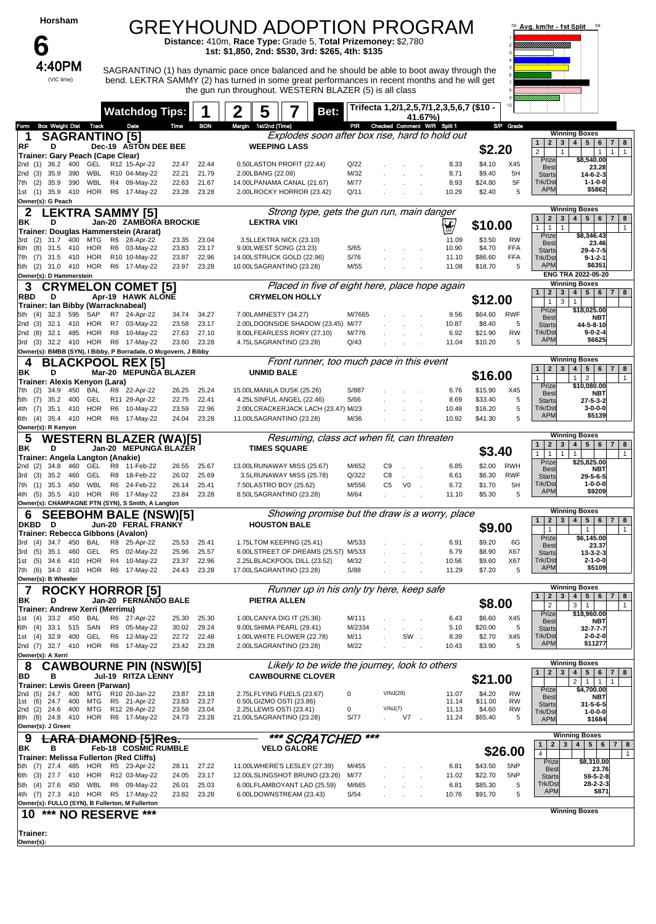|                                             |            | Horsham                  |            |                                         |                |                                                                                      |                         |                         | GREYHOUND ADOPTION PROGRAM<br>Distance: 410m, Race Type: Grade 5, Total Prizemoney: \$2,780                                                              |                 |                      |                |                                          |                              |                          | 58 Avg. km/hr - 1st Split                              |                                                                                                               |
|---------------------------------------------|------------|--------------------------|------------|-----------------------------------------|----------------|--------------------------------------------------------------------------------------|-------------------------|-------------------------|----------------------------------------------------------------------------------------------------------------------------------------------------------|-----------------|----------------------|----------------|------------------------------------------|------------------------------|--------------------------|--------------------------------------------------------|---------------------------------------------------------------------------------------------------------------|
|                                             |            | 4:40PM                   |            |                                         |                |                                                                                      |                         |                         | 1st: \$1,850, 2nd: \$530, 3rd: \$265, 4th: \$135<br>SAGRANTINO (1) has dynamic pace once balanced and he should be able to boot away through the         |                 |                      |                |                                          |                              |                          |                                                        |                                                                                                               |
|                                             |            | (VIC time)               |            |                                         |                |                                                                                      |                         |                         | bend. LEKTRA SAMMY (2) has turned in some great performances in recent months and he will get<br>the gun run throughout. WESTERN BLAZER (5) is all class |                 |                      |                |                                          |                              |                          |                                                        |                                                                                                               |
|                                             |            |                          |            |                                         |                | <b>Watchdog Tips:</b>                                                                |                         |                         | 2<br>5<br>Bet:                                                                                                                                           |                 |                      | 41.67%)        | Trifecta 1,2/1,2,5,7/1,2,3,5,6,7 (\$10 - |                              |                          |                                                        |                                                                                                               |
| Form<br>1                                   |            | <b>Box Weight Dist</b>   |            | <b>Track</b><br><b>SAGRANTINO [5]</b>   |                | Date                                                                                 | Time                    | <b>BON</b>              | Margin 1st/2nd (Time)<br>Explodes soon after box rise, hard to hold out                                                                                  | PR              |                      |                | Checked Comment W/R Split 1              |                              | S/P Grade                |                                                        | <b>Winning Boxes</b>                                                                                          |
| RF                                          |            | D                        |            | Trainer: Gary Peach (Cape Clear)        |                | Dec-19 ASTON DEE BEE                                                                 |                         |                         | <b>WEEPING LASS</b>                                                                                                                                      |                 |                      |                |                                          | \$2.20                       |                          | $2 \mid 3$<br>$\mathbf{1}$<br>$\overline{2}$           | $5\overline{ }$<br>$\overline{7}$<br>4 <sup>1</sup><br>6<br>8<br>$\mathbf{1}$<br>$\mathbf{1}$<br>$\mathbf{1}$ |
| 2nd (1)<br>2nd (3)                          |            | 36.2<br>35.9             | 400<br>390 | GEL<br>WBL                              |                | R12 15-Apr-22<br>R10 04-May-22                                                       | 22.47<br>22.21          | 22.44<br>21.79          | 0.50LASTON PROFIT (22.44)<br>2.00LBANG (22.08)                                                                                                           | Q/22<br>M/32    |                      |                | 8.33<br>8.71                             | \$4.10<br>\$9.40             | X45<br>5H                | Prize<br><b>Best</b>                                   | \$8,540.00<br>23.28                                                                                           |
| 7th (2)                                     |            | 35.9                     | 390        | WBL<br>HOR                              |                | R4 09-May-22<br>R6 17-May-22                                                         | 22.63                   | 21.67                   | 14.00LPANAMA CANAL (21.67)                                                                                                                               | M/77<br>Q/11    |                      |                | 8.93                                     | \$24.80                      | 5F<br>5                  | <b>Starts</b><br>Trk/Dst<br><b>APM</b>                 | $14 - 6 - 2 - 3$<br>$1 - 1 - 0 - 0$<br>\$5862                                                                 |
| 1st (1)<br>Owner(s): G Peach                |            | 35.9 410                 |            |                                         |                |                                                                                      | 23.28                   | 23.28                   | 2.00LROCKY HORROR (23.42)                                                                                                                                |                 |                      |                | 10.29                                    | \$2.40                       |                          |                                                        | <b>Winning Boxes</b>                                                                                          |
| 2<br>ΒK                                     |            | D                        |            |                                         |                | <b>EKTRA SAMMY [5]</b><br>Jan-20 ZAMBORA BROCKIE                                     |                         |                         | Strong type, gets the gun run, main danger<br><b>LEKTRA VIKI</b>                                                                                         |                 |                      |                | Y                                        | \$10.00                      |                          | $\mathbf{1}$<br>$\mathbf{2}$<br>1<br>$\mathbf{1}$      | $\vert$ 4<br>5 <sub>5</sub><br>$\mathbf{3}$<br>6<br>$\overline{7}$<br>8<br>$\mathbf{1}$                       |
| 3rd                                         | (2)        | 31.7                     | 400        | MTG                                     |                | Trainer: Douglas Hammerstein (Ararat)<br>R6 28-Apr-22                                | 23.35                   | 23.04                   | 3.5LLEKTRA NICK (23.10)                                                                                                                                  |                 |                      |                | 11.09                                    | \$3.50                       | <b>RW</b>                | Prize<br><b>Best</b>                                   | \$8,346.43<br>23.46                                                                                           |
| 6th<br>7th                                  | (8)<br>(7) | 31.5<br>31.5 410         | 410        | HOR<br><b>HOR</b>                       |                | R6 03-May-22<br>R10 10-May-22                                                        | 23.83<br>23.87          | 23.17<br>22.96          | 9.00LWEST SONG (23.23)<br>14.00LSTRUCK GOLD (22.96)                                                                                                      | S/65<br>S/76    |                      |                | 10.90<br>11.10                           | \$4.70<br>\$86.60            | <b>FFA</b><br><b>FFA</b> | <b>Starts</b><br>Trk/Dst                               | 29-4-7-5<br>$9 - 1 - 2 - 1$                                                                                   |
| 5th (2) 31.0 410<br>Owner(s): D Hammerstein |            |                          |            | HOR                                     |                | R6 17-May-22                                                                         | 23.97                   | 23.28                   | 10.00LSAGRANTINO (23.28)                                                                                                                                 | M/55            |                      |                | 11.08                                    | \$18.70                      | 5                        | <b>APM</b>                                             | \$6351<br>ENG TRA 2022-05-20                                                                                  |
| 3<br><b>RBD</b>                             |            | D                        |            |                                         |                | <b>CRYMELON COMET [5]</b><br>Apr-19 HAWK ALONE                                       |                         |                         | Placed in five of eight here, place hope again<br><b>CRYMELON HOLLY</b>                                                                                  |                 |                      |                |                                          |                              |                          | $\overline{2}$<br>3                                    | <b>Winning Boxes</b><br>5 <sub>5</sub><br>$\overline{\mathbf{4}}$<br>6<br>$\overline{7}$<br>8                 |
| 5th (4)                                     |            | 32.3                     | 595        | SAP                                     | R7             | Trainer: Ian Bibby (Warracknabeal)<br>24-Apr-22                                      | 34.74                   | 34.27                   | 7.00LAMNESTY (34.27)                                                                                                                                     | M/7665          |                      |                | 9.56                                     | \$12.00<br>\$64.60           | <b>RWF</b>               | $\mathbf{1}$<br>Prize                                  | 3<br>1<br>\$18,025.00                                                                                         |
| 2nd (3)<br>2nd (8)                          |            | 32.1<br>32.1             | 410<br>485 | HOR<br><b>HOR</b>                       | R <sub>8</sub> | R7 03-May-22<br>10-May-22                                                            | 23.58<br>27.63          | 23.17<br>27.10          | 2.00LDOONSIDE SHADOW (23.45) M/77<br>8.00LFEARLESS RORY (27.10)                                                                                          | M/776           |                      |                | 10.87<br>6.92                            | \$8.40<br>\$21.90            | 5<br>RW                  | Best<br><b>Starts</b><br>Trk/Dst                       | <b>NBT</b><br>44-5-8-10<br>$9 - 0 - 2 - 4$                                                                    |
| 3rd (3)                                     |            |                          |            |                                         |                | 32.2 410 HOR R6 17-May-22                                                            | 23.60                   | 23.28                   | 4.75LSAGRANTINO (23.28)                                                                                                                                  | Q/43            |                      |                | 11.04                                    | \$10.20                      | 5                        | <b>APM</b>                                             | \$6625                                                                                                        |
| 4                                           |            | BL                       |            | <b>ACKPOO</b>                           |                | Owner(s): BMBB (SYN), I Bibby, P Borradale, O Mcgovern, J Bibby<br>L REX [5]         |                         |                         | Front runner, too much pace in this event                                                                                                                |                 |                      |                |                                          |                              |                          | 3<br>$\mathbf{2}$<br>$\mathbf{1}$                      | <b>Winning Boxes</b><br>$\overline{\mathbf{4}}$<br>5 <sub>5</sub><br>6<br> 7 <br>8                            |
| ΒK                                          |            | D                        |            | Trainer: Alexis Kenyon (Lara)           | Mar-20         | <b>MEPUNGA BLAZER</b>                                                                |                         |                         | <b>UNMID BALE</b>                                                                                                                                        |                 |                      |                |                                          | \$16.00                      |                          | $\mathbf{1}$<br>Prize                                  | $\overline{2}$<br>$\mathbf{1}$<br>1<br>\$10,080.00                                                            |
| 7th<br>5th                                  | (2)<br>(7) | 34.9<br>35.2             | 450<br>400 | <b>BAL</b><br>GEL                       |                | R8 22-Apr-22<br>R11 29-Apr-22                                                        | 26.25<br>22.75          | 25.24<br>22.41          | 15.00LMANILA DUSK (25.26)<br>4.25LSINFUL ANGEL (22.46)                                                                                                   | S/887<br>S/66   |                      |                | 6.76<br>8.69                             | \$15.90<br>\$33.40           | X45<br>5                 | <b>Best</b><br><b>Starts</b>                           | NBT<br>27-5-3-2                                                                                               |
| 4th (7)<br>6th (4) 35.4 410                 |            | 35.1 410                 |            | <b>HOR</b><br>HOR                       |                | R6 10-May-22<br>R6 17-May-22                                                         | 23.59<br>24.04          | 22.96<br>23.28          | 2.00LCRACKERJACK LACH (23.47) M/23<br>11.00LSAGRANTINO (23.28)                                                                                           | M/36            |                      |                | 10.49<br>10.92                           | \$16.20<br>\$41.30           | 5<br>5                   | Trk/Dst<br><b>APM</b>                                  | $3 - 0 - 0 - 0$<br>\$5139                                                                                     |
| Owner(s): R Kenyon                          |            |                          |            |                                         |                |                                                                                      |                         |                         |                                                                                                                                                          |                 |                      |                |                                          |                              |                          |                                                        | <b>Winning Boxes</b>                                                                                          |
|                                             |            |                          |            |                                         |                |                                                                                      |                         |                         |                                                                                                                                                          |                 |                      |                |                                          |                              |                          |                                                        |                                                                                                               |
| 5<br>ΒK                                     |            | D                        |            |                                         |                | <b>WESTERN BLAZER (WA)[5]</b><br>Jan-20 MEPUNGA BLAZER                               |                         |                         | Resuming, class act when fit, can threaten<br><b>TIMES SQUARE</b>                                                                                        |                 |                      |                |                                          | \$3.40                       |                          | $\mathbf{2}$<br>3<br>$\mathbf{1}$<br>1<br>$\mathbf{1}$ | 4<br>$5 \mid 6$<br>$\vert$ 7<br>8<br>$\mathbf{1}$<br>$\mathbf{1}$<br>$\mathbf{1}$                             |
| 2nd (2)                                     |            | 34.8                     | 460        | Trainer: Angela Langton (Anakie)<br>GEL | R8             | 11-Feb-22                                                                            | 26.55                   | 25.67                   | 13.00LRUNAWAY MISS (25.67)                                                                                                                               | M/652           | C <sub>9</sub>       |                | 6.85                                     | \$2.00                       | RWH                      | Prize<br>Best                                          | \$25,825.00<br>NBT                                                                                            |
| 3rd (3)<br>7th (1)                          |            | 35.2<br>35.3             | 460<br>450 | GEL<br>WBL                              | R6             | R8 18-Feb-22<br>24-Feb-22                                                            | 26.02<br>26.14          | 25.69<br>25.41          | 3.5LRUNAWAY MISS (25.78)<br>7.50LASTRO BOY (25.62)                                                                                                       | Q/322<br>M/556  | C8<br>C <sub>5</sub> | V <sub>0</sub> | 6.61<br>6.72                             | \$6.30<br>\$1.70             | <b>RWF</b><br>5H         | <b>Starts</b><br>Trk/Dst                               | 29-5-6-5<br>$1 - 0 - 0 - 0$                                                                                   |
| 4th (5)                                     |            | 35.5 410                 |            | <b>HOR</b>                              |                | R6 17-May-22<br>Owner(s): CHAMPAGNE PTN (SYN), S Smith, A Langton                    | 23.84                   | 23.28                   | 8.50LSAGRANTINO (23.28)                                                                                                                                  | M/64            |                      |                | 11.10                                    | \$5.30                       | 5                        | <b>APM</b>                                             | \$9209                                                                                                        |
| 6<br>DKBD                                   |            | D                        |            |                                         |                | SEEBOHM BALE (NSW)[5]<br>Jun-20 FERAL FRANKY                                         |                         |                         | Showing promise but the draw is a worry, place<br><b>HOUSTON BALE</b>                                                                                    |                 |                      |                |                                          |                              |                          | $\overline{2}$                                         | <b>Winning Boxes</b><br>$\mathbf{3}$<br>4<br>5 <sub>1</sub><br>6<br>$\vert$ 7<br>8                            |
| 3rd (4)                                     |            | 34.7 450                 |            | BAL                                     |                | Trainer: Rebecca Gibbons (Avalon)<br>R8 25-Apr-22                                    | 25.53                   | 25.41                   | 1.75LTOM KEEPING (25.41)                                                                                                                                 | M/533           |                      |                | 6.91                                     | \$9.00<br>\$9.20             | 6G                       | 1<br>Prize                                             | $\mathbf{1}$<br>1<br>\$6,145.00                                                                               |
| 3rd (5)<br>1st (5)                          |            | 35.1 460<br>34.6 410     |            | GEL<br>HOR                              |                | R5 02-May-22<br>R4 10-May-22                                                         | 25.96<br>23.37          | 25.57<br>22.96          | 6.00LSTREET OF DREAMS (25.57) M/533                                                                                                                      | M/32            |                      |                | 6.79<br>10.56                            | \$8.90<br>\$9.60             | X67<br>X67               | <b>Best</b><br><b>Starts</b><br>Trk/Dst                | 23.37<br>13-3-2-3<br>$2 - 1 - 0 - 0$                                                                          |
| 7th (6) 34.0 410<br>Owner(s): B Wheeler     |            |                          |            |                                         |                | HOR R6 17-May-22                                                                     | 24.43                   | 23.28                   | 2.25LBLACKPOOL DILL (23.52)<br>17.00LSAGRANTINO (23.28)                                                                                                  | S/88            |                      |                | 11.29                                    | \$7.20                       | 5                        | <b>APM</b>                                             | \$5109                                                                                                        |
| 7                                           |            |                          |            |                                         |                | <b>ROCKY HORROR [5]</b>                                                              |                         |                         | Runner up in his only try here, keep safe                                                                                                                |                 |                      |                |                                          |                              |                          | $\mathbf{2}$<br>$\mathbf{1}$                           | <b>Winning Boxes</b><br>3<br>4<br>5   6   7<br>8                                                              |
| ΒK                                          |            | D                        |            | Trainer: Andrew Xerri (Merrimu)         |                | Jan-20 FERNANDO BALE                                                                 |                         |                         | PIETRA ALLEN                                                                                                                                             |                 |                      |                |                                          | \$8.00                       |                          | $\overline{2}$<br>Prize                                | $\mathbf{1}$<br>3 <sup>1</sup><br>$\mathbf{1}$<br>\$18,960.00                                                 |
| 1st (4)<br>6th (4)                          |            | 33.2 450<br>33.1 515     |            | BAL<br>SAN                              |                | R6 27-Apr-22<br>R9 05-May-22                                                         | 25.30<br>30.02          | 25.30<br>29.24          | 1.00LCANYA DIG IT (25.36)<br>9.00LSHIMA PEARL (29.41)                                                                                                    | M/111<br>M/2334 |                      |                | 6.43<br>5.10                             | \$6.60<br>\$20.00            | X45<br>5                 | Best<br><b>Starts</b>                                  | NBT<br>32-7-7-7                                                                                               |
| 1st (4) 32.9 400                            |            |                          |            | GEL                                     |                | R6 12-May-22<br>2nd (7) 32.7 410 HOR R6 17-May-22                                    | 22.72<br>23.42          | 22.48<br>23.28          | 1.00LWHITE FLOWER (22.78)<br>2.00LSAGRANTINO (23.28)                                                                                                     | M/11<br>M/22    |                      | SW             | 8.39<br>10.43                            | \$2.70<br>\$3.90             | X45<br>5                 | Trk/Dst<br><b>APM</b>                                  | $2 - 0 - 2 - 0$<br>\$11277                                                                                    |
| Owner(s): A Xerri                           |            |                          |            |                                         |                |                                                                                      |                         |                         |                                                                                                                                                          |                 |                      |                |                                          |                              |                          |                                                        | <b>Winning Boxes</b>                                                                                          |
| 8<br>BD                                     |            | в                        |            |                                         |                | <b>CAWBOURNE PIN (NSW)[5]</b><br>Jul-19 RITZA LENNY                                  |                         |                         | Likely to be wide the journey, look to others<br><b>CAWBOURNE CLOVER</b>                                                                                 |                 |                      |                |                                          | \$21.00                      |                          | $\mathbf{2}$<br>3                                      | 4<br>$5 \mid 6$<br>$\overline{7}$<br>8<br>2 <br>1<br>$\overline{1}$<br>1                                      |
| 2nd (5) 24.7<br>1st                         | (6)        |                          | 400        | Trainer: Lewis Green (Parwan)<br>MTG    |                | R10 20-Jan-22                                                                        | 23.87                   | 23.18                   | 2.75LFLYING FUELS (23.67)                                                                                                                                | $\Omega$        | VINJ(28)             |                | 11.07                                    | \$4.20                       | RW<br>RW                 | Prize<br>Best                                          | \$4,700.00<br>NBT                                                                                             |
| 2nd (2)<br>8th (8)                          |            | 24.7<br>24.6<br>24.8 410 | 400<br>400 | MTG<br>MTG<br>HOR                       |                | R5 21-Apr-22<br>R12 28-Apr-22<br>R6 17-May-22                                        | 23.83<br>23.58<br>24.73 | 23.27<br>23.04<br>23.28 | 0.50LGIZMO OSTI (23.86)<br>2.25LLEWIS OSTI (23.41)<br>21.00LSAGRANTINO (23.28)                                                                           | 0<br>S/77       | VINJ(7)              | V7             | 11.14<br>11.13<br>11.24                  | \$11.00<br>\$4.60<br>\$65.40 | RW<br>5                  | <b>Starts</b><br>Trk/Dst<br><b>APM</b>                 | 31-5-6-5<br>$1 - 0 - 0 - 0$<br>\$1684                                                                         |
| Owner(s): J Green                           |            |                          |            |                                         |                |                                                                                      |                         |                         |                                                                                                                                                          | ***             |                      |                |                                          |                              |                          |                                                        | <b>Winning Boxes</b>                                                                                          |
| 9<br>ΒK                                     |            | в                        |            |                                         |                | <del>LARA DIAMOND [5]Res.</del><br><b>Feb-18 COSMIC RUMBLE</b>                       |                         |                         | *** SCRATCHED<br><b>VELO GALORE</b>                                                                                                                      |                 |                      |                |                                          |                              | \$26.00                  | $\mathbf{1}$<br>$\mathbf{2}$<br>$\overline{4}$         | 4 <br>5 <sub>1</sub><br>3 <br>6 <sup>1</sup><br>7 <sup>1</sup><br>8<br>$\overline{1}$                         |
| 5th (7) 27.4                                |            |                          | 485        |                                         |                | Trainer: Melissa Fullerton (Red Cliffs)<br>HOR R5 23-Apr-22                          | 28.11                   | 27.22                   | 11.00LWHERE'S LESLEY (27.39)                                                                                                                             | M/455           |                      |                | 6.81                                     | \$43.50                      | 5NP                      | Prize<br><b>Best</b>                                   | \$8,310.00<br>23.76                                                                                           |
| 6th (3)<br>5th (4) 27.6 450                 |            | 27.7 410                 |            | WBL                                     |                | HOR R12 03-May-22<br>R6 09-May-22                                                    | 24.05<br>26.01          | 23.17<br>25.03          | 12.00LSLINGSHOT BRUNO (23.26)<br>6.00LFLAMBOYANT LAD (25.59)                                                                                             | M/77<br>M/665   |                      |                | 11.02<br>6.81                            | \$22.70<br>\$85.30           | 5NP<br>5                 | <b>Starts</b><br>Trk/Dst                               | $59 - 5 - 2 - 8$<br>28-2-2-3                                                                                  |
|                                             |            |                          |            |                                         |                | 4th (7) 27.3 410 HOR R5 17-May-22<br>Owner(s): FULLO (SYN), B Fullerton, M Fullerton | 23.82                   | 23.28                   | 6.00LDOWNSTREAM (23.43)                                                                                                                                  | S/54            |                      |                | 10.76                                    | \$91.70                      | 5                        | <b>APM</b>                                             | \$871                                                                                                         |
| 10                                          |            |                          |            | *** NO RESERVE                          |                | ***                                                                                  |                         |                         |                                                                                                                                                          |                 |                      |                |                                          |                              |                          |                                                        | <b>Winning Boxes</b>                                                                                          |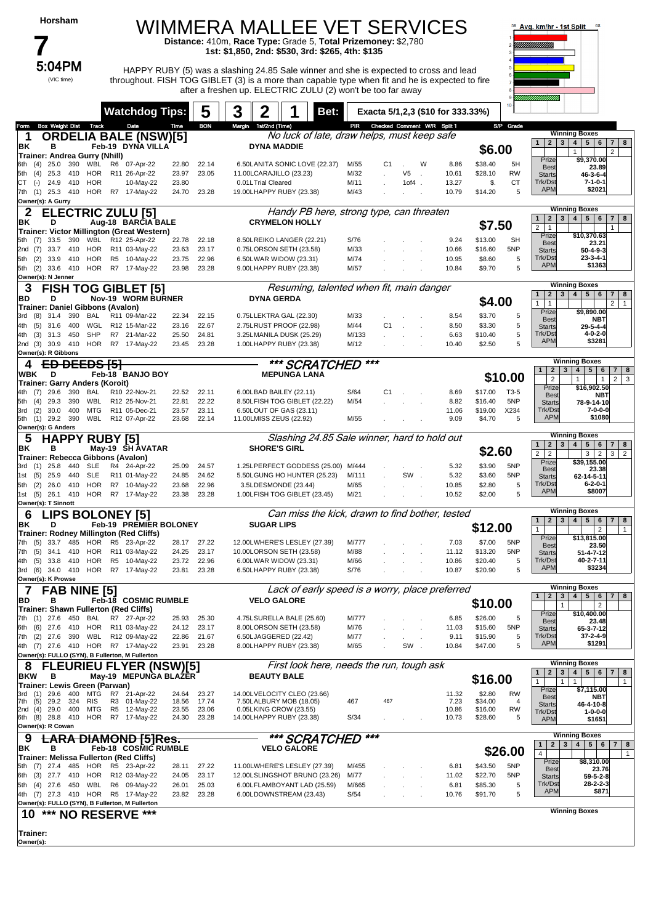| Horsham |
|---------|
|---------|

5:04PM

(VIC time)

#### WIMMERA MALLEE VET SERVICES **Distance:** 410m, **Race Type:** Grade 5, **Total Prizemoney:** \$2,780

**1st: \$1,850, 2nd: \$530, 3rd: \$265, 4th: \$135**

5:04PM HAPPY RUBY (5) was a slashing 24.85 Sale winner and she is expected to cross and lead throughout. FISH TOG GIBLET (3) is a more than capable type when fit and he is expected to fire after a freshen up. ELECTRIC ZULU (2) won't be too far away



|                                                                             | <b>Watchdog Tips:</b>                                          |                | 5              | 3 | 2                     |                                                              | Bet:                                            |               |                             |          |   | Exacta 5/1,2,3 (\$10 for 333.33%) |                    | 10              |                                                              |                                                                                                                |
|-----------------------------------------------------------------------------|----------------------------------------------------------------|----------------|----------------|---|-----------------------|--------------------------------------------------------------|-------------------------------------------------|---------------|-----------------------------|----------|---|-----------------------------------|--------------------|-----------------|--------------------------------------------------------------|----------------------------------------------------------------------------------------------------------------|
| Box Weight Dist Track<br>Form                                               | Date                                                           | Time           | <b>BON</b>     |   | Margin 1st/2nd (Time) |                                                              | No luck of late, draw helps, must keep safe     | PIR           | Checked Comment W/R Split 1 |          |   |                                   |                    | S/P Grade       |                                                              | <b>Winning Boxes</b>                                                                                           |
| 1<br>ΒK<br>в                                                                | <b>ORDELIA BALE (NSW)[5]</b><br>Feb-19 DYNA VILLA              |                |                |   | <b>DYNA MADDIE</b>    |                                                              |                                                 |               |                             |          |   |                                   |                    |                 | $\mathbf{1}$                                                 | 2   3   4   5   6   7   8                                                                                      |
| Trainer: Andrea Gurry (Nhill)                                               |                                                                |                |                |   |                       |                                                              |                                                 |               |                             |          |   |                                   | \$6.00             |                 | Prize                                                        | 2<br>1<br>\$9,370.00                                                                                           |
| 390<br>(4)<br>25.0<br>WBL<br>HOR<br>25.3<br>410<br>(4)<br>5th               | R6 07-Apr-22<br>R11 26-Apr-22                                  | 22.80<br>23.97 | 22.14<br>23.05 |   |                       | 6.50LANITA SONIC LOVE (22.37)<br>11.00LCARAJILLO (23.23)     |                                                 | M/55<br>M/32  | C1                          | V5       | W | 8.86<br>10.61                     | \$38.40<br>\$28.10 | 5H<br><b>RW</b> | <b>Best</b>                                                  | 23.89                                                                                                          |
| <b>HOR</b><br>СT<br>24.9<br>410<br>$(-)$                                    | 10-May-22                                                      | 23.80          |                |   | 0.01LTrial Cleared    |                                                              |                                                 | M/11          |                             | $10f4$ . |   | 13.27                             | \$.                | <b>CT</b>       | <b>Starts</b><br>Trk/Dst                                     | $46 - 3 - 6 - 4$<br>7-1-0-1                                                                                    |
| 25.3 410 HOR<br>7th<br>(1)                                                  | R7 17-May-22                                                   | 24.70          | 23.28          |   |                       | 19.00LHAPPY RUBY (23.38)                                     |                                                 | M/43          |                             |          |   | 10.79                             | \$14.20            | 5               | <b>APM</b>                                                   | \$2021                                                                                                         |
| Owner(s): A Gurry                                                           |                                                                |                |                |   |                       |                                                              |                                                 |               |                             |          |   |                                   |                    |                 |                                                              | <b>Winning Boxes</b>                                                                                           |
| 2                                                                           | <b>ELECTRIC ZULU [5]</b>                                       |                |                |   |                       | <b>CRYMELON HOLLY</b>                                        | Handy PB here, strong type, can threaten        |               |                             |          |   |                                   |                    |                 | 2 <sub>1</sub><br>1 <sup>1</sup>                             | 3   4   5   6<br>7   8                                                                                         |
| ΒK<br>D<br>Trainer: Victor Millington (Great Western)                       | Aug-18 BARCIA BALE                                             |                |                |   |                       |                                                              |                                                 |               |                             |          |   |                                   | \$7.50             |                 | 2 <sup>1</sup><br>$\mathbf{1}$                               | 1                                                                                                              |
| WBL<br>390<br>5th (7)<br>33.5                                               | R12 25-Apr-22                                                  | 22.78          | 22.18          |   |                       | 8.50LREIKO LANGER (22.21)                                    |                                                 | S/76          |                             |          |   | 9.24                              | \$13.00            | <b>SH</b>       | Prize<br><b>Best</b>                                         | \$10,370.63<br>23.21                                                                                           |
| HOR<br>33.7 410<br>2nd (7)<br>(2)<br>33.9<br>410<br>HOR<br>5th              | R11 03-May-22<br>R5 10-May-22                                  | 23.63<br>23.75 | 23.17<br>22.96 |   |                       | 0.75LORSON SETH (23.58)<br>6.50LWAR WIDOW (23.31)            |                                                 | M/33<br>M/74  |                             |          |   | 10.66<br>10.95                    | \$16.60<br>\$8.60  | 5NP<br>5        | <b>Starts</b><br>Trk/Dst                                     | $50 - 4 - 9 - 3$<br>$23 - 3 - 4 - 1$                                                                           |
| 5th (2)                                                                     | 33.6 410 HOR R7 17-May-22                                      | 23.98          | 23.28          |   |                       | 9.00LHAPPY RUBY (23.38)                                      |                                                 | M/57          |                             |          |   | 10.84                             | \$9.70             | 5               | <b>APM</b>                                                   | \$1363                                                                                                         |
| Owner(s): N Jenner                                                          |                                                                |                |                |   |                       |                                                              |                                                 |               |                             |          |   |                                   |                    |                 |                                                              |                                                                                                                |
| 3                                                                           | <b>FISH TOG GIBLET [5]</b>                                     |                |                |   |                       |                                                              | Resuming, talented when fit, main danger        |               |                             |          |   |                                   |                    |                 | $\mathbf{1}$                                                 | <b>Winning Boxes</b><br>$2 \mid 3 \mid 4 \mid 5 \mid 6$<br>7   8                                               |
| BD<br>D<br>Trainer: Daniel Gibbons (Avalon)                                 | <b>Nov-19 WORM BURNER</b>                                      |                |                |   | <b>DYNA GERDA</b>     |                                                              |                                                 |               |                             |          |   |                                   | \$4.00             |                 | $\mathbf{1}$<br>1                                            | $\overline{2}$<br>$\mathbf{1}$                                                                                 |
| 390<br>BAL<br>(8)<br>31.4<br>3rd                                            | R11 09-Mar-22                                                  | 22.34          | 22.15          |   |                       | 0.75LLEKTRA GAL (22.30)                                      |                                                 | M/33          |                             |          |   | 8.54                              | \$3.70             | 5               | Prize<br><b>Best</b>                                         | \$9,890.00<br><b>NBT</b>                                                                                       |
| WGL<br>(5)<br>400<br>4th<br>31.6                                            | R12 15-Mar-22                                                  | 23.16          | 22.67          |   |                       | 2.75LRUST PROOF (22.98)                                      |                                                 | M/44          | C <sub>1</sub>              |          |   | 8.50                              | \$3.30             | 5               | <b>Starts</b>                                                | $29 - 5 - 4 - 4$                                                                                               |
| <b>SHP</b><br>31.3<br>450<br>4th<br>(3)<br>2nd (3)<br>30.9<br>410           | R7 21-Mar-22<br>HOR R7 17-May-22                               | 25.50<br>23.45 | 24.81<br>23.28 |   |                       | 3.25LMANILA DUSK (25.29)<br>1.00LHAPPY RUBY (23.38)          |                                                 | M/133<br>M/12 |                             |          |   | 6.63<br>10.40                     | \$10.40<br>\$2.50  | 5<br>5          | Trk/Dst<br><b>APM</b>                                        | 4-0-2-0<br>\$3281                                                                                              |
| Owner(s): R Gibbons                                                         |                                                                |                |                |   |                       |                                                              |                                                 |               |                             |          |   |                                   |                    |                 |                                                              |                                                                                                                |
| <del>DEEDS [5]</del><br>4                                                   |                                                                |                |                |   |                       |                                                              | *** SCRATCHED                                   |               | ***                         |          |   |                                   |                    |                 |                                                              | <b>Winning Boxes</b>                                                                                           |
| D<br>WBK                                                                    | Feb-18 BANJO BOY                                               |                |                |   |                       | <b>MEPUNGA LANA</b>                                          |                                                 |               |                             |          |   |                                   |                    | \$10.00         | $\mathbf{2}$<br>$\mathbf{1}$<br>$\overline{2}$               | $3^{\circ}$<br>4 <sup>1</sup><br>$5 \mid 6$<br>7 8<br>$2 \mid 3$<br>$\overline{1}$<br>$\mathbf{1}$             |
| Trainer: Garry Anders (Koroit)<br>29.6<br>390<br>BAL<br>(7)<br>4th.         | R10 22-Nov-21                                                  | 22.52          | 22.11          |   |                       | 6.00LBAD BAILEY (22.11)                                      |                                                 | S/64          | C1                          |          |   | 8.69                              | \$17.00            | T3-5            | Prize                                                        | \$16,902.50                                                                                                    |
| <b>WBL</b><br>29.3<br>390<br>(4)<br>5th                                     | R12 25-Nov-21                                                  | 22.81          | 22.22          |   |                       | 8.50LFISH TOG GIBLET (22.22)                                 |                                                 | M/54          |                             |          |   | 8.82                              | \$16.40            | 5NP             | <b>Best</b><br><b>Starts</b>                                 | NBT<br>78-9-14-10                                                                                              |
| (2)<br>30.0<br>400<br>MTG<br>3rd                                            | R11 05-Dec-21                                                  | 23.57          | 23.11          |   |                       | 6.50LOUT OF GAS (23.11)                                      |                                                 |               |                             |          |   | 11.06                             | \$19.00            | X234            | Trk/Dst<br><b>APM</b>                                        | 7-0-0-0<br>\$1080                                                                                              |
| 390<br>WBL<br>5th<br>(1)<br>29.2<br>Owner(s): G Anders                      | R12 07-Apr-22                                                  | 23.68          | 22.14          |   |                       | 11.00LMISS ZEUS (22.92)                                      |                                                 | M/55          |                             |          |   | 9.09                              | \$4.70             | 5               |                                                              |                                                                                                                |
| <b>HAPPY RUBY [5]</b><br>5                                                  |                                                                |                |                |   |                       |                                                              | Slashing 24.85 Sale winner, hard to hold out    |               |                             |          |   |                                   |                    |                 |                                                              | <b>Winning Boxes</b>                                                                                           |
| ΒK<br>в                                                                     | May-19 SH AVATAR                                               |                |                |   | <b>SHORE'S GIRL</b>   |                                                              |                                                 |               |                             |          |   |                                   | \$2.60             |                 | $\mathbf{1}$<br>$\overline{2}$<br>$\mathbf{3}$<br>$2 \mid 2$ | 5 <sub>1</sub><br>$\overline{\mathbf{4}}$<br>6<br>$7 \mid 8$<br>3 <sup>1</sup><br>$\overline{2}$<br>$3 \mid 2$ |
| Trainer: Rebecca Gibbons (Avalon)                                           |                                                                |                |                |   |                       |                                                              |                                                 |               |                             |          |   |                                   |                    |                 | Prize                                                        | \$39,155.00                                                                                                    |
| 25.8<br>440<br>SLE<br>3rd<br>(1)<br><b>SLE</b><br>25.9<br>440<br>(5)<br>1st | R4 24-Apr-22<br>R11 01-May-22                                  | 25.09<br>24.85 | 24.57<br>24.62 |   |                       | 5.50LGUNG HO HUNTER (25.23)                                  | 1.25LPERFECT GODDESS (25.00) M/444              | M/111         |                             | SW.      |   | 5.32<br>5.32                      | \$3.90<br>\$3.60   | 5NP<br>5NP      | <b>Best</b><br><b>Starts</b>                                 | 23.38<br>62-14-5-11                                                                                            |
| $(2)$ 26.0 410<br>5th                                                       | HOR R7 10-May-22                                               | 23.68          | 22.96          |   |                       | 3.5LDESMONDE (23.44)                                         |                                                 | M/65          |                             |          |   | 10.85                             | \$2.80             | 5               | Trk/Dst                                                      | $6 - 2 - 0 - 1$                                                                                                |
| 1st (5) 26.1 410 HOR R7 17-May-22                                           |                                                                | 23.38          | 23.28          |   |                       | 1.00LFISH TOG GIBLET (23.45)                                 |                                                 | M/21          |                             |          |   | 10.52                             | \$2.00             | 5               | <b>APM</b>                                                   | \$8007                                                                                                         |
| Owner(s): T Sinnott<br><b>LIPS BOLONEY [5]</b><br>6                         |                                                                |                |                |   |                       |                                                              | Can miss the kick, drawn to find bother, tested |               |                             |          |   |                                   |                    |                 |                                                              | <b>Winning Boxes</b>                                                                                           |
| ΒK<br>D                                                                     | Feb-19 PREMIER BOLONEY                                         |                |                |   | <b>SUGAR LIPS</b>     |                                                              |                                                 |               |                             |          |   |                                   | \$12.00            |                 | $\overline{2}$<br>$\mathbf{1}$                               | 4<br>5 <sup>5</sup><br>$7 \mid 8$<br>$\mathbf{3}$<br>6                                                         |
| Trainer: Rodney Millington (Red Cliffs)                                     |                                                                |                |                |   |                       |                                                              |                                                 |               |                             |          |   |                                   |                    |                 | $\mathbf{1}$<br>Prize                                        | $\overline{2}$<br>$\mathbf{1}$<br>\$13,815.00                                                                  |
| 33.7<br>485<br>HOR<br>7th<br>(5)<br><b>HOR</b><br>34.1<br>410<br>(5)<br>7th | 23-Apr-22<br>R5<br>R11 03-May-22                               | 28.17<br>24.25 | 27.22<br>23.17 |   |                       | 12.00LWHERE'S LESLEY (27.39)<br>10.00LORSON SETH (23.58)     |                                                 | M/777<br>M/88 |                             |          |   | 7.03<br>11.12                     | \$7.00<br>\$13.20  | 5NP<br>5NP      | <b>Best</b><br><b>Starts</b>                                 | 23.50<br>51-4-7-12                                                                                             |
| 33.8<br>410<br>(5)<br>4th                                                   | HOR R5 10-May-22                                               | 23.72          | 22.96          |   |                       | 6.00LWAR WIDOW (23.31)                                       |                                                 | M/66          |                             |          |   | 10.86                             | \$20.40            | 5               | Trk/Dst                                                      | 40-2-7-11                                                                                                      |
| (6)<br>34.0<br>410<br>3rd                                                   | HOR R7 17-May-22                                               | 23.81          | 23.28          |   |                       | 6.50LHAPPY RUBY (23.38)                                      |                                                 | S/76          |                             |          |   | 10.87                             | \$20.90            | 5               | <b>APM</b>                                                   | \$3234                                                                                                         |
| Owner(s): K Prowse<br>$\overline{7}$                                        |                                                                |                |                |   |                       |                                                              | Lack of early speed is a worry, place preferred |               |                             |          |   |                                   |                    |                 |                                                              | <b>Winning Boxes</b>                                                                                           |
| FAB NINE [5]<br>BD<br>В                                                     | <b>Feb-18 COSMIC RUMBLE</b>                                    |                |                |   |                       | <b>VELO GALORE</b>                                           |                                                 |               |                             |          |   |                                   |                    |                 | $\overline{2}$<br>$\mathbf{1}$<br>3                          | $\sqrt{5}$<br>$7 \mid 8$<br>4 <br>6                                                                            |
| Trainer: Shawn Fullerton (Red Cliffs)                                       |                                                                |                |                |   |                       |                                                              |                                                 |               |                             |          |   |                                   | \$10.00            |                 | $\mathbf{1}$<br>Prize                                        | $\overline{2}$<br>\$10,400.00                                                                                  |
| 7th (1) 27.6 450 BAL                                                        | R7 27-Apr-22                                                   | 25.93          | 25.30          |   |                       | 4.75LSURELLA BALE (25.60)                                    |                                                 | M/777         |                             |          |   | 6.85                              | \$26.00            | 5               | <b>Best</b>                                                  | 23.48                                                                                                          |
| 6th (6) 27.6 410 HOR R11 03-May-22<br>7th (2) 27.6 390 WBL R12 09-May-22    |                                                                | 24.12<br>22.86 | 23.17<br>21.67 |   |                       | 8.00LORSON SETH (23.58)<br>6.50LJAGGERED (22.42)             |                                                 | M/76<br>M/77  |                             |          |   | 11.03<br>9.11                     | \$15.60<br>\$15.90 | 5NP<br>5        | <b>Starts</b><br>Trk/Dst                                     | 65-3-7-12<br>$37 - 2 - 4 - 9$                                                                                  |
| 4th (7) 27.6 410 HOR R7 17-May-22                                           |                                                                | 23.91 23.28    |                |   |                       | 8.00LHAPPY RUBY (23.38)                                      |                                                 | M/65          |                             | SW.      |   | 10.84                             | \$47.00            | 5               | <b>APM</b>                                                   | \$1291                                                                                                         |
| Owner(s): FULLO (SYN), B Fullerton, M Fullerton                             |                                                                |                |                |   |                       |                                                              |                                                 |               |                             |          |   |                                   |                    |                 |                                                              | <b>Winning Boxes</b>                                                                                           |
| ୪                                                                           | <b>FLEURIEU FLYER (NSW)[5]</b>                                 |                |                |   |                       |                                                              | First look here, needs the run, tough ask       |               |                             |          |   |                                   |                    |                 | $\overline{2}$<br>$\mathbf{1}$                               | $\mathbf{3}$<br>4 <br>5 <sub>1</sub><br>6<br>7 <sup>1</sup><br>8                                               |
| <b>BKW</b><br>в<br>Trainer: Lewis Green (Parwan)                            | May-19 MEPUNGA BLAZER                                          |                |                |   |                       | <b>BEAUTY BALE</b>                                           |                                                 |               |                             |          |   |                                   | \$16.00            |                 | $\mathbf{1}$                                                 | $\mathbf{1}$<br>$\mathbf{1}$<br>$\mathbf{1}$                                                                   |
| (1) 29.6 400 MTG<br>3rd                                                     | R7 21-Apr-22                                                   | 24.64          | 23.27          |   |                       | 14.00LVELOCITY CLEO (23.66)                                  |                                                 |               |                             |          |   | 11.32                             | \$2.80             | <b>RW</b>       | Prize<br><b>Best</b>                                         | \$7,115.00<br>NBT                                                                                              |
| (5)<br>29.2<br>324<br>7th<br><b>RIS</b><br>29.0 400<br>MTG<br>(4)<br>2nd    | R3 01-May-22<br>R5 12-May-22                                   | 18.56<br>23.55 | 17.74<br>23.06 |   |                       | 7.50LALBURY MOB (18.05)<br>0.05LKING CROW (23.55)            |                                                 | 467           | 467                         |          |   | 7.23<br>10.86                     | \$34.00<br>\$16.00 | 4<br>RW         | <b>Starts</b><br>Trk/Dst                                     | 46-4-10-8<br>$1 - 0 - 0 - 0$                                                                                   |
| 6th (8) 28.8 410 HOR R7 17-May-22                                           |                                                                | 24.30          | 23.28          |   |                       | 14.00LHAPPY RUBY (23.38)                                     |                                                 | S/34          |                             |          |   | 10.73                             | \$28.60            | 5               | <b>APM</b>                                                   | \$1651                                                                                                         |
| Owner(s): R Cowan                                                           |                                                                |                |                |   |                       |                                                              |                                                 |               |                             |          |   |                                   |                    |                 |                                                              | <b>Winning Boxes</b>                                                                                           |
| 9<br>BK<br>в                                                                | <del>.ARA DIAMOND [5]Res.</del><br><b>Feb-18 COSMIC RUMBLE</b> |                |                |   |                       | <b>VELO GALORE</b>                                           | *** SCRATCHED                                   |               | ***                         |          |   |                                   |                    |                 | $\mathbf{2}$<br>$\mathbf{1}$                                 | 5 <sup>1</sup><br>3<br>$\overline{4}$<br>6<br>$\overline{7}$<br>8                                              |
| Trainer: Melissa Fullerton (Red Cliffs)                                     |                                                                |                |                |   |                       |                                                              |                                                 |               |                             |          |   |                                   |                    | \$26.00         | $\overline{4}$                                               | $\mathbf{1}$                                                                                                   |
| 5th (7) 27.4 485 HOR R5 23-Apr-22                                           |                                                                | 28.11          | 27.22          |   |                       | 11.00LWHERE'S LESLEY (27.39)                                 |                                                 | M/455         |                             |          |   | 6.81                              | \$43.50            | 5NP             | Prize<br><b>Best</b>                                         | \$8,310.00<br>23.76                                                                                            |
| 6th (3) 27.7 410<br>5th (4) 27.6 450 WBL                                    | HOR R12 03-May-22<br>R6 09-May-22                              | 24.05<br>26.01 | 23.17<br>25.03 |   |                       | 12.00LSLINGSHOT BRUNO (23.26)<br>6.00LFLAMBOYANT LAD (25.59) |                                                 | M/77<br>M/665 |                             |          |   | 11.02<br>6.81                     | \$22.70<br>\$85.30 | 5NP<br>5        | <b>Starts</b><br>Trk/Dst                                     | 59-5-2-8<br>$28 - 2 - 2 - 3$                                                                                   |
| 4th (7) 27.3 410 HOR R5 17-May-22                                           |                                                                | 23.82          | 23.28          |   |                       | 6.00LDOWNSTREAM (23.43)                                      |                                                 | S/54          |                             |          |   | 10.76                             | \$91.70            | 5               | <b>APM</b>                                                   | \$871                                                                                                          |
| Owner(s): FULLO (SYN), B Fullerton, M Fullerton                             |                                                                |                |                |   |                       |                                                              |                                                 |               |                             |          |   |                                   |                    |                 |                                                              |                                                                                                                |
| 10                                                                          | *** NO RESERVE ***                                             |                |                |   |                       |                                                              |                                                 |               |                             |          |   |                                   |                    |                 |                                                              | <b>Winning Boxes</b>                                                                                           |
| Trainer:                                                                    |                                                                |                |                |   |                       |                                                              |                                                 |               |                             |          |   |                                   |                    |                 |                                                              |                                                                                                                |
| Owner(s):                                                                   |                                                                |                |                |   |                       |                                                              |                                                 |               |                             |          |   |                                   |                    |                 |                                                              |                                                                                                                |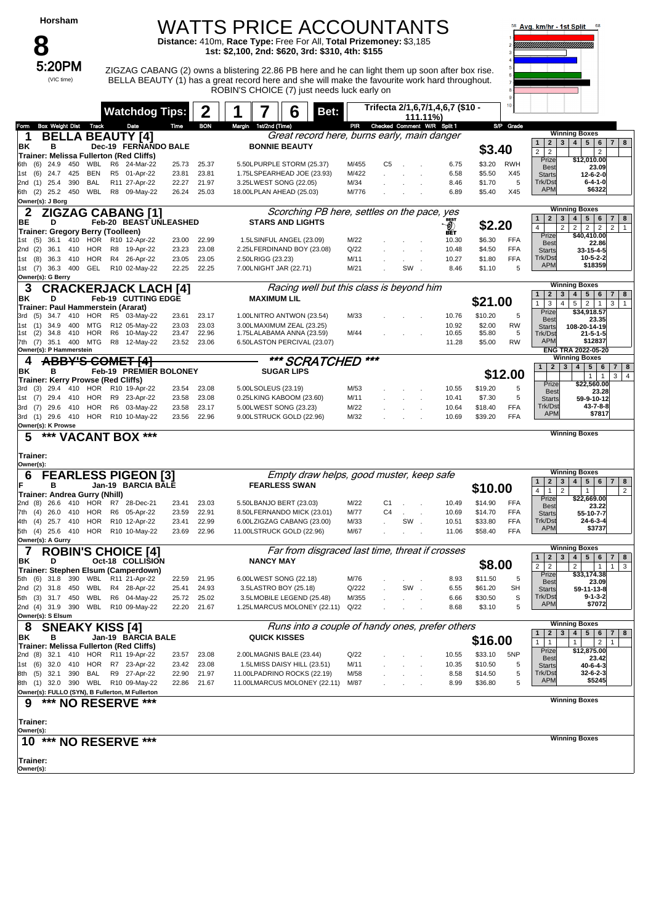| Horsham |  |
|---------|--|
|---------|--|

### WATTS PRICE ACCOUNTANTS

**Distance:** 410m, **Race Type:** Free For All, **Total Prizemoney:** \$3,185 **1st: \$2,100, 2nd: \$620, 3rd: \$310, 4th: \$155**



5:20PM ZIGZAG CABANG (2) owns a blistering 22.86 PB here and he can light them up soon after box rise. BELLA BEAUTY (1) has a great record here and she will make the favourite work hard throughout. ROBIN'S CHOICE (7) just needs luck early on



|                                                                            |    | <b>Watchdog Tips:</b>        |                | 2              |        |                     | 6<br>Bet:                                               |                |                |        | Trifecta 2/1,6,7/1,4,6,7 (\$10 -<br>111.11%) |                    | 10 <sub>10</sub>  |                                                  |                                                                                                     |
|----------------------------------------------------------------------------|----|------------------------------|----------------|----------------|--------|---------------------|---------------------------------------------------------|----------------|----------------|--------|----------------------------------------------|--------------------|-------------------|--------------------------------------------------|-----------------------------------------------------------------------------------------------------|
| <b>Box Weight Dist Track</b><br>Form                                       |    | Date                         | Time           | <b>BON</b>     | Margin | 1st/2nd (Time)      |                                                         |                |                |        | PIR Checked Comment W/R Split 1              |                    | S/P Grade         |                                                  |                                                                                                     |
| <b>BELLA BEAUTY [4]</b><br>1                                               |    |                              |                |                |        |                     | Great record here, burns early, main danger             |                |                |        |                                              |                    |                   | $\mathbf{1}$<br>$\mathbf{2}$<br>$\mathbf{3}$     | <b>Winning Boxes</b><br>4 5 6<br>$7 \mid 8$                                                         |
| ΒK<br>в                                                                    |    | Dec-19 FERNANDO BALE         |                |                |        |                     | <b>BONNIE BEAUTY</b>                                    |                |                |        |                                              | \$3.40             |                   | $\overline{c}$<br>$\overline{2}$                 | $\overline{2}$                                                                                      |
| Trainer: Melissa Fullerton (Red Cliffs)                                    |    |                              |                |                |        |                     |                                                         |                |                |        |                                              |                    |                   | Prize                                            | \$12,010.00                                                                                         |
| WBL<br>(6)<br>24.9<br>450<br>6th<br>425<br>BEN                             |    | R6 24-Mar-22<br>R5 01-Apr-22 | 25.73<br>23.81 | 25.37<br>23.81 |        |                     | 5.50LPURPLE STORM (25.37)<br>1.75LSPEARHEAD JOE (23.93) | M/455<br>M/422 | C5             | $\sim$ | 6.75<br>6.58                                 | \$3.20<br>\$5.50   | <b>RWH</b><br>X45 | <b>Best</b>                                      | 23.09                                                                                               |
| (6)<br>24.7<br>1st<br>390<br><b>BAL</b><br>25.4<br>(1)<br>2nd              |    | R11 27-Apr-22                | 22.27          | 21.97          |        |                     | 3.25LWEST SONG (22.05)                                  | M/34           |                |        | 8.46                                         | \$1.70             | 5                 | <b>Starts</b><br>Trk/Dst                         | $12 - 6 - 2 - 0$<br>$6 - 4 - 1 - 0$                                                                 |
| 6th (2) 25.2 450 WBL                                                       |    | R8 09-May-22                 | 26.24          | 25.03          |        |                     | 18.00LPLAN AHEAD (25.03)                                | M/776          |                |        | 6.89                                         | \$5.40             | X45               | <b>APM</b>                                       | \$6322                                                                                              |
| Owner(s): J Borg                                                           |    |                              |                |                |        |                     |                                                         |                |                |        |                                              |                    |                   |                                                  |                                                                                                     |
| 2<br><b>ZIGZAG CABANG [1]</b>                                              |    |                              |                |                |        |                     | Scorching PB here, settles on the pace, yes             |                |                |        |                                              |                    |                   |                                                  | <b>Winning Boxes</b>                                                                                |
| BЕ<br>D                                                                    |    | Feb-20 BEAST UNLEASHED       |                |                |        |                     | <b>STARS AND LIGHTS</b>                                 |                |                |        | O)                                           | \$2.20             |                   | $\mathbf{1}$<br>$\overline{2}$<br>3              | 4 <sup>1</sup><br>$5 \mid 6$<br>$\overline{7}$<br>8                                                 |
| Trainer: Gregory Berry (Toolleen)                                          |    |                              |                |                |        |                     |                                                         |                |                |        | BÊT.                                         |                    |                   | 4<br>$\overline{2}$<br>Prize                     | $\overline{2}$<br>$\overline{2}$<br>$\overline{2}$<br>$\overline{2}$<br>$\mathbf{1}$<br>\$40,410.00 |
| 36.1 410<br>HOR<br>1st<br>(5)                                              |    | R10 12-Apr-22                | 23.00          | 22.99          |        |                     | 1.5LSINFUL ANGEL (23.09)                                | M/22           |                |        | 10.30                                        | \$6.30             | <b>FFA</b>        | <b>Best</b>                                      | 22.86                                                                                               |
| 2nd (2)<br>36.1<br>410<br>HOR                                              | R8 | 19-Apr-22                    | 23.23          | 23.08          |        |                     | 2.25LFERDINAND BOY (23.08)                              | Q/22           |                |        | 10.48                                        | \$4.50             | <b>FFA</b>        | <b>Starts</b>                                    | 33-15-4-5                                                                                           |
| HOR<br>(8)<br>36.3<br>410<br>1st                                           |    | R4 26-Apr-22                 | 23.05          | 23.05          |        | 2.50LRIGG (23.23)   |                                                         | M/11           |                |        | 10.27                                        | \$1.80             | <b>FFA</b>        | Trk/Dst<br><b>APM</b>                            | $10 - 5 - 2 - 2$<br>\$18359                                                                         |
| GEL<br>1st (7)<br>36.3<br>400<br>Owner(s): G Berry                         |    | R10 02-May-22                | 22.25          | 22.25          |        |                     | 7.00LNIGHT JAR (22.71)                                  | M/21           |                | SW     | 8.46                                         | \$1.10             | 5                 |                                                  |                                                                                                     |
|                                                                            |    |                              |                |                |        |                     | Racing well but this class is beyond him                |                |                |        |                                              |                    |                   |                                                  | <b>Winning Boxes</b>                                                                                |
| 3<br><b>CRACKERJACK LACH [4]</b><br>ΒK<br>D                                |    |                              |                |                |        | <b>MAXIMUM LIL</b>  |                                                         |                |                |        |                                              |                    |                   | $\overline{2}$<br>$\mathbf{1}$<br>3              | $5 \mid 6$<br>$\overline{7}$<br>4 <br>8                                                             |
| Trainer: Paul Hammerstein (Ararat)                                         |    | Feb-19 CUTTING EDGE          |                |                |        |                     |                                                         |                |                |        |                                              | \$21.00            |                   | $\mathbf{1}$<br>3<br>$\overline{4}$              | $\overline{2}$<br>$5\overline{)}$<br>$\overline{1}$<br>3<br>$\mathbf{1}$                            |
| 34.7<br>410<br>HOR<br>(5)<br>3rd                                           |    | R5 03-May-22                 | 23.61          | 23.17          |        |                     | 1.00LNITRO ANTWON (23.54)                               | M/33           |                |        | 10.76                                        | \$10.20            | 5                 | Prize<br><b>Best</b>                             | \$34,918.57                                                                                         |
| (1)<br>34.9<br>400<br>MTG<br>1st                                           |    | R12 05-May-22                | 23.03          | 23.03          |        |                     | 3.00LMAXIMUM ZEAL (23.25)                               |                |                |        | 10.92                                        | \$2.00             | <b>RW</b>         | <b>Starts</b>                                    | 23.35<br>108-20-14-19                                                                               |
| (2)<br>34.8<br>410<br>HOR<br>1st                                           |    | R6 10-May-22                 | 23.47          | 22.96          |        |                     | 1.75LALABAMA ANNA (23.59)                               | M/44           |                |        | 10.65                                        | \$5.80             | 5                 | Trk/Dst                                          | $21 - 5 - 1 - 5$                                                                                    |
| 35.1<br>400<br>MTG<br>7th (7)<br>Owner(s): P Hammerstein                   |    | R8 12-May-22                 |                | 23.52 23.06    |        |                     | 6.50LASTON PERCIVAL (23.07)                             |                |                |        | 11.28                                        | \$5.00             | <b>RW</b>         | <b>APM</b>                                       | \$12837<br>ENG TRA 2022-05-20                                                                       |
| <b>ABBY'S COMET [4]</b>                                                    |    |                              |                |                |        |                     |                                                         |                | ***            |        |                                              |                    |                   |                                                  | <b>Winning Boxes</b>                                                                                |
| 4                                                                          |    |                              |                |                |        |                     | *** SCRATCHED                                           |                |                |        |                                              |                    |                   | 2 <sup>1</sup><br>1                              | $4 \mid 5 \mid 6$<br>3 <sup>1</sup><br>7 8                                                          |
| ΒK<br>в<br>Trainer: Kerry Prowse (Red Cliffs)                              |    | Feb-19 PREMIER BOLONEY       |                |                |        |                     | <b>SUGAR LIPS</b>                                       |                |                |        |                                              |                    | \$12.00           |                                                  | $\mathbf{1}$<br>$\overline{1}$<br>3 <sup>1</sup><br>$\overline{4}$                                  |
| 29.4<br>410<br>HOR<br>3rd (3)                                              |    | R10 19-Apr-22                | 23.54          | 23.08          |        | 5.00LSOLEUS (23.19) |                                                         | M/53           |                |        | 10.55                                        | \$19.20            | 5                 | Prize                                            | \$22,560.00                                                                                         |
| HOR<br>(7)<br>29.4<br>410<br>1st                                           |    | R9 23-Apr-22                 | 23.58          | 23.08          |        |                     | 0.25LKING KABOOM (23.60)                                | M/11           |                |        | 10.41                                        | \$7.30             | 5                 | <b>Best</b><br><b>Starts</b>                     | 23.28<br>59-9-10-12                                                                                 |
| 3rd (7) 29.6<br>410<br>HOR                                                 |    | R6 03-May-22                 | 23.58          | 23.17          |        |                     | 5.00LWEST SONG (23.23)                                  | M/22           |                |        | 10.64                                        | \$18.40            | FFA               | Trk/Dst                                          | 43-7-8-8                                                                                            |
| 3rd (1) 29.6 410                                                           |    | HOR R10 10-May-22            | 23.56          | 22.96          |        |                     | 9.00LSTRUCK GOLD (22.96)                                | M/32           |                |        | 10.69                                        | \$39.20            | <b>FFA</b>        | <b>APM</b>                                       | \$7817                                                                                              |
| Owner(s): K Prowse                                                         |    |                              |                |                |        |                     |                                                         |                |                |        |                                              |                    |                   |                                                  |                                                                                                     |
| *** VACANT BOX ***<br>5                                                    |    |                              |                |                |        |                     |                                                         |                |                |        |                                              |                    |                   |                                                  | <b>Winning Boxes</b>                                                                                |
| Trainer:                                                                   |    |                              |                |                |        |                     |                                                         |                |                |        |                                              |                    |                   |                                                  |                                                                                                     |
|                                                                            |    |                              |                |                |        |                     |                                                         |                |                |        |                                              |                    |                   |                                                  |                                                                                                     |
| Owner(s):                                                                  |    |                              |                |                |        |                     |                                                         |                |                |        |                                              |                    |                   |                                                  | <b>Winning Boxes</b>                                                                                |
| <b>FEARLESS PIGEON [3]</b><br>6                                            |    |                              |                |                |        |                     | Empty draw helps, good muster, keep safe                |                |                |        |                                              |                    |                   | $\mathbf{2}$<br>3<br>$\mathbf{1}$                | 4 <br>$5 \mid 6 \mid 7$<br> 8                                                                       |
| в<br>Trainer: Andrea Gurry (Nhill)                                         |    | Jan-19 BARCIA BALE           |                |                |        |                     | <b>FEARLESS SWAN</b>                                    |                |                |        |                                              | \$10.00            |                   | $\overline{4}$<br>$\mathbf{1}$<br>$\overline{2}$ | $\mathbf{1}$<br>$\overline{2}$                                                                      |
| 410<br>HOR<br>2nd (8)<br>26.6                                              |    | R7 28-Dec-21                 | 23.41          | 23.03          |        |                     | 5.50LBANJO BERT (23.03)                                 | M/22           | C <sub>1</sub> |        | 10.49                                        | \$14.90            | <b>FFA</b>        | Prize                                            | \$22,669.00                                                                                         |
| 26.0<br>410<br>HOR<br>7th (4)                                              |    | R6 05-Apr-22                 | 23.59          | 22.91          |        |                     | 8.50LFERNANDO MICK (23.01)                              | M/77           | C <sub>4</sub> |        | 10.69                                        | \$14.70            | <b>FFA</b>        | <b>Best</b><br><b>Starts</b>                     | 23.22<br>55-10-7-7                                                                                  |
| HOR<br>25.7<br>410<br>4th (4)                                              |    | R10 12-Apr-22                | 23.41          | 22.99          |        |                     | 6.00LZIGZAG CABANG (23.00)                              | M/33           |                | SW.    | 10.51                                        | \$33.80            | <b>FFA</b>        | Trk/Dst                                          | 24-6-3-4                                                                                            |
| 5th (4) 25.6<br>410<br>HOR                                                 |    | R10 10-May-22                | 23.69          | 22.96          |        |                     | 11.00LSTRUCK GOLD (22.96)                               | M/67           |                |        | 11.06                                        | \$58.40            | <b>FFA</b>        | <b>APM</b>                                       | \$3737                                                                                              |
| Owner(s): A Gurry                                                          |    |                              |                |                |        |                     |                                                         |                |                |        |                                              |                    |                   |                                                  | <b>Winning Boxes</b>                                                                                |
| 7<br><b>ROBIN'S CHOICE [4]</b>                                             |    |                              |                |                |        |                     | Far from disgraced last time, threat if crosses         |                |                |        |                                              |                    |                   | $\mathbf{1}$<br>$\overline{2}$<br>3              | 4 <br>$5 \mid 6$<br>$\overline{7}$<br>  8                                                           |
| ΒK<br>D                                                                    |    | Oct-18 COLLISION             |                |                |        | <b>NANCY MAY</b>    |                                                         |                |                |        |                                              | \$8.00             |                   | $\overline{2}$<br>$\overline{2}$                 | $\overline{2}$<br>$\mathbf{1}$<br>3<br>$\mathbf{1}$                                                 |
| Trainer: Stephen Elsum (Camperdown)<br>5th (6) 31.8 390 WBL R11 21-Apr-22  |    |                              |                |                |        |                     |                                                         | M/76           |                |        |                                              |                    | 5                 | Prize                                            | \$33,174.38                                                                                         |
| 2nd (2) 31.8 450 WBL R4 28-Apr-22                                          |    |                              | 22.59<br>25.41 | 21.95<br>24.93 |        |                     | 6.00LWEST SONG (22.18)<br>3.5LASTRO BOY (25.18)         | Q/222          |                | SW     | 8.93<br>6.55                                 | \$11.50<br>\$61.20 | SH                | <b>Best</b><br><b>Starts</b>                     | 23.09<br>59-11-13-8                                                                                 |
| 5th (3) 31.7 450 WBL R6 04-May-22                                          |    |                              | 25.72          | 25.02          |        |                     | 3.5LMOBILE LEGEND (25.48)                               | M/355          |                |        | 6.66                                         | \$30.50            | S                 | Trk/Dst                                          | $9 - 1 - 3 - 2$                                                                                     |
| 2nd (4) 31.9 390 WBL R10 09-May-22                                         |    |                              | 22.20          | 21.67          |        |                     | 1.25LMARCUS MOLONEY (22.11) Q/22                        |                |                |        | 8.68                                         | \$3.10             | 5                 | <b>APM</b>                                       | \$7072                                                                                              |
| Owner(s): S Elsum                                                          |    |                              |                |                |        |                     |                                                         |                |                |        |                                              |                    |                   |                                                  |                                                                                                     |
| 8<br><b>SNEAKY KISS [4]</b>                                                |    |                              |                |                |        |                     | Runs into a couple of handy ones, prefer others         |                |                |        |                                              |                    |                   |                                                  | <b>Winning Boxes</b>                                                                                |
| в<br>ΒK                                                                    |    | Jan-19 BARCIA BALE           |                |                |        | <b>QUICK KISSES</b> |                                                         |                |                |        |                                              |                    |                   | $\mathbf{2}$<br>$\mathbf{3}$<br>$\mathbf{1}$     | 4 5 6 7 8                                                                                           |
| Trainer: Melissa Fullerton (Red Cliffs)                                    |    |                              |                |                |        |                     |                                                         |                |                |        |                                              | \$16.00            |                   | $\mathbf{1}$<br>$\mathbf{1}$<br>Prize            | $\overline{2}$<br>1                                                                                 |
| 2nd (8) 32.1 410 HOR R11 19-Apr-22                                         |    |                              | 23.57          | 23.08          |        |                     | 2.00LMAGNIS BALE (23.44)                                | Q/22           |                |        | 10.55                                        | \$33.10            | 5NP               | <b>Best</b>                                      | \$12,875.00<br>23.42                                                                                |
| 1st (6) 32.0<br>410<br>HOR                                                 |    | R7 23-Apr-22                 | 23.42          | 23.08          |        |                     | 1.5LMISS DAISY HILL (23.51)                             | M/11           |                |        | 10.35                                        | \$10.50            | 5                 | <b>Starts</b>                                    | $40 - 6 - 4 - 3$                                                                                    |
| 8th (5) 32.1<br>390<br>BAL                                                 |    | R9 27-Apr-22                 | 22.90          | 21.97          |        |                     | 11.00LPADRINO ROCKS (22.19)                             | M/58           |                |        | 8.58                                         | \$14.50            | 5                 | Trk/Dst<br><b>APM</b>                            | $32 - 6 - 2 - 3$<br>\$5245                                                                          |
| 8th (1) 32.0 390 WBL R10 09-May-22                                         |    |                              | 22.86          | 21.67          |        |                     | 11.00LMARCUS MOLONEY (22.11) M/87                       |                |                |        | 8.99                                         | \$36.80            | 5                 |                                                  |                                                                                                     |
| Owner(s): FULLO (SYN), B Fullerton, M Fullerton<br>*** NO RESERVE ***<br>9 |    |                              |                |                |        |                     |                                                         |                |                |        |                                              |                    |                   |                                                  | <b>Winning Boxes</b>                                                                                |
|                                                                            |    |                              |                |                |        |                     |                                                         |                |                |        |                                              |                    |                   |                                                  |                                                                                                     |
| Trainer:<br>Owner(s):                                                      |    |                              |                |                |        |                     |                                                         |                |                |        |                                              |                    |                   |                                                  |                                                                                                     |
| 10 *** NO RESERVE ***                                                      |    |                              |                |                |        |                     |                                                         |                |                |        |                                              |                    |                   |                                                  | <b>Winning Boxes</b>                                                                                |
|                                                                            |    |                              |                |                |        |                     |                                                         |                |                |        |                                              |                    |                   |                                                  |                                                                                                     |
| Trainer:<br>Owner(s):                                                      |    |                              |                |                |        |                     |                                                         |                |                |        |                                              |                    |                   |                                                  |                                                                                                     |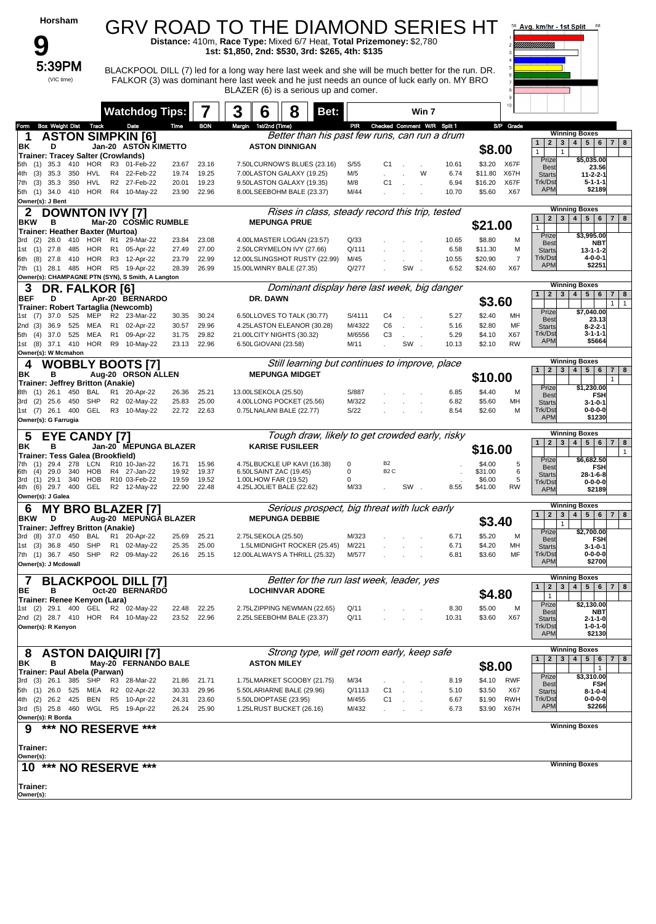| Horsham                                                                             |                      |                                           |                |                | <b>GRV ROAD TO THE DIAMOND SERIES HT</b>                                                                                            |                        |                                                 |                                  |               |                             |                    |                     | 58 Avg. km/hr - 1st Split                                        | 68                                                                                    |
|-------------------------------------------------------------------------------------|----------------------|-------------------------------------------|----------------|----------------|-------------------------------------------------------------------------------------------------------------------------------------|------------------------|-------------------------------------------------|----------------------------------|---------------|-----------------------------|--------------------|---------------------|------------------------------------------------------------------|---------------------------------------------------------------------------------------|
|                                                                                     |                      |                                           |                |                | Distance: 410m, Race Type: Mixed 6/7 Heat, Total Prizemoney: \$2,780<br>1st: \$1,850, 2nd: \$530, 3rd: \$265, 4th: \$135            |                        |                                                 |                                  |               |                             |                    |                     |                                                                  |                                                                                       |
| 5:39PM                                                                              |                      |                                           |                |                | BLACKPOOL DILL (7) led for a long way here last week and she will be much better for the run. DR.                                   |                        |                                                 |                                  |               |                             |                    |                     |                                                                  |                                                                                       |
| (VIC time)                                                                          |                      |                                           |                |                | FALKOR (3) was dominant here last week and he just needs an ounce of luck early on. MY BRO<br>BLAZER (6) is a serious up and comer. |                        |                                                 |                                  |               |                             |                    |                     |                                                                  |                                                                                       |
|                                                                                     |                      | <b>Watchdog Tips:</b>                     |                |                | 3<br>6                                                                                                                              | 8                      | Bet:                                            |                                  | Win 7         |                             |                    |                     |                                                                  |                                                                                       |
| Track<br><b>Box Weight Dist</b><br>Form                                             |                      | Date                                      | Time           | <b>BON</b>     | 1st/2nd (Time)<br>Margin                                                                                                            |                        | PR                                              |                                  |               | Checked Comment W/R Split 1 |                    | S/P Grade           |                                                                  | <b>Winning Boxes</b>                                                                  |
| <b>ASTON SIMPKIN [6]</b><br>1<br>ΒK<br>D                                            |                      | Jan-20 ASTON KIMETTO                      |                |                | <b>ASTON DINNIGAN</b>                                                                                                               |                        | Better than his past few runs, can run a drum   |                                  |               |                             | \$8.00             |                     | $2 \mid 3 \mid$<br>$\mathbf{1}$<br>$\mathbf{1}$<br>$\mathbf{1}$  | 4   5   6   7   8                                                                     |
| <b>Trainer: Tracey Salter (Crowlands)</b><br>35.3<br>410<br>HOR<br>(1)<br>5th       | R3                   | 01-Feb-22                                 | 23.67          | 23.16          | 7.50LCURNOW'S BLUES (23.16)                                                                                                         |                        | S/55                                            | C1                               |               | 10.61                       |                    | \$3.20 X67F         | Prize<br><b>Best</b>                                             | \$5,035.00<br>23.56                                                                   |
| HVL<br>4th<br>(3)<br>35.3<br>350<br>HVL                                             | R4<br>R <sub>2</sub> | 22-Feb-22<br>27-Feb-22                    | 19.74<br>20.01 | 19.25<br>19.23 | 7.00LASTON GALAXY (19.25)                                                                                                           |                        | M/5<br>M/8                                      |                                  | W             | 6.74<br>6.94                | \$11.80<br>\$16.20 | X67H<br>X67F        | <b>Starts</b><br>Trk/Dst                                         | $11 - 2 - 2 - 1$<br>$5 - 1 - 1 - 1$                                                   |
| (3)<br>35.3<br>350<br>7th<br>HOR<br>5th (1) 34.0<br>410                             |                      | R4 10-May-22                              | 23.90          | 22.96          | 9.50LASTON GALAXY (19.35)<br>8.00LSEEBOHM BALE (23.37)                                                                              |                        | M/44                                            | C <sub>1</sub>                   |               | 10.70                       | \$5.60             | X67                 | <b>APM</b>                                                       | \$2189                                                                                |
| Owner(s): J Bent<br>2<br><b>DOWNTON IVY [7]</b>                                     |                      |                                           |                |                |                                                                                                                                     |                        | Rises in class, steady record this trip, tested |                                  |               |                             |                    |                     |                                                                  | <b>Winning Boxes</b>                                                                  |
| <b>BKW</b><br>в<br>Trainer: Heather Baxter (Murtoa)                                 |                      | Mar-20 COSMIC RUMBLE                      |                |                | <b>MEPUNGA PRUE</b>                                                                                                                 |                        |                                                 |                                  |               |                             | \$21.00            |                     | 3 <sup>1</sup><br>$\mathbf{1}$<br>$\overline{2}$<br>$\mathbf{1}$ | $4 \mid 5 \mid$<br>$6 \mid 7 \mid$<br>8                                               |
| 28.0<br>410<br>HOR<br>3rd<br>(2)                                                    | R1                   | 29-Mar-22                                 | 23.84          | 23.08          | 4.00LMASTER LOGAN (23.57)                                                                                                           |                        | Q/33                                            |                                  |               | 10.65                       | \$8.80             | M                   | Prize<br><b>Best</b>                                             | \$3.995.00<br><b>NBT</b>                                                              |
| 27.8<br>485<br>HOR<br>1st<br>(1)<br>HOR<br>(8)<br>27.8<br>410<br>6th                | R1<br>R <sub>3</sub> | 05-Apr-22<br>12-Apr-22                    | 27.49<br>23.79 | 27.00<br>22.99 | 2.50LCRYMELON IVY (27.66)<br>12.00LSLINGSHOT RUSTY (22.99)                                                                          |                        | Q/111<br>M/45                                   |                                  |               | 6.58<br>10.55               | \$11.30<br>\$20.90 | M<br>$\overline{7}$ | <b>Starts</b><br>Trk/Dst                                         | $13 - 1 - 1 - 2$<br>$4 - 0 - 0 - 1$                                                   |
| HOR<br>7th (1) 28.1 485                                                             | R <sub>5</sub>       | 19-Apr-22                                 | 28.39          | 26.99          | 15.00LWINRY BALE (27.35)                                                                                                            |                        | Q/277                                           |                                  | SW            | 6.52                        | \$24.60            | X67                 | <b>APM</b>                                                       | \$2251                                                                                |
| Owner(s): CHAMPAGNE PTN (SYN), S Smith, A Langton<br>3<br><b>DR. FALKOR [6]</b>     |                      |                                           |                |                |                                                                                                                                     |                        | Dominant display here last week, big danger     |                                  |               |                             |                    |                     |                                                                  | <b>Winning Boxes</b>                                                                  |
| <b>BEF</b><br>D                                                                     |                      | Apr-20 BERNARDO                           |                |                | DR. DAWN                                                                                                                            |                        |                                                 |                                  |               |                             | \$3.60             |                     | 1<br>$2 \mid 3 \mid$                                             | $4 \mid 5 \mid$<br>6<br>$\overline{7}$<br>8<br>1<br>$\overline{1}$                    |
| Trainer: Robert Tartaglia (Newcomb)<br>37.0<br>525<br>MEP<br>1st (7)                | R <sub>2</sub>       | 23-Mar-22                                 | 30.35          | 30.24          | 6.50LLOVES TO TALK (30.77)                                                                                                          |                        | S/4111                                          | C <sub>4</sub>                   |               | 5.27                        | \$2.40             | MH                  | Prize<br><b>Best</b>                                             | \$7,040.00<br>23.13                                                                   |
| 36.9<br>525<br>MEA<br>2nd(3)<br><b>MEA</b><br>525                                   | R <sub>1</sub><br>R1 | 02-Apr-22<br>09-Apr-22                    | 30.57<br>31.75 | 29.96<br>29.82 | 4.25LASTON ELEANOR (30.28)<br>21.00LCITY NIGHTS (30.32)                                                                             |                        | M/4322<br>M/6556                                | C <sub>6</sub><br>C <sub>3</sub> |               | 5.16<br>5.29                | \$2.80<br>\$4.10   | MF<br>X67           | <b>Starts</b><br>Trk/Dst                                         | $8 - 2 - 2 - 1$<br>3-1-1-1                                                            |
| 5th (4) 37.0<br>HOR<br>1st (8) 37.1 410                                             | R9                   | 10-May-22                                 | 23.13          | 22.96          | 6.50LGIOVANI (23.58)                                                                                                                |                        | M/11                                            |                                  | SW.           | 10.13                       | \$2.10             | <b>RW</b>           | <b>APM</b>                                                       | \$5664                                                                                |
| Owner(s): W Mcmahon<br><b>WOBBLY BOOTS [7]</b><br>4                                 |                      |                                           |                |                |                                                                                                                                     |                        | Still learning but continues to improve, place  |                                  |               |                             |                    |                     |                                                                  | <b>Winning Boxes</b>                                                                  |
| ΒK<br>в                                                                             |                      | Aug-20 ORSON ALLEN                        |                |                |                                                                                                                                     | <b>MEPUNGA MIDGET</b>  |                                                 |                                  |               |                             | \$10.00            |                     | 1<br>$2^{\circ}$<br>$\mathbf{3}$                                 | 4 <sup>1</sup><br>$5^{\circ}$<br>6<br>$\overline{7}$<br>8<br>$\mathbf{1}$             |
| <b>Trainer: Jeffrey Britton (Anakie)</b><br>450<br><b>BAL</b><br>8th<br>(1)<br>26.1 | R1                   | 20-Apr-22                                 | 26.36          | 25.21          | 13.00LSEKOLA (25.50)                                                                                                                |                        | S/887                                           |                                  |               | 6.85                        | \$4.40             | M                   | Prize<br><b>Best</b>                                             | \$1,230.00                                                                            |
| <b>SHP</b><br>25.6<br>450<br>3rd<br>(2)                                             | R <sub>2</sub>       | 02-May-22                                 | 25.83          | 25.00          | 4.00LLONG POCKET (25.56)                                                                                                            |                        | M/322                                           |                                  |               | 6.82                        | \$5.60             | MH                  | <b>Starts</b>                                                    | <b>FSH</b><br>$3 - 1 - 0 - 1$                                                         |
| 1st (7) 26.1<br>400<br>GEL<br>Owner(s): G Farrugia                                  | R <sub>3</sub>       | 10-May-22                                 | 22.72          | 22.63          | 0.75LNALANI BALE (22.77)                                                                                                            |                        | S/22                                            |                                  |               | 8.54                        | \$2.60             | M                   | Trk/Dst<br><b>APM</b>                                            | $0 - 0 - 0 - 0$<br>\$1230                                                             |
| <b>EYE CANDY [7]</b><br>5                                                           |                      |                                           |                |                |                                                                                                                                     |                        | Tough draw, likely to get crowded early, risky  |                                  |               |                             |                    |                     | $\overline{2}$<br>$\mathbf{1}$                                   | <b>Winning Boxes</b><br>4 <sup>1</sup><br>$5\overline{5}$<br>6<br>$\overline{7}$<br>8 |
| в<br>BK<br>Trainer: Tess Galea (Brookfield)                                         |                      | Jan-20 MEPUNGA BLAZER                     |                |                | <b>KARISE FUSILEER</b>                                                                                                              |                        |                                                 |                                  |               |                             | \$16.00            |                     | $\mathbf{3}$                                                     | $\mathbf{1}$                                                                          |
| 29.4<br>278<br>LCN<br>29.0<br>HOB<br>6th<br>(4)<br>340                              |                      | R <sub>10</sub> 10-Jan-22<br>R4 27-Jan-22 | 16.71<br>19.92 | 15.96<br>19.37 | 4.75LBUCKLE UP KAVI (16.38)<br>6.50LSAINT ZAC (19.45)                                                                               |                        | 0<br>0                                          | <b>B2</b><br>B <sub>2</sub> C    |               |                             | \$4.00<br>\$31.00  | 5<br>6              | Prize<br><b>Best</b>                                             | \$6,682.50<br><b>FSH</b>                                                              |
| 29.1<br>340<br><b>HOB</b><br>3rd<br>(1)<br>GEL                                      |                      | R10 03-Feb-22                             | 19.59          | 19.52          | 1.00LHOW FAR (19.52)                                                                                                                |                        | 0                                               |                                  |               |                             | \$6.00             | 5                   | <b>Starts</b><br>Trk/Dst                                         | 28-1-6-8<br>$0 - 0 - 0 - 0$                                                           |
| $(6)$ 29.7<br>400<br>4th<br>Owner(s): J Galea                                       |                      | R2 12-May-22                              | 22.90          | 22.48          | 4.25LJOLIET BALE (22.62)                                                                                                            |                        | M/33                                            |                                  | SW.           | 8.55                        | \$41.00            | <b>RW</b>           | <b>APM</b>                                                       | \$2189                                                                                |
| <b>MY BRO BLAZER [7]</b><br>6                                                       |                      |                                           |                |                | <b>MEPUNGA DEBBIE</b>                                                                                                               |                        | Serious prospect, big threat with luck early    |                                  |               |                             |                    |                     | $\overline{2}$<br>$\mathbf{3}$<br>$\mathbf{1}$                   | <b>Winning Boxes</b><br>$5\overline{ }$<br>$\overline{4}$<br>$6 \mid 7 \mid 8$        |
| <b>BKW</b><br>D<br><b>Trainer: Jeffrey Britton (Anakie)</b>                         |                      | Aug-20 MEPUNGA BLAZER                     |                |                |                                                                                                                                     |                        |                                                 |                                  |               |                             | \$3.40             |                     | $\mathbf{1}$<br>Prize                                            | \$2,700.00                                                                            |
| 3rd (8) 37.0 450<br>BAL<br>1st (3) 36.8 450<br>SHP                                  |                      | R1 20-Apr-22<br>R1 02-May-22              | 25.69<br>25.35 | 25.21<br>25.00 | 2.75LSEKOLA (25.50)<br>1.5LMIDNIGHT ROCKER (25.45)                                                                                  |                        | M/323<br>M/221                                  |                                  |               | 6.71<br>6.71                | \$5.20<br>\$4.20   | M<br>MН             | <b>Best</b><br><b>Starts</b>                                     | FSH<br>$3 - 1 - 0 - 1$                                                                |
| SHP<br>7th (1) 36.7 450                                                             |                      | R2 09-May-22                              | 26.16          | 25.15          | 12.00LALWAYS A THRILL (25.32)                                                                                                       |                        | M/577                                           |                                  |               | 6.81                        | \$3.60             | MF                  | Trk/Dst                                                          | $0 - 0 - 0 - 0$                                                                       |
| Owner(s): J Mcdowall                                                                |                      |                                           |                |                |                                                                                                                                     |                        |                                                 |                                  |               |                             |                    |                     | <b>APM</b>                                                       | \$2700                                                                                |
| <b>BLACKPOOL DILL [7]</b><br>7<br>BE<br>в                                           |                      | Oct-20 BERNARDO                           |                |                |                                                                                                                                     | <b>LOCHINVAR ADORE</b> | Better for the run last week, leader, yes       |                                  |               |                             | \$4.80             |                     | $\overline{2}$<br>$\mathbf{1}$                                   | <b>Winning Boxes</b><br>3   4   5   6   7   8                                         |
| Trainer: Renee Kenyon (Lara)<br>1st (2) 29.1 400 GEL R2 02-May-22                   |                      |                                           | 22.48          | 22.25          | 2.75LZIPPING NEWMAN (22.65)                                                                                                         |                        | Q/11                                            |                                  |               | 8.30                        | \$5.00             | м                   | $\mathbf{1}$<br>Prize                                            | \$2,130.00                                                                            |
| 2nd (2) 28.7 410 HOR R4 10-May-22                                                   |                      |                                           | 23.52          | 22.96          | 2.25LSEEBOHM BALE (23.37)                                                                                                           |                        | Q/11                                            |                                  |               | 10.31                       | \$3.60             | X67                 | <b>Best</b><br><b>Starts</b>                                     | NBT<br>$2 - 1 - 1 - 0$                                                                |
| Owner(s): R Kenyon                                                                  |                      |                                           |                |                |                                                                                                                                     |                        |                                                 |                                  |               |                             |                    |                     | Trk/Dst<br><b>APM</b>                                            | $1 - 0 - 1 - 0$<br>\$2130                                                             |
| <b>ASTON DAIQUIRI [7]</b><br>8                                                      |                      |                                           |                |                |                                                                                                                                     |                        | Strong type, will get room early, keep safe     |                                  |               |                             |                    |                     |                                                                  | <b>Winning Boxes</b>                                                                  |
| BK<br>в<br>Trainer: Paul Abela (Parwan)                                             |                      | May-20 FERNANDO BALE                      |                |                | <b>ASTON MILEY</b>                                                                                                                  |                        |                                                 |                                  |               |                             | \$8.00             |                     | $\mathbf{1}$                                                     | 2   3   4   5   6<br>7   8<br>$\mathbf{1}$                                            |
| 3rd (3) 26.1<br>385<br>SHP                                                          |                      | R3 28-Mar-22                              | 21.86          | 21.71          | 1.75LMARKET SCOOBY (21.75)                                                                                                          |                        | M/34                                            |                                  |               | 8.19                        | \$4.10             | RWF                 | Prize<br><b>Best</b>                                             | \$3,310.00<br>FSH                                                                     |
| 5th (1) 26.0<br>525<br>MEA<br><b>BEN</b><br>4th<br>$(2)$ 26.2 425                   | R <sub>2</sub>       | 02-Apr-22<br>R5 10-Apr-22                 | 30.33<br>24.31 | 29.96<br>23.60 | 5.50LARIARNE BALE (29.96)<br>5.50LDIOPTASE (23.95)                                                                                  |                        | Q/1113<br>M/455                                 | C <sub>1</sub><br>C <sub>1</sub> | $\mathcal{L}$ | 5.10<br>6.67                | \$3.50<br>\$1.90   | X67<br><b>RWH</b>   | <b>Starts</b><br>Trk/Dst                                         | $8 - 1 - 0 - 4$<br>$0 - 0 - 0 - 0$                                                    |
| 3rd (5) 25.8 460 WGL R5 19-Apr-22                                                   |                      |                                           | 26.24          | 25.90          | 1.25LRUST BUCKET (26.16)                                                                                                            |                        | M/432                                           |                                  |               | 6.73                        |                    | \$3.90 X67H         | <b>APM</b>                                                       | \$2266                                                                                |
| Owner(s): R Borda<br>*** NO RESERVE ***<br>9                                        |                      |                                           |                |                |                                                                                                                                     |                        |                                                 |                                  |               |                             |                    |                     |                                                                  | <b>Winning Boxes</b>                                                                  |
| Trainer:                                                                            |                      |                                           |                |                |                                                                                                                                     |                        |                                                 |                                  |               |                             |                    |                     |                                                                  |                                                                                       |
| Owner(s):                                                                           |                      |                                           |                |                |                                                                                                                                     |                        |                                                 |                                  |               |                             |                    |                     |                                                                  |                                                                                       |
| 10 *** NO RESERVE ***                                                               |                      |                                           |                |                |                                                                                                                                     |                        |                                                 |                                  |               |                             |                    |                     |                                                                  | <b>Winning Boxes</b>                                                                  |
| Trainer:<br>Owner(s):                                                               |                      |                                           |                |                |                                                                                                                                     |                        |                                                 |                                  |               |                             |                    |                     |                                                                  |                                                                                       |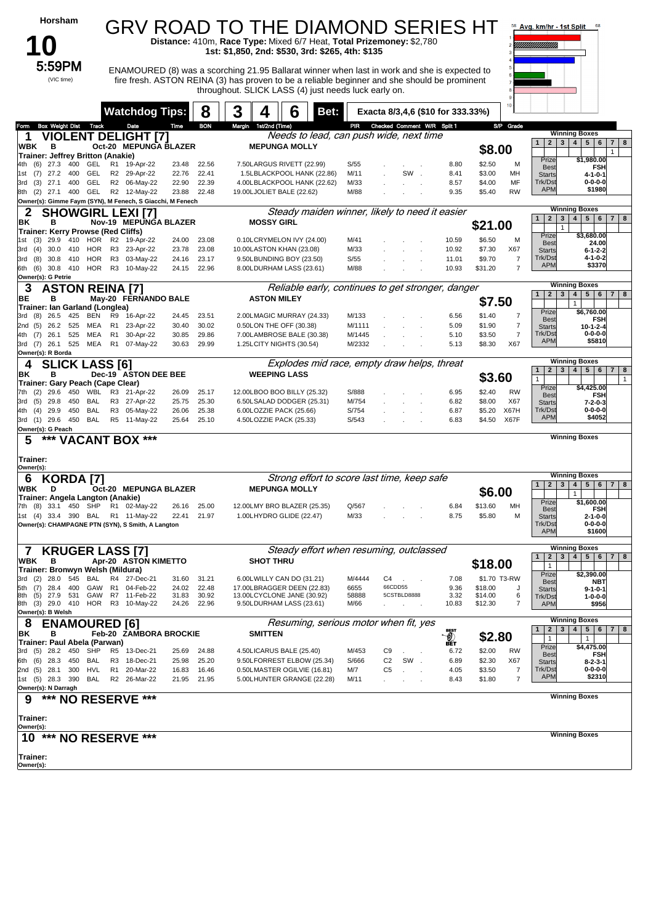| Horsham                                                                                |                                                |                                  | <b>GRV ROAD TO THE DIAMOND SERIES HT</b><br>Distance: 410m, Race Type: Mixed 6/7 Heat, Total Prizemoney: \$2,780                                                                                                                                                                                         |                 |                                   |                |                                                      | 58 Avg. km/hr - 1st Split<br>68<br>TIIIIIIIIIIIIIIIIII                                          |
|----------------------------------------------------------------------------------------|------------------------------------------------|----------------------------------|----------------------------------------------------------------------------------------------------------------------------------------------------------------------------------------------------------------------------------------------------------------------------------------------------------|-----------------|-----------------------------------|----------------|------------------------------------------------------|-------------------------------------------------------------------------------------------------|
| 5:59PM<br>(VIC time)                                                                   |                                                |                                  | 1st: \$1,850, 2nd: \$530, 3rd: \$265, 4th: \$135<br>ENAMOURED (8) was a scorching 21.95 Ballarat winner when last in work and she is expected to<br>fire fresh. ASTON REINA (3) has proven to be a reliable beginner and she should be prominent<br>throughout. SLICK LASS (4) just needs luck early on. |                 |                                   |                |                                                      |                                                                                                 |
|                                                                                        | <b>Watchdog Tips:</b>                          | 8                                | 3<br>6<br>4<br>Bet:                                                                                                                                                                                                                                                                                      |                 | Exacta 8/3,4,6 (\$10 for 333.33%) |                |                                                      |                                                                                                 |
| <b>Box Weight Dist Track</b><br>Form                                                   | Date<br><b>VIOLENT DELIGHT [7]</b>             | Time<br><b>BON</b>               | Margin 1st/2nd (Time)<br>Needs to lead, can push wide, next time                                                                                                                                                                                                                                         | PIR             | Checked Comment W/R Split 1       |                | S/P Grade                                            | <b>Winning Boxes</b>                                                                            |
| 1<br><b>WBK</b><br>в                                                                   | Oct-20 MEPUNGA BLAZER                          |                                  | <b>MEPUNGA MOLLY</b>                                                                                                                                                                                                                                                                                     |                 |                                   |                | \$8.00                                               | 1<br>2 <br>3 <br>4   5   6<br>$7 \mid 8$<br>$\mathbf{1}$                                        |
| Trainer: Jeffrey Britton (Anakie)<br>4th (6) 27.3<br>400<br>GEL                        | R1 19-Apr-22                                   | 23.48<br>22.56                   | 7.50LARGUS RIVETT (22.99)                                                                                                                                                                                                                                                                                | S/55            |                                   | 8.80           | \$2.50<br>м                                          | Prize<br>\$1.980.00<br><b>Best</b><br><b>FSH</b>                                                |
| GEL<br>$(7)$ 27.2<br>400<br>1st<br>400<br>GEL<br>$(3)$ 27.1<br>3rd                     | R2 29-Apr-22<br>R2 06-May-22                   | 22.76<br>22.41<br>22.90<br>22.39 | 1.5LBLACKPOOL HANK (22.86)<br>4.00LBLACKPOOL HANK (22.62)                                                                                                                                                                                                                                                | M/11<br>M/33    | SW.                               | 8.41<br>8.57   | \$3.00<br>MН<br>\$4.00<br>MF                         | <b>Starts</b><br>$4 - 1 - 0 - 1$<br>Trk/Dst<br>$0 - 0 - 0 - 0$                                  |
| 8th (2) 27.1 400 GEL<br>Owner(s): Gimme Faym (SYN), M Fenech, S Giacchi, M Fenech      | R2 12-May-22                                   | 23.88<br>22.48                   | 19.00LJOLIET BALE (22.62)                                                                                                                                                                                                                                                                                | M/88            |                                   | 9.35           | \$5.40<br><b>RW</b>                                  | <b>APM</b><br>\$1980                                                                            |
| <b>SHOWGIRL LEXI [7]</b><br>2                                                          |                                                |                                  | Steady maiden winner, likely to need it easier                                                                                                                                                                                                                                                           |                 |                                   |                |                                                      | <b>Winning Boxes</b>                                                                            |
| ΒK<br>в<br><b>Trainer: Kerry Prowse (Red Cliffs)</b>                                   | Nov-19 MEPUNGA BLAZER                          |                                  | <b>MOSSY GIRL</b>                                                                                                                                                                                                                                                                                        |                 |                                   |                | \$21.00                                              | 4   5   6  <br>2 <br>3 <br>$\mathbf{1}$<br>$7 \mid 8$<br>$\mathbf{1}$                           |
| (3) 29.9 410 HOR R2 19-Apr-22<br>1st                                                   | 23-Apr-22                                      | 24.00<br>23.08                   | 0.10LCRYMELON IVY (24.00)                                                                                                                                                                                                                                                                                | M/41<br>M/33    |                                   | 10.59          | \$6.50<br>м<br>\$7.30<br>X67                         | Prize<br>\$3,680.00<br><b>Best</b><br>24.00                                                     |
| (4)<br>30.0<br>HOR<br>3rd<br>410<br>HOR<br>(8)<br>30.8<br>410<br>3rd                   | R3<br>R <sub>3</sub><br>03-May-22              | 23.78<br>23.08<br>23.17<br>24.16 | 10.00LASTON KHAN (23.08)<br>9.50LBUNDING BOY (23.50)                                                                                                                                                                                                                                                     | S/55            |                                   | 10.92<br>11.01 | \$9.70<br>$\overline{7}$                             | $6 - 1 - 2 - 2$<br><b>Starts</b><br>Trk/Dst<br>$4 - 1 - 0 - 2$                                  |
| (6)<br>30.8 410<br>HOR<br>6th<br>Owner(s): G Petrie                                    | R3 10-May-22                                   | 24.15<br>22.96                   | 8.00LDURHAM LASS (23.61)                                                                                                                                                                                                                                                                                 | M/88            |                                   | 10.93          | $\overline{7}$<br>\$31.20                            | <b>APM</b><br>\$3370                                                                            |
| <b>ASTON REINA [7]</b><br>3                                                            |                                                |                                  | Reliable early, continues to get stronger, danger                                                                                                                                                                                                                                                        |                 |                                   |                |                                                      | <b>Winning Boxes</b><br>4   5   6  <br>2 <sub>1</sub><br>3 <sup>1</sup><br>$\mathbf{1}$<br>7 8  |
| BE<br>в<br>Trainer: Ian Garland (Longlea)                                              | May-20 FERNANDO BALE                           |                                  | <b>ASTON MILEY</b>                                                                                                                                                                                                                                                                                       |                 |                                   |                | \$7.50                                               | $\mathbf{1}$                                                                                    |
| $(8)$ 26.5<br>425<br>BEN<br>3rd<br>MEA<br>2nd (5)<br>26.2<br>525                       | R9<br>16-Apr-22<br>R <sub>1</sub><br>23-Apr-22 | 24.45<br>23.51<br>30.02<br>30.40 | 2.00LMAGIC MURRAY (24.33)<br>0.50LON THE OFF (30.38)                                                                                                                                                                                                                                                     | M/133<br>M/1111 |                                   | 6.56<br>5.09   | $\overline{7}$<br>\$1.40<br>$\overline{7}$<br>\$1.90 | Prize<br>\$6,760.00<br><b>FSH</b><br><b>Best</b>                                                |
| (7)<br>26.1<br>525<br>MEA<br>4th                                                       | R <sub>1</sub><br>30-Apr-22                    | 29.86<br>30.85                   | 7.00LAMBROSE BALE (30.38)                                                                                                                                                                                                                                                                                | M/1445          |                                   | 5.10           | \$3.50<br>$\overline{7}$                             | <b>Starts</b><br>10-1-2-4<br>Trk/Dst<br>$0 - 0 - 0 - 0$                                         |
| 3rd (7) 26.1 525 MEA R1 07-May-22<br>Owner(s): R Borda                                 |                                                | 30.63<br>29.99                   | 1.25LCITY NIGHTS (30.54)                                                                                                                                                                                                                                                                                 | M/2332          |                                   | 5.13           | \$8.30<br>X67                                        | <b>APM</b><br>\$5810                                                                            |
| <b>SLICK LASS [6]</b>                                                                  |                                                |                                  | Explodes mid race, empty draw helps, threat                                                                                                                                                                                                                                                              |                 |                                   |                |                                                      | <b>Winning Boxes</b><br>$4 \mid 5 \mid$<br>6<br>$2 \mid 3 \mid$<br>$7 \mid 8$<br>$\mathbf{1}$   |
| ΒK<br>в<br>Trainer: Gary Peach (Cape Clear)                                            | Dec-19 ASTON DEE BEE                           |                                  | <b>WEEPING LASS</b>                                                                                                                                                                                                                                                                                      |                 |                                   |                | \$3.60                                               | $\mathbf{1}$<br>$\mathbf{1}$<br>Prize<br>\$4,425.00                                             |
| (2)<br>29.6<br>450<br>7th<br>(5)<br>29.8<br>450<br>BAL<br>3rd                          | WBL R3 21-Apr-22<br>R3 27-Apr-22               | 25.17<br>26.09<br>25.30<br>25.75 | 12.00LBOO BOO BILLY (25.32)<br>6.50LSALAD DODGER (25.31)                                                                                                                                                                                                                                                 | S/888<br>M/754  |                                   | 6.95<br>6.82   | \$2.40<br><b>RW</b><br>X67<br>\$8.00                 | <b>Best</b><br><b>FSH</b>                                                                       |
| 29.9<br>450<br>BAL<br>(4)<br>4th                                                       | R3 05-May-22                                   | 25.38<br>26.06                   | 6.00LOZZIE PACK (25.66)                                                                                                                                                                                                                                                                                  | S/754           |                                   | 6.87           | X67H<br>\$5.20                                       | $7 - 2 - 0 - 3$<br><b>Starts</b><br>Trk/Dst<br>$0 - 0 - 0 - 0$                                  |
| 3rd (1) 29.6 450 BAL<br>Owner(s): G Peach                                              | R5 11-May-22                                   | 25.64<br>25.10                   | 4.50LOZZIE PACK (25.33)                                                                                                                                                                                                                                                                                  | S/543           |                                   | 6.83           | \$4.50<br>X67F                                       | <b>APM</b><br>\$4052                                                                            |
| *** VACANT BOX ***<br>5                                                                |                                                |                                  |                                                                                                                                                                                                                                                                                                          |                 |                                   |                |                                                      | <b>Winning Boxes</b>                                                                            |
| Trainer:                                                                               |                                                |                                  |                                                                                                                                                                                                                                                                                                          |                 |                                   |                |                                                      |                                                                                                 |
| Owner(s):<br><b>KORDA [7]</b><br>6                                                     |                                                |                                  | Strong effort to score last time, keep safe                                                                                                                                                                                                                                                              |                 |                                   |                |                                                      | <b>Winning Boxes</b>                                                                            |
| WBK<br>D                                                                               | Oct-20 MEPUNGA BLAZER                          |                                  | <b>MEPUNGA MOLLY</b>                                                                                                                                                                                                                                                                                     |                 |                                   |                | \$6.00                                               | 2 <sub>1</sub><br>3 <sup>1</sup><br>4<br>5   6   7   8<br>1<br>$\mathbf{1}$                     |
| Trainer: Angela Langton (Anakie)<br>7th (8) 33.1 450 SHP                               | R1 02-May-22                                   | 25.00<br>26.16                   | 12.00LMY BRO BLAZER (25.35)                                                                                                                                                                                                                                                                              | Q/567           |                                   | 6.84           | \$13.60<br>MН                                        | Prize<br>\$1,600.00<br><b>FSH</b><br><b>Best</b>                                                |
| 1st (4) 33.4 390 BAL R1 11-May-22<br>Owner(s): CHAMPAGNE PTN (SYN), S Smith, A Langton |                                                | 22.41<br>21.97                   | 1.00LHYDRO GLIDE (22.47)                                                                                                                                                                                                                                                                                 | M/33            |                                   | 8.75           | \$5.80<br>M                                          | $2 - 1 - 0 - 0$<br><b>Starts</b><br>Trk/Dst<br>$0 - 0 - 0 - 0$                                  |
|                                                                                        |                                                |                                  |                                                                                                                                                                                                                                                                                                          |                 |                                   |                |                                                      | <b>APM</b><br>\$1600                                                                            |
| <b>KRUGER LASS [7]</b><br>7                                                            |                                                |                                  | Steady effort when resuming, outclassed                                                                                                                                                                                                                                                                  |                 |                                   |                |                                                      | <b>Winning Boxes</b><br>4 <br>5   6   7   8<br>2 <sub>1</sub><br>3 <sup>1</sup><br>$\mathbf{1}$ |
| <b>WBK</b><br>в<br>Trainer: Bronwyn Welsh (Mildura)                                    | Apr-20 ASTON KIMETTO                           |                                  | <b>SHOT THRU</b>                                                                                                                                                                                                                                                                                         |                 |                                   |                | \$18.00                                              | $\mathbf{1}$<br>\$2,390.00                                                                      |
| $(2)$ 28.0<br>545<br>BAL<br>3rd<br>28.4<br>400<br>GAW<br>(7)<br>5th                    | R4 27-Dec-21<br>R1 04-Feb-22                   | 31.60<br>31.21<br>24.02<br>22.48 | 6.00LWILLY CAN DO (31.21)<br>17.00LBRAGGER DEEN (22.83)                                                                                                                                                                                                                                                  | M/4444<br>6655  | C4<br>66CDD55                     | 7.08<br>9.36   | \$1.70 T3-RW<br>\$18.00                              | Prize<br><b>Best</b><br>NBT                                                                     |
| (5)<br>531<br>27.9<br>8th                                                              | GAW R7 11-Feb-22                               | 31.83<br>30.92                   | 13.00LCYCLONE JANE (30.92)                                                                                                                                                                                                                                                                               | 58888<br>M/66   | 5CSTBLD8888                       | 3.32           | \$14.00<br>6<br>7                                    | <b>Starts</b><br>$9 - 1 - 0 - 1$<br>Trk/Dst<br>$1 - 0 - 0 - 0$                                  |
| 8th (3) 29.0 410 HOR R3 10-May-22<br>Owner(s): B Welsh                                 |                                                | 24.26<br>22.96                   | 9.50LDURHAM LASS (23.61)                                                                                                                                                                                                                                                                                 |                 |                                   | 10.83          | \$12.30                                              | <b>APM</b><br>\$956                                                                             |
| 8<br><b>ENAMOURED [6]</b><br>ΒK<br>в                                                   | Feb-20 ZAMBORA BROCKIE                         |                                  | Resuming, serious motor when fit, yes<br><b>SMITTEN</b>                                                                                                                                                                                                                                                  |                 |                                   |                |                                                      | <b>Winning Boxes</b><br>2 <sub>1</sub><br>3 <sup>1</sup><br>4 <br>5   6   7   8<br>$\mathbf{1}$ |
| Trainer: Paul Abela (Parwan)                                                           |                                                |                                  |                                                                                                                                                                                                                                                                                                          |                 |                                   | 。<br>《<br>略    | \$2.80                                               | $\mathbf{1}$<br>$\mathbf{1}$<br>Prize<br>\$4,475.00                                             |
| $(5)$ 28.2<br>450<br>SHP<br>3rd<br>6th (6) 28.3<br>450<br>BAL                          | R5<br>13-Dec-21<br>R3<br>18-Dec-21             | 25.69<br>24.88<br>25.98<br>25.20 | 4.50LICARUS BALE (25.40)<br>9.50LFORREST ELBOW (25.34)                                                                                                                                                                                                                                                   | M/453<br>S/666  | C9<br>C2<br>SW.                   | 6.72<br>6.89   | \$2.00<br><b>RW</b><br>\$2.30<br>X67                 | <b>FSH</b><br><b>Best</b><br><b>Starts</b><br>8-2-3-1                                           |
| 2nd (5) 28.1 300<br>HVL<br>BAL                                                         | R <sub>1</sub><br>20-Mar-22<br>R2 26-Mar-22    | 16.83<br>16.46                   | 0.50LMASTER OGILVIE (16.81)                                                                                                                                                                                                                                                                              | M/7             | C5                                | 4.05           | \$3.50<br>7<br>$\overline{7}$                        | Trk/Dst<br>$0 - 0 - 0 - 0$<br><b>APM</b><br>\$2310                                              |
| 1st (5) 28.3 390<br>Owner(s): N Darragh                                                |                                                | 21.95<br>21.95                   | 5.00LHUNTER GRANGE (22.28)                                                                                                                                                                                                                                                                               | M/11            |                                   | 8.43           | \$1.80                                               |                                                                                                 |
| *** NO RESERVE ***<br>9                                                                |                                                |                                  |                                                                                                                                                                                                                                                                                                          |                 |                                   |                |                                                      | <b>Winning Boxes</b>                                                                            |
| Trainer:                                                                               |                                                |                                  |                                                                                                                                                                                                                                                                                                          |                 |                                   |                |                                                      |                                                                                                 |
| Owner(s):<br>10 *** NO RESERVE ***                                                     |                                                |                                  |                                                                                                                                                                                                                                                                                                          |                 |                                   |                |                                                      | <b>Winning Boxes</b>                                                                            |
| Trainer:                                                                               |                                                |                                  |                                                                                                                                                                                                                                                                                                          |                 |                                   |                |                                                      |                                                                                                 |
| Owner(s):                                                                              |                                                |                                  |                                                                                                                                                                                                                                                                                                          |                 |                                   |                |                                                      |                                                                                                 |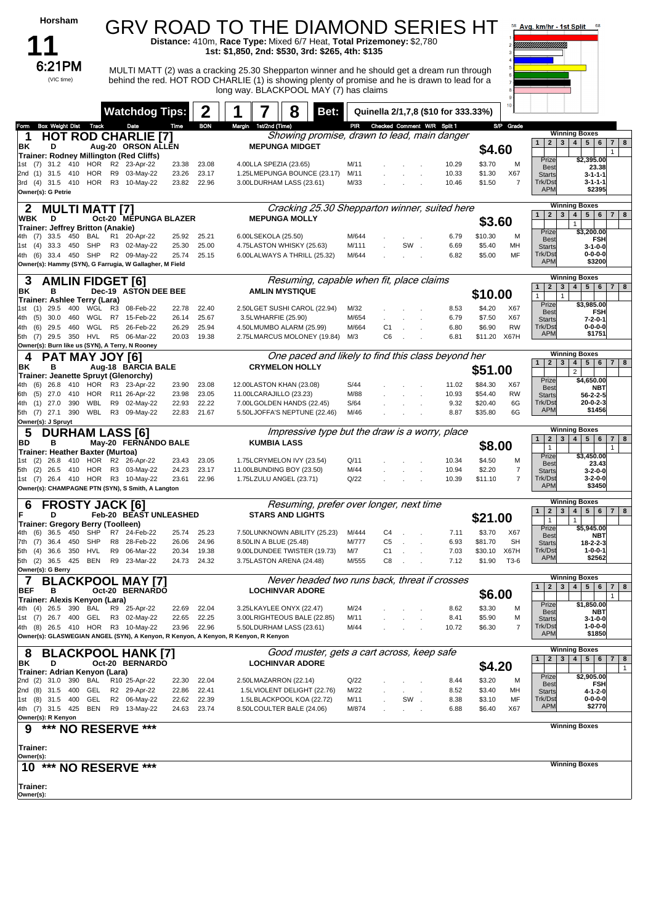| Horsham                                                                            |          |                                   |                |                |                       | GRV ROAD TO THE DIAMOND SERIES HT                                                                                                        |                |                                  |     |                                     |                    |                     | 58 Avg. km/hr - 1st Split                    |                                                              |                          |
|------------------------------------------------------------------------------------|----------|-----------------------------------|----------------|----------------|-----------------------|------------------------------------------------------------------------------------------------------------------------------------------|----------------|----------------------------------|-----|-------------------------------------|--------------------|---------------------|----------------------------------------------|--------------------------------------------------------------|--------------------------|
|                                                                                    |          |                                   |                |                |                       | Distance: 410m, Race Type: Mixed 6/7 Heat, Total Prizemoney: \$2,780<br>1st: \$1,850, 2nd: \$530, 3rd: \$265, 4th: \$135                 |                |                                  |     |                                     |                    |                     |                                              |                                                              |                          |
| 6:21PM                                                                             |          |                                   |                |                |                       | MULTI MATT (2) was a cracking 25.30 Shepparton winner and he should get a dream run through                                              |                |                                  |     |                                     |                    |                     |                                              |                                                              |                          |
| (VIC time)                                                                         |          |                                   |                |                |                       | behind the red. HOT ROD CHARLIE (1) is showing plenty of promise and he is drawn to lead for a<br>long way. BLACKPOOL MAY (7) has claims |                |                                  |     |                                     |                    |                     |                                              |                                                              |                          |
|                                                                                    |          |                                   |                |                |                       |                                                                                                                                          |                |                                  |     |                                     |                    | 10                  |                                              |                                                              |                          |
|                                                                                    |          | <b>Watchdog Tips:</b>             |                | 2              |                       | 8                                                                                                                                        | Bet:           |                                  |     | Quinella 2/1,7,8 (\$10 for 333.33%) |                    |                     |                                              |                                                              |                          |
| Form Box Weight Dist Track<br><b>HOT ROD CHARLIE [7]</b><br>1                      |          | Date                              | Time           | <b>BON</b>     | Margin 1st/2nd (Time) | Showing promise, drawn to lead, main danger                                                                                              |                |                                  |     | PIR Checked Comment W/R Split 1     |                    | S/P Grade           | $\mathbf{1}$<br>2 <sup>1</sup>               | <b>Winning Boxes</b><br>$5 \mid 6$<br>$\mathbf{3}$<br> 4     | $\overline{7}$<br>8      |
| ΒK<br>D<br><b>Trainer: Rodney Millington (Red Cliffs)</b>                          |          | Aug-20 ORSON ALLEN                |                |                |                       | <b>MEPUNGA MIDGET</b>                                                                                                                    |                |                                  |     |                                     |                    | \$4.60              | Prize                                        | \$2,395.00                                                   |                          |
| 1st (7) 31.2 410 HOR<br>2nd (1) 31.5 410<br>HOR                                    |          | R2 23-Apr-22<br>R9 03-May-22      | 23.38<br>23.26 | 23.08<br>23.17 |                       | 4.00LLA SPEZIA (23.65)<br>1.25LMEPUNGA BOUNCE (23.17)                                                                                    | M/11<br>M/11   |                                  |     | 10.29<br>10.33                      | \$3.70<br>\$1.30   | M<br>X67            | Best<br><b>Starts</b>                        | 23.38<br>$3 - 1 - 1 - 1$                                     |                          |
| HOR<br>3rd (4) 31.5 410<br>Owner(s): G Petrie                                      |          | R3 10-May-22                      | 23.82          | 22.96          |                       | 3.00LDURHAM LASS (23.61)                                                                                                                 | M/33           |                                  |     | 10.46                               | \$1.50             | $\overline{7}$      | Trk/Dst<br><b>APM</b>                        | $3 - 1 - 1 - 1$<br>\$2395                                    |                          |
| <b>MULTI MATT [7]</b><br>2                                                         |          |                                   |                |                |                       | Cracking 25.30 Shepparton winner, suited here                                                                                            |                |                                  |     |                                     |                    |                     |                                              | <b>Winning Boxes</b>                                         |                          |
| WBK<br>D                                                                           |          | Oct-20 MEPUNGA BLAZER             |                |                |                       | <b>MEPUNGA MOLLY</b>                                                                                                                     |                |                                  |     |                                     |                    | \$3.60              | $\overline{2}$<br>$\mathbf{1}$               | $5\phantom{.0}$<br> 6<br>3<br>4 <sup>1</sup><br>$\mathbf{1}$ | 8<br>7 <sup>1</sup>      |
| Trainer: Jeffrey Britton (Anakie)<br>450<br>4th (7) 33.5<br>BAL                    |          | R1 20-Apr-22                      | 25.92          | 25.21          | 6.00LSEKOLA (25.50)   |                                                                                                                                          | M/644          |                                  |     | 6.79                                | \$10.30            | M                   | Prize<br>Best                                | \$3,200.00<br><b>FSH</b>                                     |                          |
| 1st (4) 33.3<br>450<br>SHP<br>SHP<br>450<br>4th (6) 33.4                           |          | R3 02-May-22<br>R2 09-May-22      | 25.30<br>25.74 | 25.00<br>25.15 |                       | 4.75LASTON WHISKY (25.63)<br>6.00LALWAYS A THRILL (25.32)                                                                                | M/111<br>M/644 |                                  | SW  | 6.69<br>in 1<br>6.82                | \$5.40<br>\$5.00   | MН<br>MF            | <b>Starts</b><br>Trk/Dst                     | $3 - 1 - 0 - 0$<br>$0 - 0 - 0 - 0$                           |                          |
| Owner(s): Hammy (SYN), G Farrugia, W Gallagher, M Field                            |          |                                   |                |                |                       |                                                                                                                                          |                |                                  |     |                                     |                    |                     | <b>APM</b>                                   | \$3200                                                       |                          |
| 3<br><b>AMLIN FIDGET [6]</b>                                                       |          |                                   |                |                |                       | Resuming, capable when fit, place claims                                                                                                 |                |                                  |     |                                     |                    |                     | $\mathbf{1}$<br>2 <sup>1</sup>               | <b>Winning Boxes</b><br>3 <br>4   5   6   7                  | 8                        |
| ΒK<br>в<br>Trainer: Ashlee Terry (Lara)                                            |          | Dec-19 ASTON DEE BEE              |                |                |                       | <b>AMLIN MYSTIQUE</b>                                                                                                                    |                |                                  |     |                                     | \$10.00            |                     | $\mathbf{1}$<br>Prize                        | $\mathbf{1}$<br>\$3,985.00                                   |                          |
| 1st (1) 29.5<br>400<br>WGL<br>WGL<br>(5)<br>30.0<br>460<br>4th                     | R3<br>R7 | 08-Feb-22<br>15-Feb-22            | 22.78<br>26.14 | 22.40<br>25.67 |                       | 2.50LGET SUSHI CAROL (22.94)<br>3.5LWHARFIE (25.90)                                                                                      | M/32<br>M/654  |                                  |     | 8.53<br>6.79                        | \$4.20<br>\$7.50   | X67<br>X67          | Best<br><b>Starts</b>                        | <b>FSH</b><br>$7 - 2 - 0 - 1$                                |                          |
| 460<br>WGL<br>4th<br>(6)<br>29.5                                                   |          | R5 26-Feb-22                      | 26.29          | 25.94          |                       | 4.50LMUMBO ALARM (25.99)                                                                                                                 | M/664          | C1                               |     | 6.80                                | \$6.90             | <b>RW</b>           | Trk/Dst<br><b>APM</b>                        | $0 - 0 - 0 - 0$<br>\$1751                                    |                          |
| 5th (7) 29.5 350<br>HVL<br>Owner(s): Burn like us (SYN), A Terry, N Rooney         |          | R5 06-Mar-22                      | 20.03          | 19.38          |                       | 2.75LMARCUS MOLONEY (19.84)                                                                                                              | M/3            | C <sub>6</sub>                   |     | 6.81                                | \$11.20            | X67H                |                                              |                                                              |                          |
| <b>PAT MAY JOY [6]</b><br>4<br>в<br>ΒK                                             |          | Aug-18 BARCIA BALE                |                |                |                       | One paced and likely to find this class beyond her<br><b>CRYMELON HOLLY</b>                                                              |                |                                  |     |                                     |                    |                     | $\mathbf{1}$<br>2 <sup>1</sup>               | <b>Winning Boxes</b><br>4 <br>3                              | $5 \mid 6 \mid 7 \mid 8$ |
| Trainer: Jeanette Spruyt (Glenorchy)                                               |          |                                   |                |                |                       |                                                                                                                                          |                |                                  |     |                                     | \$51.00            |                     | Prize                                        | $\overline{2}$<br>\$4,650.00                                 |                          |
| $(6)$ 26.8<br>410<br>4th<br>(5)<br>27.0<br>410<br>HOR<br>6th                       |          | HOR R3 23-Apr-22<br>R11 26-Apr-22 | 23.90<br>23.98 | 23.08<br>23.05 |                       | 12.00LASTON KHAN (23.08)<br>11.00LCARAJILLO (23.23)                                                                                      | S/44<br>M/88   |                                  |     | 11.02<br>10.93                      | \$84.30<br>\$54.40 | X67<br><b>RW</b>    | <b>Best</b><br><b>Starts</b>                 | <b>NBT</b><br>$56 - 2 - 2 - 5$                               |                          |
| WBL<br>$(1)$ 27.0<br>390<br>4th<br>390<br>WBL<br>5th (7) 27.1                      |          | R9 02-May-22<br>R3 09-May-22      | 22.93<br>22.83 | 22.22<br>21.67 |                       | 7.00LGOLDEN HANDS (22.45)<br>5.50LJOFFA'S NEPTUNE (22.46)                                                                                | S/64<br>M/46   |                                  |     | 9.32<br>8.87                        | \$20.40<br>\$35.80 | 6G<br>6G            | Trk/Dst<br><b>APM</b>                        | $20 - 0 - 2 - 3$<br>\$1456                                   |                          |
| Owner(s): J Spruyt                                                                 |          |                                   |                |                |                       |                                                                                                                                          |                |                                  |     |                                     |                    |                     |                                              |                                                              |                          |
| 5<br><b>DURHAM LASS [6]</b><br>в<br>BD                                             |          | May-20 FERNANDO BALE              |                |                |                       | Impressive type but the draw is a worry, place<br><b>KUMBIA LASS</b>                                                                     |                |                                  |     |                                     |                    |                     | $\mathbf{1}$<br>$\mathbf{2}$                 | <b>Winning Boxes</b><br>$3 \mid 4 \mid$<br>5 <br>6           | 7 <sup>1</sup><br>8      |
| Trainer: Heather Baxter (Murtoa)<br>1st (2) 26.8<br>410<br>HOR                     |          | R2 26-Apr-22                      | 23.43          | 23.05          |                       | 1.75LCRYMELON IVY (23.54)                                                                                                                | Q/11           |                                  |     | 10.34                               | \$4.50             | \$8.00<br>M         | $\mathbf{1}$<br>Prize                        | \$3.450.00                                                   | $\mathbf{1}$             |
| 5th (2)<br>HOR<br>26.5<br>- 410                                                    |          | R3 03-May-22                      | 24.23          | 23.17          |                       | 11.00LBUNDING BOY (23.50)                                                                                                                | M/44           |                                  |     | 10.94                               | \$2.20             | $\overline{7}$      | <b>Best</b><br><b>Starts</b>                 | 23.43<br>$3 - 2 - 0 - 0$                                     |                          |
| 1st (7) 26.4<br>410<br>HOR<br>Owner(s): CHAMPAGNE PTN (SYN), S Smith, A Langton    |          | R3 10-May-22                      | 23.61          | 22.96          |                       | 1.75LZULU ANGEL (23.71)                                                                                                                  | Q/22           |                                  |     | 10.39                               | \$11.10            | $\overline{7}$      | Trk/Dst<br><b>APM</b>                        | $3 - 2 - 0 - 0$<br>\$3450                                    |                          |
| 6<br><b>FROSTY JACK [6]</b>                                                        |          |                                   |                |                |                       | Resuming, prefer over longer, next time                                                                                                  |                |                                  |     |                                     |                    |                     |                                              | Winning Boxes                                                |                          |
| D<br>Trainer: Gregory Berry (Toolleen)                                             |          | Feb-20 BEAST UNLEASHED            |                |                |                       | <b>STARS AND LIGHTS</b>                                                                                                                  |                |                                  |     |                                     | \$21.00            |                     | $\mathbf{1}$<br>$\mathbf{2}$<br>$\mathbf{1}$ | 3   4   5   6   7  <br>$\mathbf{1}$                          | 8                        |
| 4th (6) 36.5<br>450<br>SHP                                                         |          | R7 24-Feb-22                      | 25.74          | 25.23          |                       | 7.50LUNKNOWN ABILITY (25.23)                                                                                                             | M/444          | C <sub>4</sub>                   |     | 7.11                                | \$3.70             | X67                 | Prize<br>Best                                | \$5,945.00<br>NBT                                            |                          |
| 7th (7) 36.4<br>450<br><b>SHP</b><br>$(4)$ 36.6<br>350<br>HVL<br>5th               | R9       | R8 28-Feb-22<br>06-Mar-22         | 26.06<br>20.34 | 24.96<br>19.38 |                       | 8.50LIN A BLUE (25.48)<br>9.00LDUNDEE TWISTER (19.73)                                                                                    | M/777<br>M/7   | C <sub>5</sub><br>C <sub>1</sub> |     | 6.93<br>7.03                        | \$81.70<br>\$30.10 | <b>SH</b><br>X67H   | <b>Starts</b><br>Trk/Dst                     | 18-2-2-3<br>$1 - 0 - 0 - 1$                                  |                          |
| 5th (2) 36.5 425<br>BEN<br>Owner(s): G Berry                                       |          | R9 23-Mar-22                      | 24.73          | 24.32          |                       | 3.75LASTON ARENA (24.48)                                                                                                                 | M/555          | C8                               |     | 7.12                                | \$1.90             | T3-6                | <b>APM</b>                                   | \$2562                                                       |                          |
| <b>BLACKPOOL MAY [7]</b>                                                           |          |                                   |                |                |                       | Never headed two runs back, threat if crosses                                                                                            |                |                                  |     |                                     |                    |                     |                                              | <b>Winning Boxes</b>                                         |                          |
| <b>BEF</b><br>в<br>Trainer: Alexis Kenyon (Lara)                                   |          | Oct-20 BERNARDO                   |                |                |                       | <b>LOCHINVAR ADORE</b>                                                                                                                   |                |                                  |     |                                     |                    | \$6.00              | 2 <br>1                                      | 3   4   5   6   7   8                                        |                          |
| 26.5<br>390<br>BAL<br>4th (4)                                                      |          | R9 25-Apr-22                      | 22.69          | 22.04          |                       | 3.25LKAYLEE ONYX (22.47)                                                                                                                 | M/24           |                                  |     | 8.62                                | \$3.30             | M                   | Prize<br>Best                                | \$1,850.00<br><b>NBT</b>                                     |                          |
| 1st (7) 26.7 400<br>GEL<br>4th (8) 26.5 410 HOR                                    |          | R3 02-May-22<br>R3 10-May-22      | 22.65<br>23.96 | 22.25<br>22.96 |                       | 3.00LRIGHTEOUS BALE (22.85)<br>5.50LDURHAM LASS (23.61)                                                                                  | M/11<br>M/44   |                                  |     | 8.41<br>10.72                       | \$5.90<br>\$6.30   | М<br>$\overline{7}$ | <b>Starts</b><br>Trk/Dst                     | $3 - 1 - 0 - 0$<br>$1 - 0 - 0 - 0$                           |                          |
| Owner(s): GLASWEGIAN ANGEL (SYN), A Kenyon, R Kenyon, A Kenyon, R Kenyon, R Kenyon |          |                                   |                |                |                       |                                                                                                                                          |                |                                  |     |                                     |                    |                     | <b>APM</b>                                   | \$1850                                                       |                          |
| <b>BLACKPOOL HANK [7]</b><br>୪<br>D<br>BK                                          |          | Oct-20 BERNARDO                   |                |                |                       | Good muster, gets a cart across, keep safe<br><b>LOCHINVAR ADORE</b>                                                                     |                |                                  |     |                                     |                    |                     | $\mathbf{2}$<br>$\mathbf{1}$                 | <b>Winning Boxes</b><br>$3 \mid 4 \mid$<br>5 6               | 7 <sup>1</sup><br>8      |
| Trainer: Adrian Kenyon (Lara)                                                      |          |                                   |                |                |                       |                                                                                                                                          |                |                                  |     |                                     |                    | \$4.20              | Prize                                        | \$2,905.00                                                   | $\mathbf{1}$             |
| 2nd (2) 31.0<br>390<br>BAL<br>2nd (8) 31.5<br>400<br>GEL                           |          | R10 25-Apr-22<br>R2 29-Apr-22     | 22.30<br>22.86 | 22.04<br>22.41 |                       | 2.50LMAZARRON (22.14)<br>1.5LVIOLENT DELIGHT (22.76)                                                                                     | Q/22<br>M/22   |                                  |     | 8.44<br>8.52                        | \$3.20<br>\$3.40   | M<br>MН             | Best<br><b>Starts</b>                        | <b>FSH</b><br>4-1-2-0                                        |                          |
| GEL<br>1st (8) 31.5 400<br>4th (7) 31.5 425<br>BEN                                 |          | R2 06-May-22<br>R9 13-May-22      | 22.62<br>24.63 | 22.39<br>23.74 |                       | 1.5LBLACKPOOL KOA (22.72)<br>8.50LCOULTER BALE (24.06)                                                                                   | M/11<br>M/874  |                                  | SW. | 8.38<br>6.88                        | \$3.10<br>\$6.40   | MF<br>X67           | Trk/Dst<br><b>APM</b>                        | $0 - 0 - 0 - 0$<br>\$2770                                    |                          |
| Owner(s): R Kenyon                                                                 |          |                                   |                |                |                       |                                                                                                                                          |                |                                  |     |                                     |                    |                     |                                              | <b>Winning Boxes</b>                                         |                          |
| *** NO RESERVE ***<br>9                                                            |          |                                   |                |                |                       |                                                                                                                                          |                |                                  |     |                                     |                    |                     |                                              |                                                              |                          |
| Trainer:<br>Owner(s):                                                              |          |                                   |                |                |                       |                                                                                                                                          |                |                                  |     |                                     |                    |                     |                                              |                                                              |                          |
| ***<br><b>NO RESERVE ***</b><br>10                                                 |          |                                   |                |                |                       |                                                                                                                                          |                |                                  |     |                                     |                    |                     |                                              | <b>Winning Boxes</b>                                         |                          |
| Trainer:                                                                           |          |                                   |                |                |                       |                                                                                                                                          |                |                                  |     |                                     |                    |                     |                                              |                                                              |                          |
| Owner(s):                                                                          |          |                                   |                |                |                       |                                                                                                                                          |                |                                  |     |                                     |                    |                     |                                              |                                                              |                          |